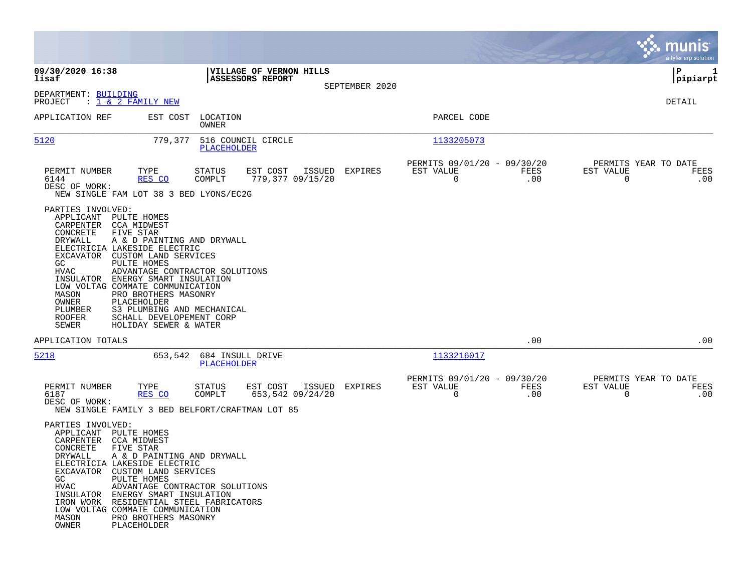|                                                                                                                                                                                                                                                                                                                                                                                                                                                                                                                                                  |                                                                   |                |                                                         |             |                                                  | munis<br>a tyler erp solution |
|--------------------------------------------------------------------------------------------------------------------------------------------------------------------------------------------------------------------------------------------------------------------------------------------------------------------------------------------------------------------------------------------------------------------------------------------------------------------------------------------------------------------------------------------------|-------------------------------------------------------------------|----------------|---------------------------------------------------------|-------------|--------------------------------------------------|-------------------------------|
| 09/30/2020 16:38<br>lisaf                                                                                                                                                                                                                                                                                                                                                                                                                                                                                                                        | VILLAGE OF VERNON HILLS<br><b>ASSESSORS REPORT</b>                |                |                                                         |             |                                                  | IΡ<br>1<br> pipiarpt          |
| DEPARTMENT: BUILDING<br>$\frac{1}{1}$ & 2 FAMILY NEW<br>PROJECT                                                                                                                                                                                                                                                                                                                                                                                                                                                                                  |                                                                   | SEPTEMBER 2020 |                                                         |             |                                                  | DETAIL                        |
| APPLICATION REF<br>EST COST                                                                                                                                                                                                                                                                                                                                                                                                                                                                                                                      | LOCATION<br>OWNER                                                 |                | PARCEL CODE                                             |             |                                                  |                               |
| 5120<br>779,377                                                                                                                                                                                                                                                                                                                                                                                                                                                                                                                                  | 516 COUNCIL CIRCLE<br>PLACEHOLDER                                 |                | 1133205073                                              |             |                                                  |                               |
| PERMIT NUMBER<br>TYPE<br>6144<br>RES CO<br>DESC OF WORK:<br>NEW SINGLE FAM LOT 38 3 BED LYONS/EC2G                                                                                                                                                                                                                                                                                                                                                                                                                                               | STATUS<br>EST COST<br>ISSUED<br>COMPLT<br>779,377 09/15/20        | EXPIRES        | PERMITS 09/01/20 - 09/30/20<br>EST VALUE<br>$\mathbf 0$ | FEES<br>.00 | PERMITS YEAR TO DATE<br>EST VALUE<br>$\mathbf 0$ | FEES<br>.00                   |
| PARTIES INVOLVED:<br>APPLICANT<br>PULTE HOMES<br>CARPENTER<br>CCA MIDWEST<br>CONCRETE<br>FIVE STAR<br>DRYWALL<br>A & D PAINTING AND DRYWALL<br>ELECTRICIA LAKESIDE ELECTRIC<br><b>EXCAVATOR</b><br>CUSTOM LAND SERVICES<br>PULTE HOMES<br>GC<br>HVAC<br>ADVANTAGE CONTRACTOR SOLUTIONS<br>INSULATOR ENERGY SMART INSULATION<br>LOW VOLTAG COMMATE COMMUNICATION<br>PRO BROTHERS MASONRY<br>MASON<br>OWNER<br>PLACEHOLDER<br>PLUMBER<br>S3 PLUMBING AND MECHANICAL<br><b>ROOFER</b><br>SCHALL DEVELOPEMENT CORP<br>SEWER<br>HOLIDAY SEWER & WATER |                                                                   |                |                                                         |             |                                                  |                               |
| APPLICATION TOTALS                                                                                                                                                                                                                                                                                                                                                                                                                                                                                                                               |                                                                   |                |                                                         | .00         |                                                  | .00                           |
| 5218<br>653,542                                                                                                                                                                                                                                                                                                                                                                                                                                                                                                                                  | 684 INSULL DRIVE<br>PLACEHOLDER                                   |                | 1133216017                                              |             |                                                  |                               |
| TYPE<br>PERMIT NUMBER<br>6187<br>RES CO<br>DESC OF WORK:<br>NEW SINGLE FAMILY 3 BED BELFORT/CRAFTMAN LOT 85<br>PARTIES INVOLVED:<br>APPLICANT<br>PULTE HOMES<br>CARPENTER<br>CCA MIDWEST<br>CONCRETE<br>FIVE STAR<br>A & D PAINTING AND DRYWALL<br>DRYWALL<br>ELECTRICIA LAKESIDE ELECTRIC<br>EXCAVATOR CUSTOM LAND SERVICES<br>GC<br>PULTE HOMES<br>HVAC<br>ADVANTAGE CONTRACTOR SOLUTIONS<br>INSULATOR ENERGY SMART INSULATION<br>IRON WORK RESIDENTIAL STEEL FABRICATORS<br>LOW VOLTAG COMMATE COMMUNICATION<br>MASON<br>PRO BROTHERS MASONRY | EST COST<br>ISSUED<br><b>STATUS</b><br>653,542 09/24/20<br>COMPLT | EXPIRES        | PERMITS 09/01/20 - 09/30/20<br>EST VALUE<br>0           | FEES<br>.00 | PERMITS YEAR TO DATE<br>EST VALUE<br>0           | FEES<br>.00                   |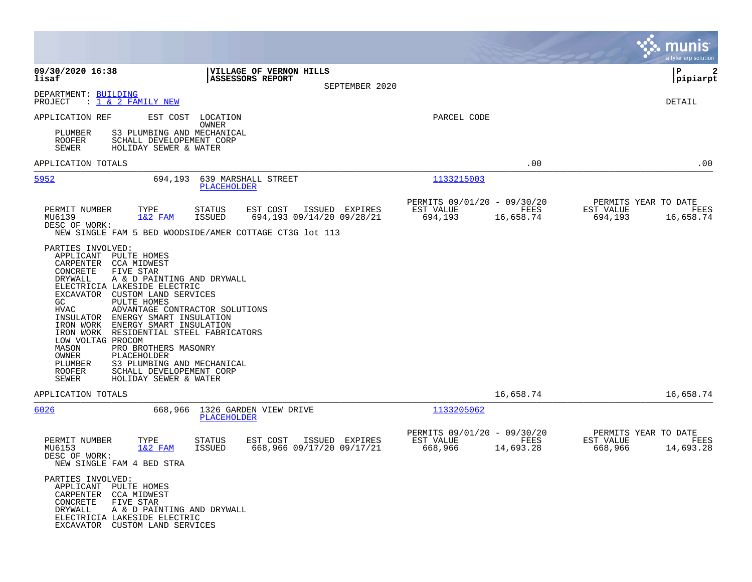|                                                                                                                                                                                                                                                                                                                                                                                                                                                                                                                                                                                                              |                                                                                           |                                                     |                   | munis<br>a tyler erp solution                                     |
|--------------------------------------------------------------------------------------------------------------------------------------------------------------------------------------------------------------------------------------------------------------------------------------------------------------------------------------------------------------------------------------------------------------------------------------------------------------------------------------------------------------------------------------------------------------------------------------------------------------|-------------------------------------------------------------------------------------------|-----------------------------------------------------|-------------------|-------------------------------------------------------------------|
| 09/30/2020 16:38<br>lisaf                                                                                                                                                                                                                                                                                                                                                                                                                                                                                                                                                                                    | VILLAGE OF VERNON HILLS<br><b>ASSESSORS REPORT</b>                                        |                                                     |                   | l P<br>2<br> pipiarpt                                             |
| DEPARTMENT: BUILDING<br>: <u>1 &amp; 2 FAMILY NEW</u><br>PROJECT                                                                                                                                                                                                                                                                                                                                                                                                                                                                                                                                             | SEPTEMBER 2020                                                                            |                                                     |                   | DETAIL                                                            |
| EST COST LOCATION<br>APPLICATION REF<br>S3 PLUMBING AND MECHANICAL<br>PLUMBER<br>ROOFER<br>SCHALL DEVELOPEMENT CORP<br>SEWER<br>HOLIDAY SEWER & WATER                                                                                                                                                                                                                                                                                                                                                                                                                                                        | OWNER                                                                                     | PARCEL CODE                                         |                   |                                                                   |
| APPLICATION TOTALS                                                                                                                                                                                                                                                                                                                                                                                                                                                                                                                                                                                           |                                                                                           |                                                     | .00               | .00                                                               |
| 5952<br>694,193                                                                                                                                                                                                                                                                                                                                                                                                                                                                                                                                                                                              | 639 MARSHALL STREET<br><b>PLACEHOLDER</b>                                                 | 1133215003                                          |                   |                                                                   |
| TYPE<br>PERMIT NUMBER<br>MU6139<br>$1&2$ FAM<br>DESC OF WORK:<br>NEW SINGLE FAM 5 BED WOODSIDE/AMER COTTAGE CT3G lot 113                                                                                                                                                                                                                                                                                                                                                                                                                                                                                     | STATUS<br>EST COST<br>ISSUED EXPIRES<br><b>ISSUED</b><br>694,193 09/14/20 09/28/21        | PERMITS 09/01/20 - 09/30/20<br>EST VALUE<br>694,193 | FEES<br>16,658.74 | PERMITS YEAR TO DATE<br>EST VALUE<br>FEES<br>694,193<br>16,658.74 |
| PARTIES INVOLVED:<br>APPLICANT PULTE HOMES<br>CARPENTER CCA MIDWEST<br>CONCRETE<br>FIVE STAR<br><b>DRYWALL</b><br>A & D PAINTING AND DRYWALL<br>ELECTRICIA LAKESIDE ELECTRIC<br>EXCAVATOR CUSTOM LAND SERVICES<br>PULTE HOMES<br>GC.<br>ADVANTAGE CONTRACTOR SOLUTIONS<br>HVAC<br>INSULATOR ENERGY SMART INSULATION<br>IRON WORK ENERGY SMART INSULATION<br>RESIDENTIAL STEEL FABRICATORS<br>IRON WORK<br>LOW VOLTAG PROCOM<br>MASON<br>PRO BROTHERS MASONRY<br>OWNER<br>PLACEHOLDER<br>S3 PLUMBING AND MECHANICAL<br>PLUMBER<br><b>ROOFER</b><br>SCHALL DEVELOPEMENT CORP<br>SEWER<br>HOLIDAY SEWER & WATER |                                                                                           |                                                     |                   |                                                                   |
| APPLICATION TOTALS                                                                                                                                                                                                                                                                                                                                                                                                                                                                                                                                                                                           |                                                                                           |                                                     | 16,658.74         | 16,658.74                                                         |
| 6026<br>668,966                                                                                                                                                                                                                                                                                                                                                                                                                                                                                                                                                                                              | 1326 GARDEN VIEW DRIVE<br>PLACEHOLDER                                                     | 1133205062                                          |                   |                                                                   |
| PERMIT NUMBER<br>TYPE<br>MU6153<br>$1&2$ FAM<br>DESC OF WORK:<br>NEW SINGLE FAM 4 BED STRA<br>PARTIES INVOLVED:<br>APPLICANT PULTE HOMES<br>CARPENTER CCA MIDWEST<br>CONCRETE FIVE STAR<br>DRYWALL<br>A & D PAINTING AND DRYWALL<br>ELECTRICIA LAKESIDE ELECTRIC<br>EXCAVATOR CUSTOM LAND SERVICES                                                                                                                                                                                                                                                                                                           | EST COST<br><b>STATUS</b><br>ISSUED EXPIRES<br><b>ISSUED</b><br>668,966 09/17/20 09/17/21 | PERMITS 09/01/20 - 09/30/20<br>EST VALUE<br>668,966 | FEES<br>14,693.28 | PERMITS YEAR TO DATE<br>EST VALUE<br>FEES<br>668,966<br>14,693.28 |

**Contract**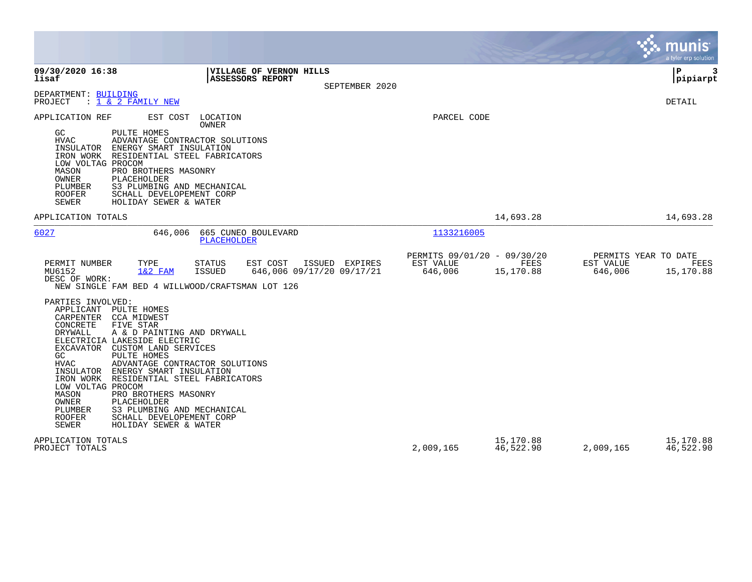|                                                                                                                                                                                                                                                                                                                                                                                                                                                                                                                                                                                                  |                                                     |                        |                                              | munis<br>a tyler erp solution |
|--------------------------------------------------------------------------------------------------------------------------------------------------------------------------------------------------------------------------------------------------------------------------------------------------------------------------------------------------------------------------------------------------------------------------------------------------------------------------------------------------------------------------------------------------------------------------------------------------|-----------------------------------------------------|------------------------|----------------------------------------------|-------------------------------|
| 09/30/2020 16:38<br>VILLAGE OF VERNON HILLS<br>ASSESSORS REPORT<br>lisaf                                                                                                                                                                                                                                                                                                                                                                                                                                                                                                                         |                                                     |                        |                                              | ΙP<br>3<br> pipiarpt          |
| SEPTEMBER 2020<br>DEPARTMENT: BUILDING<br>$: 1 \& 2$ FAMILY NEW<br>PROJECT                                                                                                                                                                                                                                                                                                                                                                                                                                                                                                                       |                                                     |                        |                                              | DETAIL                        |
| APPLICATION REF<br>EST COST LOCATION<br>OWNER<br>GC<br>PULTE HOMES<br><b>HVAC</b><br>ADVANTAGE CONTRACTOR SOLUTIONS<br>INSULATOR<br>ENERGY SMART INSULATION<br>IRON WORK<br>RESIDENTIAL STEEL FABRICATORS<br>LOW VOLTAG PROCOM<br>MASON<br>PRO BROTHERS MASONRY<br><b>OWNER</b><br>PLACEHOLDER<br>PLUMBER<br>S3 PLUMBING AND MECHANICAL<br><b>ROOFER</b><br>SCHALL DEVELOPEMENT CORP<br>SEWER<br>HOLIDAY SEWER & WATER                                                                                                                                                                           | PARCEL CODE                                         |                        |                                              |                               |
| APPLICATION TOTALS                                                                                                                                                                                                                                                                                                                                                                                                                                                                                                                                                                               |                                                     | 14,693.28              |                                              | 14,693.28                     |
| 6027<br>646,006<br>665 CUNEO BOULEVARD<br><b>PLACEHOLDER</b>                                                                                                                                                                                                                                                                                                                                                                                                                                                                                                                                     | 1133216005                                          |                        |                                              |                               |
| PERMIT NUMBER<br>TYPE<br>EST COST<br>ISSUED EXPIRES<br>STATUS<br>MU6152<br><b>ISSUED</b><br>646,006 09/17/20 09/17/21<br>$1&2$ FAM<br>DESC OF WORK:<br>NEW SINGLE FAM BED 4 WILLWOOD/CRAFTSMAN LOT 126                                                                                                                                                                                                                                                                                                                                                                                           | PERMITS 09/01/20 - 09/30/20<br>EST VALUE<br>646,006 | FEES<br>15,170.88      | PERMITS YEAR TO DATE<br>EST VALUE<br>646,006 | FEES<br>15,170.88             |
| PARTIES INVOLVED:<br>APPLICANT<br>PULTE HOMES<br>CARPENTER<br><b>CCA MIDWEST</b><br>CONCRETE<br>FIVE STAR<br><b>DRYWALL</b><br>A & D PAINTING AND DRYWALL<br>ELECTRICIA LAKESIDE ELECTRIC<br>EXCAVATOR<br>CUSTOM LAND SERVICES<br>GC<br>PULTE HOMES<br>HVAC<br>ADVANTAGE CONTRACTOR SOLUTIONS<br>INSULATOR<br>ENERGY SMART INSULATION<br>RESIDENTIAL STEEL FABRICATORS<br>IRON WORK<br>LOW VOLTAG PROCOM<br>MASON<br>PRO BROTHERS MASONRY<br><b>OWNER</b><br>PLACEHOLDER<br>PLUMBER<br>S3 PLUMBING AND MECHANICAL<br><b>ROOFER</b><br>SCHALL DEVELOPEMENT CORP<br>SEWER<br>HOLIDAY SEWER & WATER |                                                     |                        |                                              |                               |
| APPLICATION TOTALS<br>PROJECT TOTALS                                                                                                                                                                                                                                                                                                                                                                                                                                                                                                                                                             | 2,009,165                                           | 15,170.88<br>46,522.90 | 2,009,165                                    | 15,170.88<br>46,522.90        |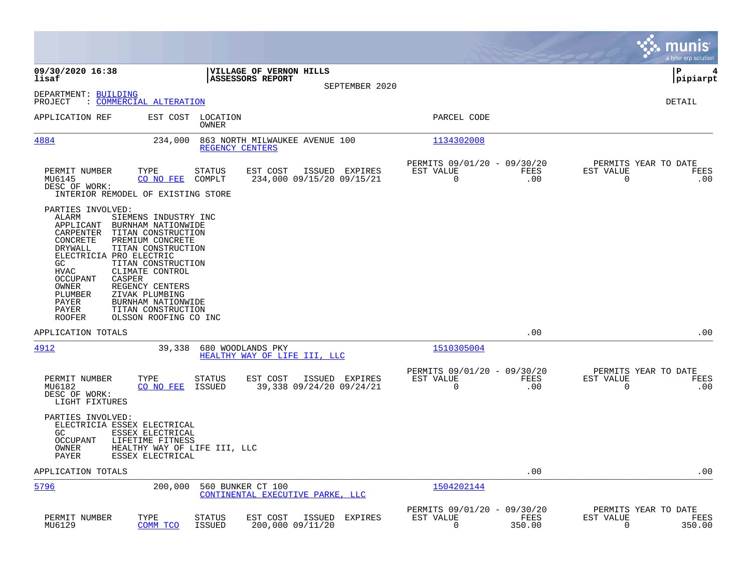|                                                                                                                                                                                                                                                                                                                                                                                                                                                                                  |                                                                             |                                                                        | munis<br>a tyler erp solution                            |
|----------------------------------------------------------------------------------------------------------------------------------------------------------------------------------------------------------------------------------------------------------------------------------------------------------------------------------------------------------------------------------------------------------------------------------------------------------------------------------|-----------------------------------------------------------------------------|------------------------------------------------------------------------|----------------------------------------------------------|
| 09/30/2020 16:38<br>lisaf                                                                                                                                                                                                                                                                                                                                                                                                                                                        | VILLAGE OF VERNON HILLS<br><b>ASSESSORS REPORT</b><br>SEPTEMBER 2020        |                                                                        | lР<br>4<br> pipiarpt                                     |
| DEPARTMENT: BUILDING<br>: COMMERCIAL ALTERATION<br>PROJECT                                                                                                                                                                                                                                                                                                                                                                                                                       |                                                                             |                                                                        | <b>DETAIL</b>                                            |
| APPLICATION REF                                                                                                                                                                                                                                                                                                                                                                                                                                                                  | EST COST LOCATION<br>OWNER                                                  | PARCEL CODE                                                            |                                                          |
| 4884<br>234,000                                                                                                                                                                                                                                                                                                                                                                                                                                                                  | 863 NORTH MILWAUKEE AVENUE 100<br>REGENCY CENTERS                           | 1134302008                                                             |                                                          |
| PERMIT NUMBER<br>TYPE<br>MU6145<br>CO NO FEE<br>DESC OF WORK:<br>INTERIOR REMODEL OF EXISTING STORE                                                                                                                                                                                                                                                                                                                                                                              | STATUS<br>EST COST<br>ISSUED EXPIRES<br>234,000 09/15/20 09/15/21<br>COMPLT | PERMITS 09/01/20 - 09/30/20<br>EST VALUE<br>FEES<br>.00<br>0           | PERMITS YEAR TO DATE<br>EST VALUE<br>FEES<br>.00<br>0    |
| PARTIES INVOLVED:<br>ALARM<br>SIEMENS INDUSTRY INC<br>APPLICANT<br>BURNHAM NATIONWIDE<br>CARPENTER<br>TITAN CONSTRUCTION<br>CONCRETE<br>PREMIUM CONCRETE<br>TITAN CONSTRUCTION<br>DRYWALL<br>ELECTRICIA PRO ELECTRIC<br>GC<br>TITAN CONSTRUCTION<br><b>HVAC</b><br>CLIMATE CONTROL<br><b>OCCUPANT</b><br>CASPER<br>OWNER<br>REGENCY CENTERS<br>PLUMBER<br>ZIVAK PLUMBING<br>BURNHAM NATIONWIDE<br>PAYER<br>PAYER<br>TITAN CONSTRUCTION<br><b>ROOFER</b><br>OLSSON ROOFING CO INC |                                                                             |                                                                        |                                                          |
| APPLICATION TOTALS                                                                                                                                                                                                                                                                                                                                                                                                                                                               |                                                                             | .00                                                                    | .00                                                      |
| 4912<br>39,338                                                                                                                                                                                                                                                                                                                                                                                                                                                                   | 680 WOODLANDS PKY<br>HEALTHY WAY OF LIFE III, LLC                           | 1510305004                                                             |                                                          |
| PERMIT NUMBER<br>TYPE<br>CO NO FEE<br>MU6182<br>DESC OF WORK:<br>LIGHT FIXTURES                                                                                                                                                                                                                                                                                                                                                                                                  | EST COST<br>STATUS<br>ISSUED EXPIRES<br>ISSUED<br>39,338 09/24/20 09/24/21  | PERMITS 09/01/20 - 09/30/20<br>EST VALUE<br>FEES<br>0<br>.00           | PERMITS YEAR TO DATE<br>EST VALUE<br>FEES<br>0<br>.00    |
| PARTIES INVOLVED:<br>ELECTRICIA ESSEX ELECTRICAL<br>GC<br>ESSEX ELECTRICAL<br>LIFETIME FITNESS<br>OCCUPANT<br>OWNER<br>HEALTHY WAY OF LIFE III, LLC<br>PAYER<br>ESSEX ELECTRICAL                                                                                                                                                                                                                                                                                                 |                                                                             |                                                                        |                                                          |
| APPLICATION TOTALS                                                                                                                                                                                                                                                                                                                                                                                                                                                               |                                                                             | .00                                                                    | .00                                                      |
| 5796<br>200,000                                                                                                                                                                                                                                                                                                                                                                                                                                                                  | 560 BUNKER CT 100<br>CONTINENTAL EXECUTIVE PARKE, LLC                       | 1504202144                                                             |                                                          |
| PERMIT NUMBER<br>TYPE<br>MU6129<br>COMM TCO                                                                                                                                                                                                                                                                                                                                                                                                                                      | EST COST<br>ISSUED<br>EXPIRES<br>STATUS<br>ISSUED<br>200,000 09/11/20       | PERMITS 09/01/20 - 09/30/20<br>EST VALUE<br>FEES<br>$\Omega$<br>350.00 | PERMITS YEAR TO DATE<br>EST VALUE<br>FEES<br>0<br>350.00 |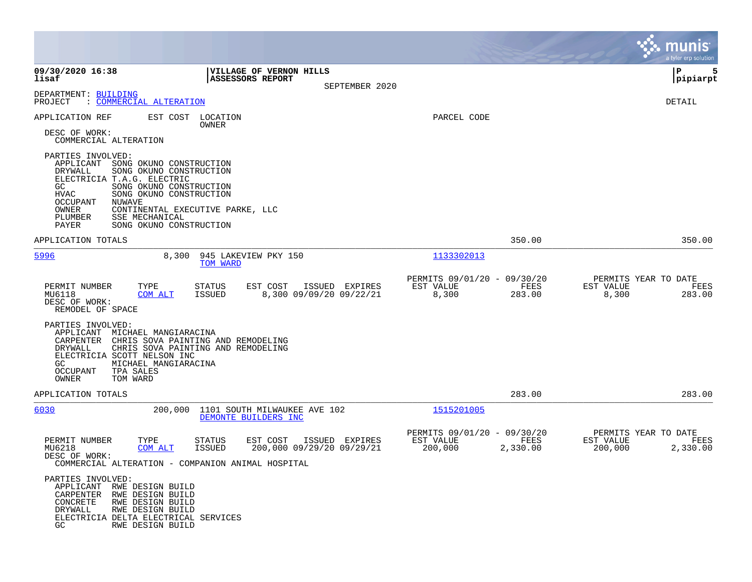|                                                                                                                                                                                                                                                                                                                                       |                                                           |                                           |                                                     |                  | munis<br>a tyler erp solution                                    |
|---------------------------------------------------------------------------------------------------------------------------------------------------------------------------------------------------------------------------------------------------------------------------------------------------------------------------------------|-----------------------------------------------------------|-------------------------------------------|-----------------------------------------------------|------------------|------------------------------------------------------------------|
| 09/30/2020 16:38<br>lisaf                                                                                                                                                                                                                                                                                                             | VILLAGE OF VERNON HILLS<br>ASSESSORS REPORT               |                                           |                                                     |                  | IΡ<br> pipiarpt                                                  |
| DEPARTMENT: BUILDING<br>PROJECT<br>: COMMERCIAL ALTERATION                                                                                                                                                                                                                                                                            |                                                           | SEPTEMBER 2020                            |                                                     |                  | DETAIL                                                           |
| APPLICATION REF<br>DESC OF WORK:<br>COMMERCIAL ALTERATION                                                                                                                                                                                                                                                                             | EST COST LOCATION<br>OWNER                                |                                           | PARCEL CODE                                         |                  |                                                                  |
| PARTIES INVOLVED:<br>APPLICANT<br>SONG OKUNO CONSTRUCTION<br>DRYWALL<br>SONG OKUNO CONSTRUCTION<br>ELECTRICIA T.A.G. ELECTRIC<br>SONG OKUNO CONSTRUCTION<br>GC<br>HVAC<br>SONG OKUNO CONSTRUCTION<br>OCCUPANT<br>NUWAVE<br>OWNER<br>CONTINENTAL EXECUTIVE PARKE, LLC<br>PLUMBER<br>SSE MECHANICAL<br>SONG OKUNO CONSTRUCTION<br>PAYER |                                                           |                                           |                                                     |                  |                                                                  |
| APPLICATION TOTALS                                                                                                                                                                                                                                                                                                                    |                                                           |                                           |                                                     | 350.00           | 350.00                                                           |
| 5996<br>8,300                                                                                                                                                                                                                                                                                                                         | 945 LAKEVIEW PKY 150<br>TOM WARD                          |                                           | 1133302013                                          |                  |                                                                  |
| PERMIT NUMBER<br>TYPE<br>MU6118<br>COM ALT<br>DESC OF WORK:<br>REMODEL OF SPACE                                                                                                                                                                                                                                                       | STATUS<br>EST COST<br>ISSUED                              | ISSUED EXPIRES<br>8,300 09/09/20 09/22/21 | PERMITS 09/01/20 - 09/30/20<br>EST VALUE<br>8,300   | FEES<br>283.00   | PERMITS YEAR TO DATE<br>EST VALUE<br>FEES<br>8,300<br>283.00     |
| PARTIES INVOLVED:<br>APPLICANT MICHAEL MANGIARACINA<br>CARPENTER CHRIS SOVA PAINTING AND REMODELING<br>DRYWALL<br>ELECTRICIA SCOTT NELSON INC<br>MICHAEL MANGIARACINA<br>GC<br>TPA SALES<br><b>OCCUPANT</b><br>OWNER<br>TOM WARD                                                                                                      | CHRIS SOVA PAINTING AND REMODELING                        |                                           |                                                     |                  |                                                                  |
| APPLICATION TOTALS                                                                                                                                                                                                                                                                                                                    |                                                           |                                           |                                                     | 283.00           | 283.00                                                           |
| 6030<br>200,000                                                                                                                                                                                                                                                                                                                       | 1101 SOUTH MILWAUKEE AVE 102<br>DEMONTE BUILDERS INC      |                                           | 1515201005                                          |                  |                                                                  |
| PERMIT NUMBER<br>TYPE<br>MU6218<br>COM ALT<br>DESC OF WORK:<br>COMMERCIAL ALTERATION - COMPANION ANIMAL HOSPITAL                                                                                                                                                                                                                      | EST COST<br>STATUS<br>ISSUED<br>200,000 09/29/20 09/29/21 | ISSUED EXPIRES                            | PERMITS 09/01/20 - 09/30/20<br>EST VALUE<br>200,000 | FEES<br>2,330.00 | PERMITS YEAR TO DATE<br>EST VALUE<br>FEES<br>200,000<br>2,330.00 |
| PARTIES INVOLVED:<br>APPLICANT RWE DESIGN BUILD<br>CARPENTER RWE DESIGN BUILD<br>CONCRETE<br>RWE DESIGN BUILD<br>DRYWALL<br>RWE DESIGN BUILD<br>ELECTRICIA DELTA ELECTRICAL SERVICES<br>GC<br>RWE DESIGN BUILD                                                                                                                        |                                                           |                                           |                                                     |                  |                                                                  |

**Contract**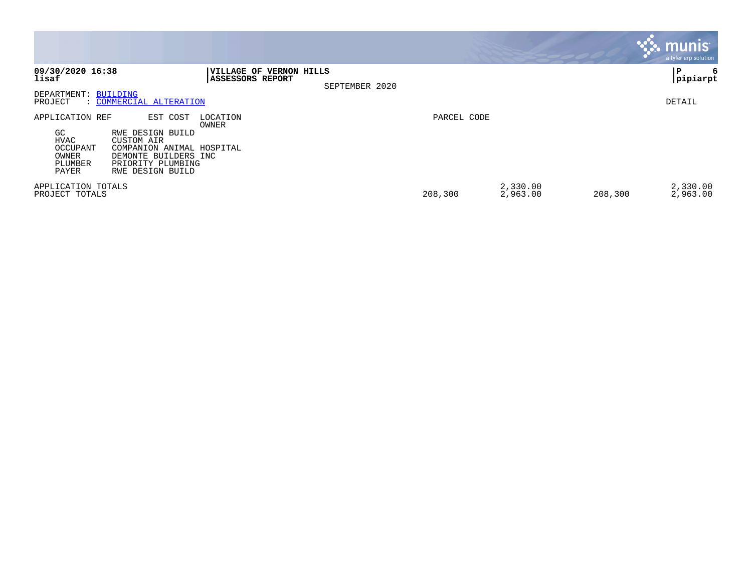|                                                                         |                                                                                                                                                 |                                             |                |             |                                 | munis l<br>a tyler erp solution |
|-------------------------------------------------------------------------|-------------------------------------------------------------------------------------------------------------------------------------------------|---------------------------------------------|----------------|-------------|---------------------------------|---------------------------------|
| 09/30/2020 16:38<br>lisaf                                               |                                                                                                                                                 | VILLAGE OF VERNON HILLS<br>ASSESSORS REPORT | SEPTEMBER 2020 |             |                                 | l P<br>6<br>pipiarpt            |
| DEPARTMENT: BUILDING<br>PROJECT                                         | : COMMERCIAL ALTERATION                                                                                                                         |                                             |                |             |                                 | DETAIL                          |
| APPLICATION REF<br>GC.<br>HVAC<br>OCCUPANT<br>OWNER<br>PLUMBER<br>PAYER | EST COST<br>RWE DESIGN BUILD<br><b>CUSTOM AIR</b><br>COMPANION ANIMAL HOSPITAL<br>DEMONTE BUILDERS INC<br>PRIORITY PLUMBING<br>RWE DESIGN BUILD | LOCATION<br>OWNER                           |                | PARCEL CODE |                                 |                                 |
| APPLICATION TOTALS<br>PROJECT TOTALS                                    |                                                                                                                                                 |                                             |                | 208,300     | 2,330.00<br>2,963.00<br>208,300 | 2,330.00<br>2,963.00            |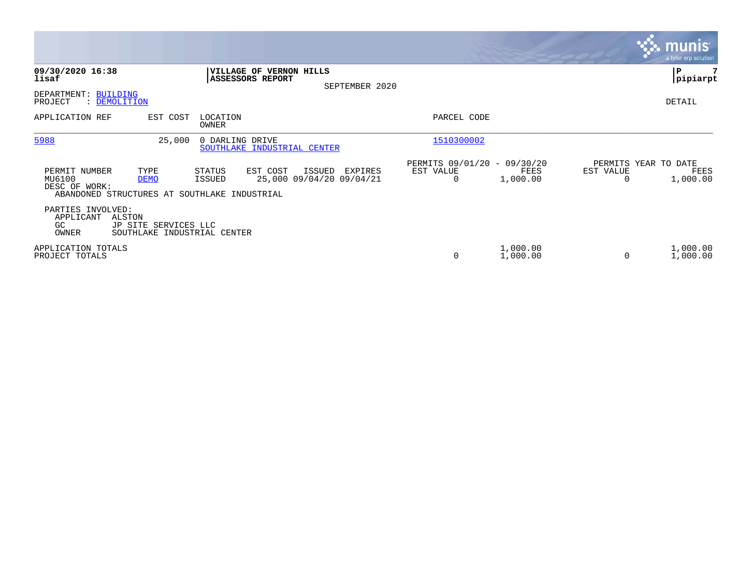|                                                                                                                 |                                                                               |                                                                   | <b>munis</b><br>a tyler erp solution                  |
|-----------------------------------------------------------------------------------------------------------------|-------------------------------------------------------------------------------|-------------------------------------------------------------------|-------------------------------------------------------|
| 09/30/2020 16:38<br>lisaf                                                                                       | VILLAGE OF VERNON HILLS<br><b>ASSESSORS REPORT</b><br>SEPTEMBER 2020          |                                                                   | P<br>pipiarpt                                         |
| DEPARTMENT: BUILDING<br>PROJECT<br>: DEMOLITION                                                                 |                                                                               |                                                                   | DETAIL                                                |
| APPLICATION REF<br>EST COST                                                                                     | LOCATION<br>OWNER                                                             | PARCEL CODE                                                       |                                                       |
| 5988                                                                                                            | 25,000<br>0 DARLING DRIVE<br>SOUTHLAKE INDUSTRIAL CENTER                      | 1510300002                                                        |                                                       |
| TYPE<br>PERMIT NUMBER<br>MU6100<br><b>DEMO</b><br>DESC OF WORK:<br>ABANDONED STRUCTURES AT SOUTHLAKE INDUSTRIAL | EST COST<br>STATUS<br>ISSUED<br>EXPIRES<br>ISSUED<br>25,000 09/04/20 09/04/21 | PERMITS 09/01/20 - 09/30/20<br>EST VALUE<br>FEES<br>1,000.00<br>0 | PERMITS YEAR TO DATE<br>EST VALUE<br>FEES<br>1,000.00 |
| PARTIES INVOLVED:<br>APPLICANT<br>ALSTON<br>GC.<br>JP SITE SERVICES LLC<br>OWNER                                | SOUTHLAKE INDUSTRIAL CENTER                                                   |                                                                   |                                                       |
| APPLICATION TOTALS<br>PROJECT TOTALS                                                                            |                                                                               | 1,000.00<br>0<br>1,000.00                                         | 1,000.00<br>1,000.00<br>$\Omega$                      |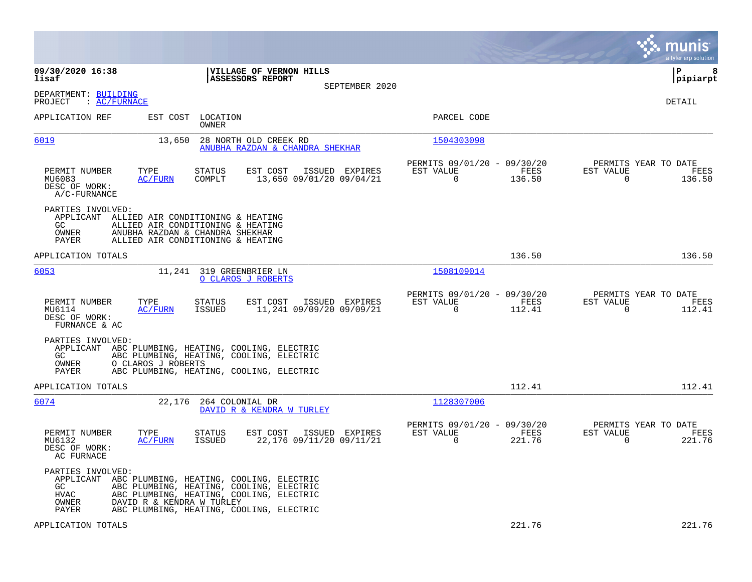|                                                           |                                                                                                                                                                                                                     |                                            |                                               | munis<br>a tyler erp solution                                          |
|-----------------------------------------------------------|---------------------------------------------------------------------------------------------------------------------------------------------------------------------------------------------------------------------|--------------------------------------------|-----------------------------------------------|------------------------------------------------------------------------|
| 09/30/2020 16:38<br>lisaf                                 | VILLAGE OF VERNON HILLS<br><b>ASSESSORS REPORT</b>                                                                                                                                                                  | SEPTEMBER 2020                             |                                               | lР<br>8<br> pipiarpt                                                   |
| DEPARTMENT: BUILDING<br>PROJECT<br>$\colon$ AC/FURNACE    |                                                                                                                                                                                                                     |                                            |                                               | DETAIL                                                                 |
| APPLICATION REF                                           | EST COST<br>LOCATION<br>OWNER                                                                                                                                                                                       | PARCEL CODE                                |                                               |                                                                        |
| 6019                                                      | 13,650<br>28 NORTH OLD CREEK RD<br>ANUBHA RAZDAN & CHANDRA SHEKHAR                                                                                                                                                  | 1504303098                                 |                                               |                                                                        |
| PERMIT NUMBER<br>MU6083<br>DESC OF WORK:<br>A/C-FURNANCE  | EST COST<br>TYPE<br>STATUS<br>13,650 09/01/20 09/04/21<br><b>AC/FURN</b><br>COMPLT                                                                                                                                  | ISSUED EXPIRES<br>EST VALUE<br>0           | PERMITS 09/01/20 - 09/30/20<br>FEES<br>136.50 | PERMITS YEAR TO DATE<br>EST VALUE<br>FEES<br>0<br>136.50               |
| PARTIES INVOLVED:<br>GC<br>OWNER<br><b>PAYER</b>          | APPLICANT ALLIED AIR CONDITIONING & HEATING<br>ALLIED AIR CONDITIONING & HEATING<br>ANUBHA RAZDAN & CHANDRA SHEKHAR<br>ALLIED AIR CONDITIONING & HEATING                                                            |                                            |                                               |                                                                        |
| APPLICATION TOTALS                                        |                                                                                                                                                                                                                     |                                            | 136.50                                        | 136.50                                                                 |
| 6053                                                      | 319 GREENBRIER LN<br>11,241<br>O CLAROS J ROBERTS                                                                                                                                                                   | 1508109014                                 |                                               |                                                                        |
| PERMIT NUMBER<br>MU6114<br>DESC OF WORK:<br>FURNANCE & AC | EST COST<br>TYPE<br>STATUS<br>11,241 09/09/20 09/09/21<br><b>AC/FURN</b><br><b>ISSUED</b>                                                                                                                           | ISSUED EXPIRES<br>EST VALUE<br>$\Omega$    | PERMITS 09/01/20 - 09/30/20<br>FEES<br>112.41 | PERMITS YEAR TO DATE<br><b>EST VALUE</b><br>FEES<br>$\Omega$<br>112.41 |
| PARTIES INVOLVED:<br>GC.<br>OWNER<br>PAYER                | APPLICANT ABC PLUMBING, HEATING, COOLING, ELECTRIC<br>ABC PLUMBING, HEATING, COOLING, ELECTRIC<br>O CLAROS J ROBERTS<br>ABC PLUMBING, HEATING, COOLING, ELECTRIC                                                    |                                            |                                               |                                                                        |
| APPLICATION TOTALS                                        |                                                                                                                                                                                                                     |                                            | 112.41                                        | 112.41                                                                 |
| 6074                                                      | 22,176<br>264 COLONIAL DR<br>DAVID R & KENDRA W TURLEY                                                                                                                                                              | 1128307006                                 |                                               |                                                                        |
| PERMIT NUMBER<br>MU6132<br>DESC OF WORK:<br>AC FURNACE    | TYPE<br>STATUS<br>EST COST<br><b>ISSUED</b><br>22,176 09/11/20 09/11/21<br>AC/FURN                                                                                                                                  | ISSUED EXPIRES<br>EST VALUE<br>$\mathbf 0$ | PERMITS 09/01/20 - 09/30/20<br>FEES<br>221.76 | PERMITS YEAR TO DATE<br>EST VALUE<br>FEES<br>$\mathbf 0$<br>221.76     |
| PARTIES INVOLVED:<br>GC.<br><b>HVAC</b><br>OWNER<br>PAYER | APPLICANT ABC PLUMBING, HEATING, COOLING, ELECTRIC<br>ABC PLUMBING, HEATING, COOLING, ELECTRIC<br>ABC PLUMBING, HEATING, COOLING, ELECTRIC<br>DAVID R & KENDRA W TURLEY<br>ABC PLUMBING, HEATING, COOLING, ELECTRIC |                                            |                                               |                                                                        |
| APPLICATION TOTALS                                        |                                                                                                                                                                                                                     |                                            | 221.76                                        | 221.76                                                                 |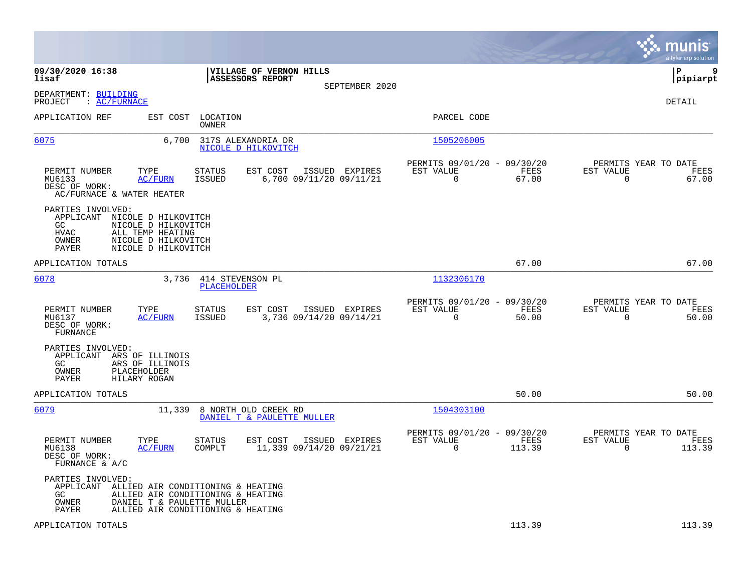|                                                                                                                                                                                        |                                                                                         |                                                                           | munis<br>a tyler erp solution                                         |
|----------------------------------------------------------------------------------------------------------------------------------------------------------------------------------------|-----------------------------------------------------------------------------------------|---------------------------------------------------------------------------|-----------------------------------------------------------------------|
| 09/30/2020 16:38<br>lisaf                                                                                                                                                              | VILLAGE OF VERNON HILLS<br>ASSESSORS REPORT<br>SEPTEMBER 2020                           |                                                                           | l P<br>9<br> pipiarpt                                                 |
| DEPARTMENT: BUILDING<br>PROJECT<br>: AC/FWNACE                                                                                                                                         |                                                                                         |                                                                           | DETAIL                                                                |
| APPLICATION REF<br>EST COST                                                                                                                                                            | LOCATION<br>OWNER                                                                       | PARCEL CODE                                                               |                                                                       |
| 6075<br>6,700                                                                                                                                                                          | 317S ALEXANDRIA DR<br>NICOLE D HILKOVITCH                                               | 1505206005                                                                |                                                                       |
| TYPE<br>PERMIT NUMBER<br>MU6133<br><b>AC/FURN</b><br>DESC OF WORK:<br>AC/FURNACE & WATER HEATER                                                                                        | EST COST<br>ISSUED EXPIRES<br><b>STATUS</b><br><b>ISSUED</b><br>6,700 09/11/20 09/11/21 | PERMITS 09/01/20 - 09/30/20<br>EST VALUE<br>FEES<br>67.00<br>0            | PERMITS YEAR TO DATE<br>EST VALUE<br>FEES<br>0<br>67.00               |
| PARTIES INVOLVED:<br>APPLICANT<br>NICOLE D HILKOVITCH<br>GC.<br>NICOLE D HILKOVITCH<br><b>HVAC</b><br>ALL TEMP HEATING<br>OWNER<br>NICOLE D HILKOVITCH<br>PAYER<br>NICOLE D HILKOVITCH |                                                                                         |                                                                           |                                                                       |
| APPLICATION TOTALS                                                                                                                                                                     |                                                                                         | 67.00                                                                     | 67.00                                                                 |
| 6078<br>3,736                                                                                                                                                                          | 414 STEVENSON PL<br><b>PLACEHOLDER</b>                                                  | 1132306170                                                                |                                                                       |
| PERMIT NUMBER<br>TYPE<br>MU6137<br><b>AC/FURN</b><br>DESC OF WORK:<br>FURNANCE                                                                                                         | <b>STATUS</b><br>EST COST<br>ISSUED EXPIRES<br>3,736 09/14/20 09/14/21<br><b>ISSUED</b> | PERMITS 09/01/20 - 09/30/20<br>EST VALUE<br>FEES<br>$\mathbf 0$<br>50.00  | PERMITS YEAR TO DATE<br>EST VALUE<br>FEES<br>$\overline{0}$<br>50.00  |
| PARTIES INVOLVED:<br>APPLICANT ARS OF ILLINOIS<br>GC.<br>ARS OF ILLINOIS<br>OWNER<br>PLACEHOLDER<br>HILARY ROGAN<br>PAYER                                                              |                                                                                         |                                                                           |                                                                       |
| APPLICATION TOTALS                                                                                                                                                                     |                                                                                         | 50.00                                                                     | 50.00                                                                 |
| 6079<br>11,339                                                                                                                                                                         | 8 NORTH OLD CREEK RD<br>DANIEL T & PAULETTE MULLER                                      | 1504303100                                                                |                                                                       |
| PERMIT NUMBER<br>TYPE<br>MU6138<br>AC/FURN<br>DESC OF WORK:<br>FURNANCE & $A/C$                                                                                                        | EST COST<br><b>STATUS</b><br>ISSUED EXPIRES<br>COMPLT<br>11,339 09/14/20 09/21/21       | PERMITS 09/01/20 - 09/30/20<br>EST VALUE<br>FEES<br>$\mathbf 0$<br>113.39 | PERMITS YEAR TO DATE<br>EST VALUE<br>FEES<br>$\overline{0}$<br>113.39 |
| PARTIES INVOLVED:<br>APPLICANT ALLIED AIR CONDITIONING & HEATING<br>GC.<br>OWNER<br>DANIEL T & PAULETTE MULLER<br>PAYER                                                                | ALLIED AIR CONDITIONING & HEATING<br>ALLIED AIR CONDITIONING & HEATING                  |                                                                           |                                                                       |
| APPLICATION TOTALS                                                                                                                                                                     |                                                                                         | 113.39                                                                    | 113.39                                                                |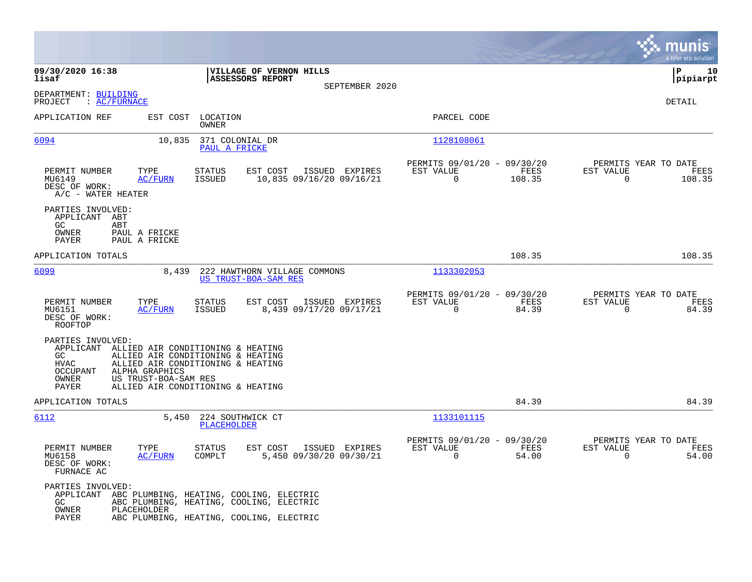|                                                                                                                                        |                                                                                                                                     |                                                                                      |                |                                                      |                |                                                  | munis<br>a tyler erp solution |
|----------------------------------------------------------------------------------------------------------------------------------------|-------------------------------------------------------------------------------------------------------------------------------------|--------------------------------------------------------------------------------------|----------------|------------------------------------------------------|----------------|--------------------------------------------------|-------------------------------|
| 09/30/2020 16:38<br>lisaf                                                                                                              |                                                                                                                                     | VILLAGE OF VERNON HILLS<br>ASSESSORS REPORT                                          |                |                                                      |                |                                                  | ΙP<br>10<br> pipiarpt         |
| DEPARTMENT: BUILDING<br>$\colon$ AC/FURNACE<br>PROJECT                                                                                 |                                                                                                                                     |                                                                                      | SEPTEMBER 2020 |                                                      |                |                                                  | DETAIL                        |
| APPLICATION REF                                                                                                                        | EST COST<br>LOCATION<br>OWNER                                                                                                       |                                                                                      |                | PARCEL CODE                                          |                |                                                  |                               |
| 6094                                                                                                                                   | 10,835<br>PAUL A FRICKE                                                                                                             | 371 COLONIAL DR                                                                      |                | 1128108061                                           |                |                                                  |                               |
| PERMIT NUMBER<br>TYPE<br>MU6149<br>DESC OF WORK:<br>$A/C$ - WATER HEATER                                                               | <b>STATUS</b><br><b>AC/FURN</b><br>ISSUED                                                                                           | EST COST<br>10,835 09/16/20 09/16/21                                                 | ISSUED EXPIRES | PERMITS 09/01/20 - 09/30/20<br>EST VALUE<br>$\Omega$ | FEES<br>108.35 | PERMITS YEAR TO DATE<br>EST VALUE<br>$\Omega$    | FEES<br>108.35                |
| PARTIES INVOLVED:<br>APPLICANT ABT<br>GC.<br>ABT<br>OWNER<br>PAUL A FRICKE<br>PAYER<br>PAUL A FRICKE                                   |                                                                                                                                     |                                                                                      |                |                                                      |                |                                                  |                               |
| APPLICATION TOTALS                                                                                                                     |                                                                                                                                     |                                                                                      |                |                                                      | 108.35         |                                                  | 108.35                        |
| 6099                                                                                                                                   | 8,439                                                                                                                               | 222 HAWTHORN VILLAGE COMMONS<br>US TRUST-BOA-SAM RES                                 |                | 1133302053                                           |                |                                                  |                               |
| TYPE<br>PERMIT NUMBER<br>MU6151<br>DESC OF WORK:<br><b>ROOFTOP</b>                                                                     | <b>STATUS</b><br>AC/FURN<br><b>ISSUED</b>                                                                                           | EST COST<br>8,439 09/17/20 09/17/21                                                  | ISSUED EXPIRES | PERMITS 09/01/20 - 09/30/20<br>EST VALUE<br>0        | FEES<br>84.39  | PERMITS YEAR TO DATE<br>EST VALUE<br>$\mathbf 0$ | FEES<br>84.39                 |
| PARTIES INVOLVED:<br>APPLICANT ALLIED AIR CONDITIONING & HEATING<br>GC.<br><b>HVAC</b><br>OCCUPANT<br>ALPHA GRAPHICS<br>OWNER<br>PAYER | ALLIED AIR CONDITIONING & HEATING<br>ALLIED AIR CONDITIONING & HEATING<br>US TRUST-BOA-SAM RES<br>ALLIED AIR CONDITIONING & HEATING |                                                                                      |                |                                                      |                |                                                  |                               |
| APPLICATION TOTALS                                                                                                                     |                                                                                                                                     |                                                                                      |                |                                                      | 84.39          |                                                  | 84.39                         |
| 6112                                                                                                                                   | 5,450<br><b>PLACEHOLDER</b>                                                                                                         | 224 SOUTHWICK CT                                                                     |                | 1133101115                                           |                |                                                  |                               |
| PERMIT NUMBER<br>TYPE<br>MU6158<br>DESC OF WORK:<br>FURNACE AC                                                                         | <b>STATUS</b><br>AC/FURN<br>COMPLT                                                                                                  | EST COST<br>5,450 09/30/20 09/30/21                                                  | ISSUED EXPIRES | PERMITS 09/01/20 - 09/30/20<br>EST VALUE<br>0        | FEES<br>54.00  | PERMITS YEAR TO DATE<br>EST VALUE<br>$\mathbf 0$ | FEES<br>54.00                 |
| PARTIES INVOLVED:<br>APPLICANT ABC PLUMBING, HEATING, COOLING, ELECTRIC<br>GC<br>OWNER<br>PLACEHOLDER<br>PAYER                         |                                                                                                                                     | ABC PLUMBING, HEATING, COOLING, ELECTRIC<br>ABC PLUMBING, HEATING, COOLING, ELECTRIC |                |                                                      |                |                                                  |                               |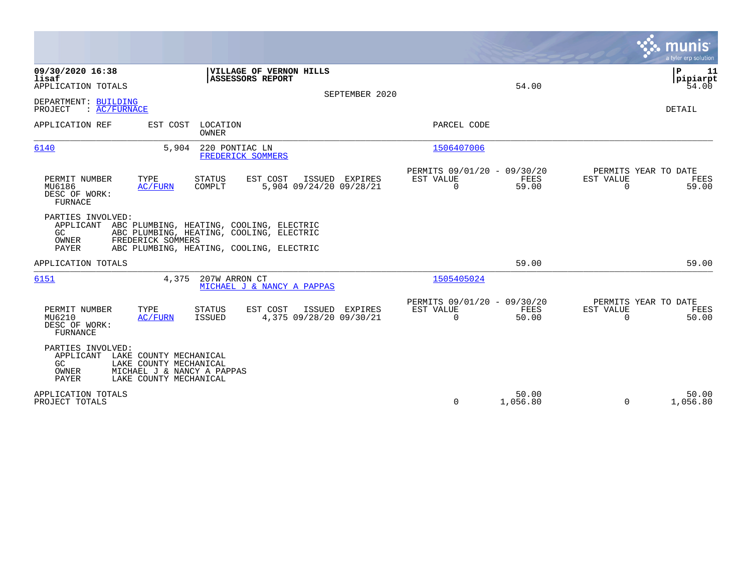|                                                                                                                                                                                                               |                                                                          | munis<br>a tyler erp solution                                     |
|---------------------------------------------------------------------------------------------------------------------------------------------------------------------------------------------------------------|--------------------------------------------------------------------------|-------------------------------------------------------------------|
| 09/30/2020 16:38<br>VILLAGE OF VERNON HILLS<br><b>ASSESSORS REPORT</b><br>lisaf<br>APPLICATION TOTALS<br>SEPTEMBER 2020                                                                                       | 54.00                                                                    | P<br>11<br> pipiarpt<br>54.00                                     |
| DEPARTMENT: BUILDING<br>: AC/FURNACE<br>PROJECT                                                                                                                                                               |                                                                          | DETAIL                                                            |
| APPLICATION REF<br>EST COST LOCATION<br>OWNER                                                                                                                                                                 | PARCEL CODE                                                              |                                                                   |
| 6140<br>5,904<br>220 PONTIAC LN<br>FREDERICK SOMMERS                                                                                                                                                          | 1506407006                                                               |                                                                   |
| PERMIT NUMBER<br>TYPE<br><b>STATUS</b><br>EST COST<br>ISSUED EXPIRES<br>5,904 09/24/20 09/28/21<br>MU6186<br>AC/FURN<br>COMPLT<br>DESC OF WORK:<br>FURNACE                                                    | PERMITS 09/01/20 - 09/30/20<br>EST VALUE<br>FEES<br>$\mathbf 0$<br>59.00 | PERMITS YEAR TO DATE<br>EST VALUE<br>FEES<br>$\mathbf 0$<br>59.00 |
| PARTIES INVOLVED:<br>APPLICANT ABC PLUMBING, HEATING, COOLING, ELECTRIC<br>GC.<br>ABC PLUMBING, HEATING, COOLING, ELECTRIC<br>OWNER<br>FREDERICK SOMMERS<br>PAYER<br>ABC PLUMBING, HEATING, COOLING, ELECTRIC |                                                                          |                                                                   |
| APPLICATION TOTALS                                                                                                                                                                                            | 59.00                                                                    | 59.00                                                             |
| 6151<br>4,375<br>207W ARRON CT<br>MICHAEL J & NANCY A PAPPAS                                                                                                                                                  | 1505405024                                                               |                                                                   |
| PERMIT NUMBER<br>TYPE<br><b>STATUS</b><br>EST COST<br>ISSUED EXPIRES<br>4,375 09/28/20 09/30/21<br><b>ISSUED</b><br>MU6210<br>AC/FURN<br>DESC OF WORK:<br>FURNANCE                                            | PERMITS 09/01/20 - 09/30/20<br>EST VALUE<br>FEES<br>$\mathbf 0$<br>50.00 | PERMITS YEAR TO DATE<br>EST VALUE<br>FEES<br>50.00<br>$\mathbf 0$ |
| PARTIES INVOLVED:<br>APPLICANT<br>LAKE COUNTY MECHANICAL<br>GC.<br>LAKE COUNTY MECHANICAL<br>OWNER<br>MICHAEL J & NANCY A PAPPAS<br>PAYER<br>LAKE COUNTY MECHANICAL                                           |                                                                          |                                                                   |
| APPLICATION TOTALS<br>PROJECT TOTALS                                                                                                                                                                          | 50.00<br>$\mathbf 0$<br>1,056.80                                         | 50.00<br>$\Omega$<br>1,056.80                                     |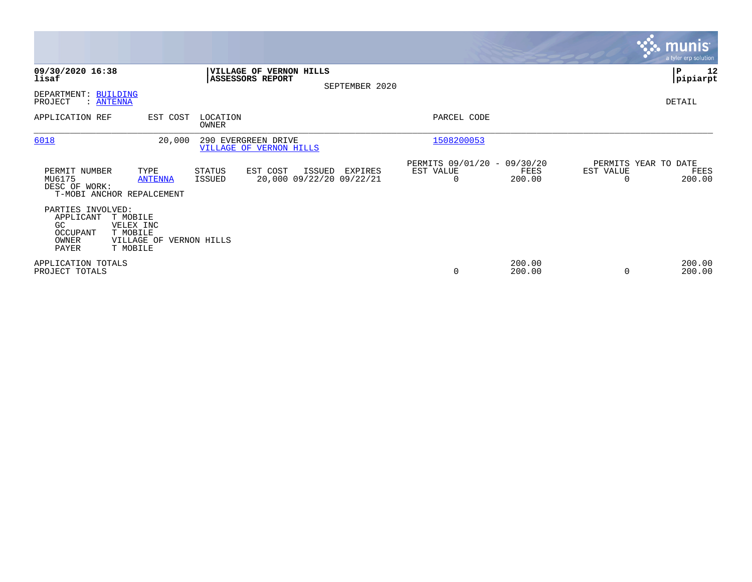|                                                                    |                                                                          |                                                |                                                |                |                                                      |                  |                                   | <b>munis</b><br>a tyler erp solution |
|--------------------------------------------------------------------|--------------------------------------------------------------------------|------------------------------------------------|------------------------------------------------|----------------|------------------------------------------------------|------------------|-----------------------------------|--------------------------------------|
| 09/30/2020 16:38<br>lisaf<br>DEPARTMENT: BUILDING                  |                                                                          | <b>ASSESSORS REPORT</b>                        | <b>VILLAGE OF VERNON HILLS</b>                 | SEPTEMBER 2020 |                                                      |                  |                                   | ∣P<br>12<br> pipiarpt                |
| PROJECT                                                            | : ANTENNA                                                                |                                                |                                                |                |                                                      |                  |                                   | DETAIL                               |
| APPLICATION REF                                                    | EST COST                                                                 | LOCATION<br>OWNER                              |                                                |                | PARCEL CODE                                          |                  |                                   |                                      |
| 6018                                                               | 20,000                                                                   | 290 EVERGREEN DRIVE<br>VILLAGE OF VERNON HILLS |                                                |                | 1508200053                                           |                  |                                   |                                      |
| PERMIT NUMBER<br>MU6175<br>DESC OF WORK:                           | TYPE<br><b>ANTENNA</b><br>T-MOBI ANCHOR REPALCEMENT                      | STATUS<br>ISSUED                               | EST COST<br>ISSUED<br>20,000 09/22/20 09/22/21 | EXPIRES        | PERMITS 09/01/20 - 09/30/20<br>EST VALUE<br>$\Omega$ | FEES<br>200.00   | PERMITS YEAR TO DATE<br>EST VALUE | FEES<br>200.00                       |
| PARTIES INVOLVED:<br>APPLICANT<br>GC<br>OCCUPANT<br>OWNER<br>PAYER | T MOBILE<br>VELEX INC<br>T MOBILE<br>VILLAGE OF VERNON HILLS<br>T MOBILE |                                                |                                                |                |                                                      |                  |                                   |                                      |
| APPLICATION TOTALS<br>PROJECT TOTALS                               |                                                                          |                                                |                                                |                | 0                                                    | 200.00<br>200.00 |                                   | 200.00<br>200.00                     |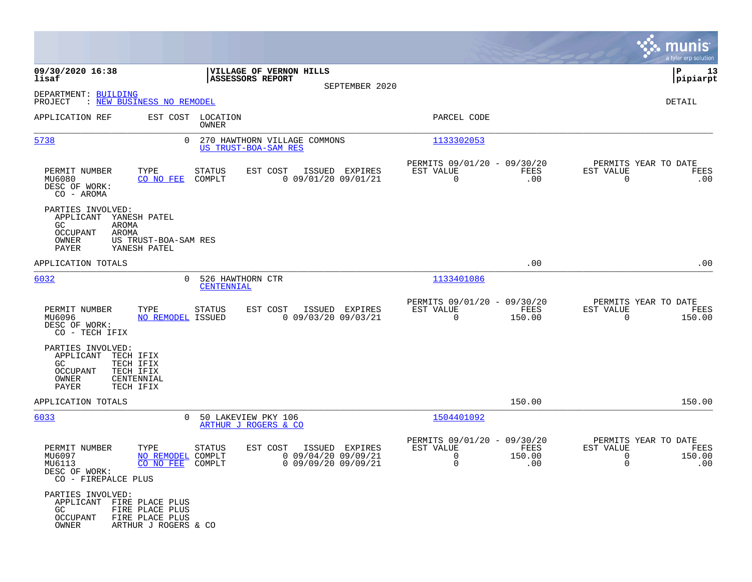|                                                                                                            |                                                                |                                                      |                         |                                                                  |                                                                 |                       |                                                       | munis<br>a tyler erp solution |
|------------------------------------------------------------------------------------------------------------|----------------------------------------------------------------|------------------------------------------------------|-------------------------|------------------------------------------------------------------|-----------------------------------------------------------------|-----------------------|-------------------------------------------------------|-------------------------------|
| 09/30/2020 16:38<br>lisaf                                                                                  |                                                                | <b>ASSESSORS REPORT</b>                              | VILLAGE OF VERNON HILLS |                                                                  |                                                                 |                       |                                                       | l P<br>13<br> pipiarpt        |
| DEPARTMENT: BUILDING<br>PROJECT                                                                            | : NEW BUSINESS NO REMODEL                                      |                                                      |                         | SEPTEMBER 2020                                                   |                                                                 |                       |                                                       | DETAIL                        |
| APPLICATION REF                                                                                            |                                                                | EST COST LOCATION<br>OWNER                           |                         |                                                                  | PARCEL CODE                                                     |                       |                                                       |                               |
| 5738                                                                                                       | $\Omega$                                                       | 270 HAWTHORN VILLAGE COMMONS<br>US TRUST-BOA-SAM RES |                         |                                                                  | 1133302053                                                      |                       |                                                       |                               |
| PERMIT NUMBER<br>MU6080<br>DESC OF WORK:<br>CO - AROMA                                                     | TYPE<br>CO NO FEE                                              | <b>STATUS</b><br>COMPLT                              | EST COST                | ISSUED EXPIRES<br>$0$ 09/01/20 09/01/21                          | PERMITS 09/01/20 - 09/30/20<br>EST VALUE<br>$\overline{0}$      | FEES<br>.00           | PERMITS YEAR TO DATE<br>EST VALUE<br>$\Omega$         | FEES<br>.00                   |
| PARTIES INVOLVED:<br>APPLICANT<br>AROMA<br>GC.<br><b>OCCUPANT</b><br><b>AROMA</b><br>OWNER<br><b>PAYER</b> | YANESH PATEL<br>US TRUST-BOA-SAM RES<br>YANESH PATEL           |                                                      |                         |                                                                  |                                                                 |                       |                                                       |                               |
| APPLICATION TOTALS                                                                                         |                                                                |                                                      |                         |                                                                  |                                                                 | .00                   |                                                       | .00                           |
| 6032                                                                                                       | $\Omega$                                                       | 526 HAWTHORN CTR<br><b>CENTENNIAL</b>                |                         |                                                                  | 1133401086                                                      |                       |                                                       |                               |
| PERMIT NUMBER<br>MU6096<br>DESC OF WORK:<br>CO - TECH IFIX                                                 | TYPE<br><b>NO REMODEL ISSUED</b>                               | STATUS                                               | EST COST                | ISSUED EXPIRES<br>$0$ 09/03/20 09/03/21                          | PERMITS 09/01/20 - 09/30/20<br>EST VALUE<br>$\overline{0}$      | FEES<br>150.00        | PERMITS YEAR TO DATE<br>EST VALUE<br>$\Omega$         | FEES<br>150.00                |
| PARTIES INVOLVED:<br>APPLICANT<br>GC.<br><b>OCCUPANT</b><br>OWNER<br>PAYER                                 | TECH IFIX<br>TECH IFIX<br>TECH IFIX<br>CENTENNIAL<br>TECH IFIX |                                                      |                         |                                                                  |                                                                 |                       |                                                       |                               |
| APPLICATION TOTALS                                                                                         |                                                                |                                                      |                         |                                                                  |                                                                 | 150.00                |                                                       | 150.00                        |
| 6033                                                                                                       | $\Omega$                                                       | 50 LAKEVIEW PKY 106<br>ARTHUR J ROGERS & CO          |                         |                                                                  | 1504401092                                                      |                       |                                                       |                               |
| PERMIT NUMBER<br>MU6097<br>MU6113<br>DESC OF WORK:<br>CO - FIREPALCE PLUS                                  | TYPE<br>NO REMODEL COMPLT<br>CO NO FEE COMPLT                  | <b>STATUS</b>                                        | EST COST                | ISSUED EXPIRES<br>$0$ 09/04/20 09/09/21<br>$0$ 09/09/20 09/09/21 | PERMITS 09/01/20 - 09/30/20<br>EST VALUE<br>0<br>$\overline{0}$ | FEES<br>150.00<br>.00 | PERMITS YEAR TO DATE<br>EST VALUE<br>$\mathbf 0$<br>0 | FEES<br>150.00<br>.00         |
| PARTIES INVOLVED:<br>APPLICANT FIRE PLACE PLUS<br>GC<br><b>OCCUPANT</b><br>OWNER                           | FIRE PLACE PLUS<br>FIRE PLACE PLUS<br>ARTHUR J ROGERS & CO     |                                                      |                         |                                                                  |                                                                 |                       |                                                       |                               |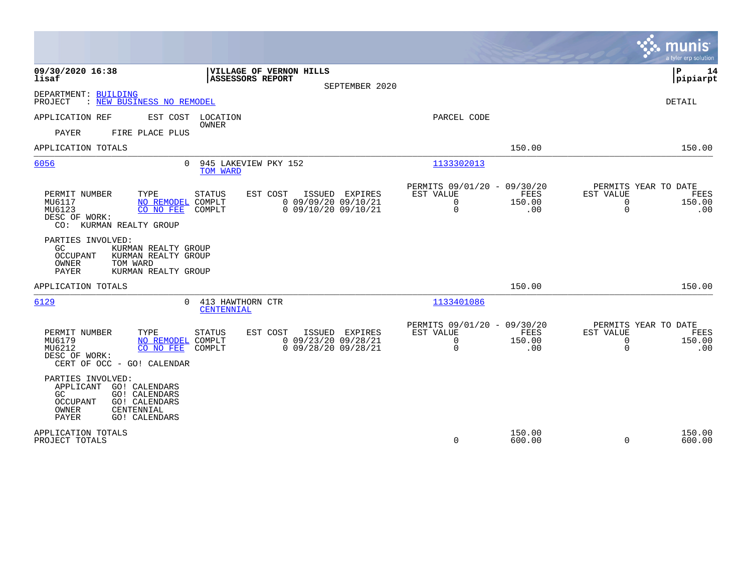|                                                                                                                                                                                                                                          |                                                                                                 | munis<br>a tyler erp solution                                               |
|------------------------------------------------------------------------------------------------------------------------------------------------------------------------------------------------------------------------------------------|-------------------------------------------------------------------------------------------------|-----------------------------------------------------------------------------|
| 09/30/2020 16:38<br>VILLAGE OF VERNON HILLS<br>ASSESSORS REPORT<br>lisaf                                                                                                                                                                 |                                                                                                 | ΙP<br>14<br> pipiarpt                                                       |
| SEPTEMBER 2020<br>DEPARTMENT: BUILDING<br>: NEW BUSINESS NO REMODEL<br>PROJECT                                                                                                                                                           |                                                                                                 | DETAIL                                                                      |
| APPLICATION REF<br>EST COST LOCATION<br>OWNER<br>FIRE PLACE PLUS<br>PAYER                                                                                                                                                                | PARCEL CODE                                                                                     |                                                                             |
| APPLICATION TOTALS                                                                                                                                                                                                                       | 150.00                                                                                          | 150.00                                                                      |
| 6056<br>945 LAKEVIEW PKY 152<br>$\Omega$<br>TOM WARD                                                                                                                                                                                     | 1133302013                                                                                      |                                                                             |
| PERMIT NUMBER<br>TYPE<br>EST COST<br>ISSUED EXPIRES<br>STATUS<br>$0$ 09/09/20 09/10/21<br>MU6117<br>NO REMODEL COMPLT<br>$0$ 09/10/20 09/10/21<br>MU6123<br>CO NO FEE<br>COMPLT<br>DESC OF WORK:<br>CO: KURMAN REALTY GROUP              | PERMITS 09/01/20 - 09/30/20<br>EST VALUE<br>FEES<br>0<br>150.00<br>$\Omega$<br>.00              | PERMITS YEAR TO DATE<br>EST VALUE<br>FEES<br>0<br>150.00<br>$\Omega$<br>.00 |
| PARTIES INVOLVED:<br>GC.<br>KURMAN REALTY GROUP<br><b>OCCUPANT</b><br>KURMAN REALTY GROUP<br>OWNER<br>TOM WARD<br><b>PAYER</b><br>KURMAN REALTY GROUP                                                                                    |                                                                                                 |                                                                             |
| APPLICATION TOTALS                                                                                                                                                                                                                       | 150.00                                                                                          | 150.00                                                                      |
| 6129<br>413 HAWTHORN CTR<br>$\Omega$<br>CENTENNIAL                                                                                                                                                                                       | 1133401086                                                                                      |                                                                             |
| PERMIT NUMBER<br>TYPE<br><b>STATUS</b><br>EST COST<br>ISSUED EXPIRES<br>$0$ 09/23/20 09/28/21<br>MU6179<br>NO REMODEL<br>COMPLT<br>MU6212<br>CO NO FEE<br>$0$ 09/28/20 09/28/21<br>COMPLT<br>DESC OF WORK:<br>CERT OF OCC - GO! CALENDAR | PERMITS 09/01/20 - 09/30/20<br>EST VALUE<br>FEES<br>$\mathbf 0$<br>150.00<br>$\mathbf 0$<br>.00 | PERMITS YEAR TO DATE<br>EST VALUE<br>FEES<br>0<br>150.00<br>$\Omega$<br>.00 |
| PARTIES INVOLVED:<br>APPLICANT<br><b>GO! CALENDARS</b><br>GC.<br><b>GO! CALENDARS</b><br>OCCUPANT<br><b>GO! CALENDARS</b><br>OWNER<br>CENTENNIAL<br>PAYER<br><b>GO! CALENDARS</b>                                                        |                                                                                                 |                                                                             |
| APPLICATION TOTALS<br>PROJECT TOTALS                                                                                                                                                                                                     | 150.00<br>0<br>600.00                                                                           | 150.00<br>0<br>600.00                                                       |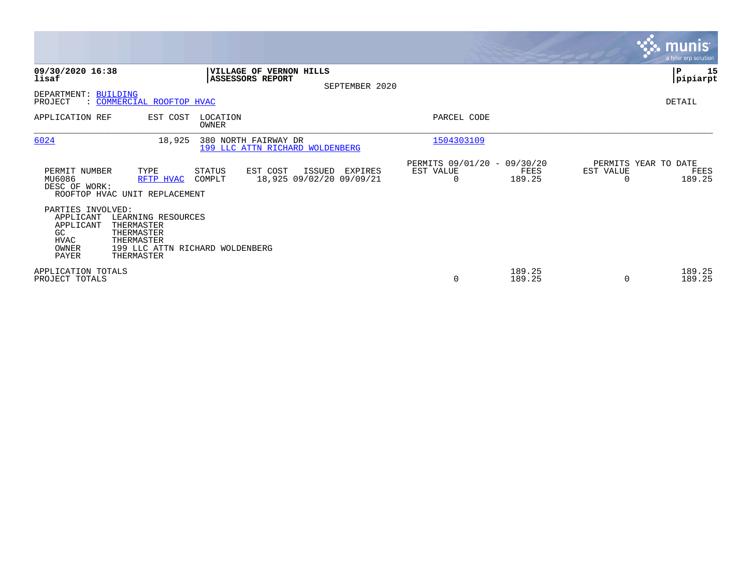|                                                                                           |                                                                                                               |                   |                                                           |                |                                                      |                  |           | <b>munis</b><br>a tyler erp solution   |
|-------------------------------------------------------------------------------------------|---------------------------------------------------------------------------------------------------------------|-------------------|-----------------------------------------------------------|----------------|------------------------------------------------------|------------------|-----------|----------------------------------------|
| 09/30/2020 16:38<br>lisaf                                                                 |                                                                                                               |                   | <b>VILLAGE OF VERNON HILLS</b><br><b>ASSESSORS REPORT</b> | SEPTEMBER 2020 |                                                      |                  |           | IΡ<br>15<br> pipiarpt                  |
| DEPARTMENT: BUILDING<br>PROJECT                                                           | : COMMERCIAL ROOFTOP HVAC                                                                                     |                   |                                                           |                |                                                      |                  |           | DETAIL                                 |
| APPLICATION REF                                                                           | EST COST                                                                                                      | LOCATION<br>OWNER |                                                           |                | PARCEL CODE                                          |                  |           |                                        |
| 6024                                                                                      | 18,925                                                                                                        |                   | 380 NORTH FAIRWAY DR<br>199 LLC ATTN RICHARD WOLDENBERG   |                | 1504303109                                           |                  |           |                                        |
| PERMIT NUMBER<br>MU6086<br>DESC OF WORK:                                                  | TYPE<br>RFTP HVAC<br>ROOFTOP HVAC UNIT REPLACEMENT                                                            | STATUS<br>COMPLT  | EST COST<br>ISSUED<br>18,925 09/02/20 09/09/21            | EXPIRES        | PERMITS 09/01/20 - 09/30/20<br>EST VALUE<br>$\Omega$ | FEES<br>189.25   | EST VALUE | PERMITS YEAR TO DATE<br>FEES<br>189.25 |
| PARTIES INVOLVED:<br>APPLICANT<br>APPLICANT<br>GC<br><b>HVAC</b><br>OWNER<br><b>PAYER</b> | LEARNING RESOURCES<br>THERMASTER<br>THERMASTER<br>THERMASTER<br>199 LLC ATTN RICHARD WOLDENBERG<br>THERMASTER |                   |                                                           |                |                                                      |                  |           |                                        |
| APPLICATION TOTALS<br>PROJECT TOTALS                                                      |                                                                                                               |                   |                                                           |                | 0                                                    | 189.25<br>189.25 |           | 189.25<br>189.25                       |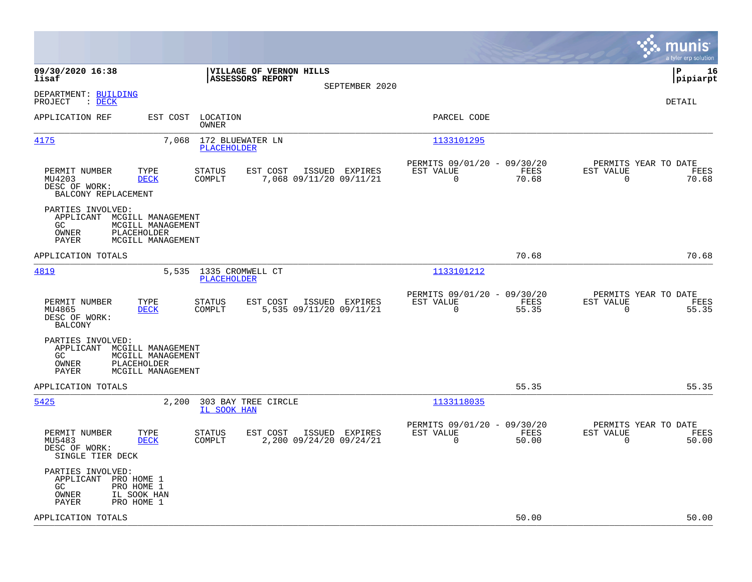|                                                                                                                                                                            |                                                                          | munis<br>a tyler erp solution                                     |
|----------------------------------------------------------------------------------------------------------------------------------------------------------------------------|--------------------------------------------------------------------------|-------------------------------------------------------------------|
| 09/30/2020 16:38<br>VILLAGE OF VERNON HILLS<br>lisaf<br><b>ASSESSORS REPORT</b><br>SEPTEMBER 2020                                                                          |                                                                          | l P<br>16<br> pipiarpt                                            |
| DEPARTMENT: BUILDING<br>PROJECT<br>$\mathcal{L}$ DECK                                                                                                                      |                                                                          | <b>DETAIL</b>                                                     |
| APPLICATION REF<br>EST COST LOCATION<br>OWNER                                                                                                                              | PARCEL CODE                                                              |                                                                   |
| 4175<br>7,068<br>172 BLUEWATER LN<br>PLACEHOLDER                                                                                                                           | 1133101295                                                               |                                                                   |
| PERMIT NUMBER<br>TYPE<br><b>STATUS</b><br>EST COST<br>ISSUED EXPIRES<br>MU4203<br><b>DECK</b><br>7,068 09/11/20 09/11/21<br>COMPLT<br>DESC OF WORK:<br>BALCONY REPLACEMENT | PERMITS 09/01/20 - 09/30/20<br>EST VALUE<br>FEES<br>$\mathbf 0$<br>70.68 | PERMITS YEAR TO DATE<br>EST VALUE<br>FEES<br>$\mathbf 0$<br>70.68 |
| PARTIES INVOLVED:<br>APPLICANT MCGILL MANAGEMENT<br>MCGILL MANAGEMENT<br>GC<br>OWNER<br>PLACEHOLDER<br>PAYER<br>MCGILL MANAGEMENT                                          |                                                                          |                                                                   |
| APPLICATION TOTALS                                                                                                                                                         | 70.68                                                                    | 70.68                                                             |
| 4819<br>5,535 1335 CROMWELL CT<br><b>PLACEHOLDER</b>                                                                                                                       | 1133101212                                                               |                                                                   |
| PERMIT NUMBER<br>TYPE<br><b>STATUS</b><br>EST COST<br>ISSUED EXPIRES<br>MU4865<br>COMPLT<br>5,535 09/11/20 09/11/21<br><b>DECK</b><br>DESC OF WORK:<br><b>BALCONY</b>      | PERMITS 09/01/20 - 09/30/20<br>EST VALUE<br>FEES<br>$\Omega$<br>55.35    | PERMITS YEAR TO DATE<br>EST VALUE<br>FEES<br>$\Omega$<br>55.35    |
| PARTIES INVOLVED:<br>APPLICANT MCGILL MANAGEMENT<br>GC<br>MCGILL MANAGEMENT<br>OWNER<br>PLACEHOLDER<br>PAYER<br>MCGILL MANAGEMENT                                          |                                                                          |                                                                   |
| APPLICATION TOTALS                                                                                                                                                         | 55.35                                                                    | 55.35                                                             |
| 5425<br>2,200 303 BAY TREE CIRCLE<br>IL SOOK HAN                                                                                                                           | 1133118035                                                               |                                                                   |
| PERMIT NUMBER<br>EST COST<br>ISSUED EXPIRES<br>TYPE<br><b>STATUS</b><br>MU5483<br>COMPLT<br>2,200 09/24/20 09/24/21<br><b>DECK</b><br>DESC OF WORK:<br>SINGLE TIER DECK    | PERMITS 09/01/20 - 09/30/20<br>EST VALUE<br>FEES<br>$\mathbf 0$<br>50.00 | PERMITS YEAR TO DATE<br>EST VALUE<br>FEES<br>$\mathbf 0$<br>50.00 |
| PARTIES INVOLVED:<br>APPLICANT PRO HOME 1<br>GC<br>PRO HOME 1<br>IL SOOK HAN<br>OWNER<br>PRO HOME 1<br>PAYER                                                               |                                                                          |                                                                   |
| APPLICATION TOTALS                                                                                                                                                         | 50.00                                                                    | 50.00                                                             |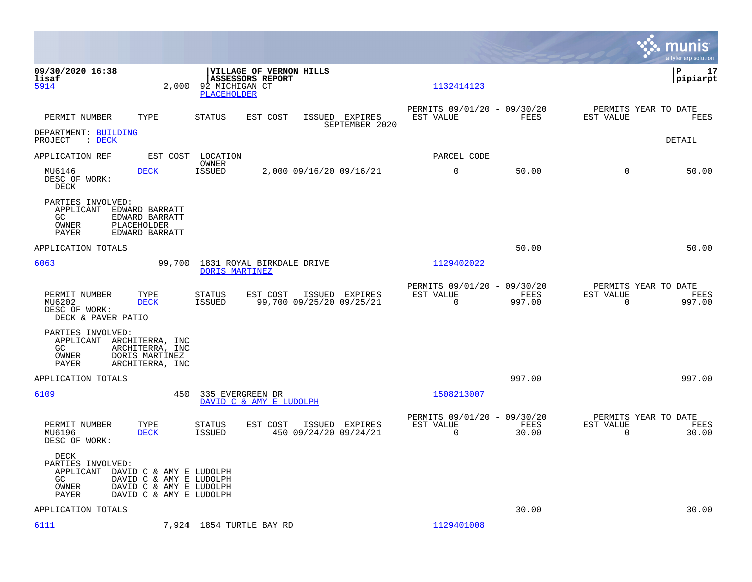|                                                                        |                                                                                                          |                                                          |                                      |                                  |                                                         |                |                          | munis<br>a tyler erp solution          |
|------------------------------------------------------------------------|----------------------------------------------------------------------------------------------------------|----------------------------------------------------------|--------------------------------------|----------------------------------|---------------------------------------------------------|----------------|--------------------------|----------------------------------------|
| 09/30/2020 16:38<br>lisaf<br>5914                                      | 2,000                                                                                                    | <b>ASSESSORS REPORT</b><br>92 MICHIGAN CT<br>PLACEHOLDER | <b>VILLAGE OF VERNON HILLS</b>       |                                  | 1132414123                                              |                |                          | l P<br>17<br> pipiarpt                 |
| PERMIT NUMBER                                                          | TYPE                                                                                                     | <b>STATUS</b>                                            | EST COST                             | ISSUED EXPIRES<br>SEPTEMBER 2020 | PERMITS 09/01/20 - 09/30/20<br>EST VALUE                | FEES           | EST VALUE                | PERMITS YEAR TO DATE<br>FEES           |
| DEPARTMENT: BUILDING<br>PROJECT<br>: DECK                              |                                                                                                          |                                                          |                                      |                                  |                                                         |                |                          | <b>DETAIL</b>                          |
| APPLICATION REF                                                        | EST COST                                                                                                 | LOCATION<br>OWNER                                        |                                      |                                  | PARCEL CODE                                             |                |                          |                                        |
| MU6146<br>DESC OF WORK:<br>DECK                                        | <b>DECK</b>                                                                                              | ISSUED                                                   | 2,000 09/16/20 09/16/21              |                                  | $\mathbf 0$                                             | 50.00          | $\mathbf 0$              | 50.00                                  |
| PARTIES INVOLVED:<br>APPLICANT<br>GC<br>OWNER<br>PAYER                 | EDWARD BARRATT<br>EDWARD BARRATT<br>PLACEHOLDER<br>EDWARD BARRATT                                        |                                                          |                                      |                                  |                                                         |                |                          |                                        |
| APPLICATION TOTALS                                                     |                                                                                                          |                                                          |                                      |                                  |                                                         | 50.00          |                          | 50.00                                  |
| 6063                                                                   | 99,700                                                                                                   | DORIS MARTINEZ                                           | 1831 ROYAL BIRKDALE DRIVE            |                                  | 1129402022                                              |                |                          |                                        |
| PERMIT NUMBER<br>MU6202<br>DESC OF WORK:<br>DECK & PAVER PATIO         | TYPE<br><b>DECK</b>                                                                                      | STATUS<br>ISSUED                                         | EST COST<br>99,700 09/25/20 09/25/21 | ISSUED EXPIRES                   | PERMITS 09/01/20 - 09/30/20<br>EST VALUE<br>$\mathbf 0$ | FEES<br>997.00 | EST VALUE<br>$\mathbf 0$ | PERMITS YEAR TO DATE<br>FEES<br>997.00 |
| PARTIES INVOLVED:<br>APPLICANT ARCHITERRA, INC<br>GC<br>OWNER<br>PAYER | ARCHITERRA, INC<br>DORIS MARTINEZ<br>ARCHITERRA, INC                                                     |                                                          |                                      |                                  |                                                         |                |                          |                                        |
| APPLICATION TOTALS                                                     |                                                                                                          |                                                          |                                      |                                  |                                                         | 997.00         |                          | 997.00                                 |
| 6109                                                                   | 450                                                                                                      | 335 EVERGREEN DR<br>DAVID C & AMY E LUDOLPH              |                                      |                                  | 1508213007                                              |                |                          |                                        |
| PERMIT NUMBER<br>MU6196<br>DESC OF WORK:                               | TYPE<br><b>DECK</b>                                                                                      | STATUS<br><b>ISSUED</b>                                  | EST COST<br>450 09/24/20 09/24/21    | ISSUED EXPIRES                   | PERMITS 09/01/20 - 09/30/20<br>EST VALUE<br>$\mathbf 0$ | FEES<br>30.00  | EST VALUE<br>$\mathbf 0$ | PERMITS YEAR TO DATE<br>FEES<br>30.00  |
| DECK<br>PARTIES INVOLVED:<br>APPLICANT<br>GC<br><b>OWNER</b><br>PAYER  | DAVID C & AMY E LUDOLPH<br>DAVID C & AMY E LUDOLPH<br>DAVID C & AMY E LUDOLPH<br>DAVID C & AMY E LUDOLPH |                                                          |                                      |                                  |                                                         |                |                          |                                        |
| APPLICATION TOTALS                                                     |                                                                                                          |                                                          |                                      |                                  |                                                         | 30.00          |                          | 30.00                                  |
| 6111                                                                   |                                                                                                          | 7,924 1854 TURTLE BAY RD                                 |                                      |                                  | 1129401008                                              |                |                          |                                        |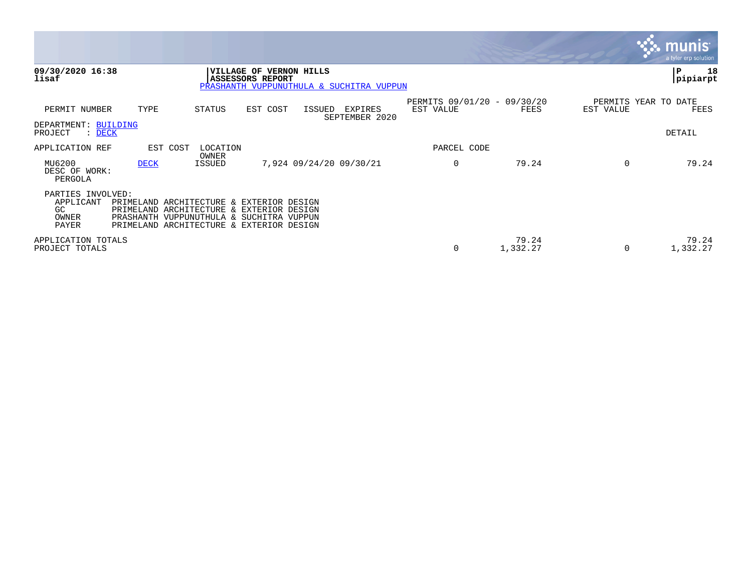|                                                         |                                                                                                                                                            |                 |                                             |        |                                          |                                          |                   |                                   | $\overline{\mathsf{m} \mathsf{u}}$ nıs'<br>a tyler erp solution |
|---------------------------------------------------------|------------------------------------------------------------------------------------------------------------------------------------------------------------|-----------------|---------------------------------------------|--------|------------------------------------------|------------------------------------------|-------------------|-----------------------------------|-----------------------------------------------------------------|
| 09/30/2020 16:38<br>lisaf                               |                                                                                                                                                            |                 | VILLAGE OF VERNON HILLS<br>ASSESSORS REPORT |        | PRASHANTH VUPPUNUTHULA & SUCHITRA VUPPUN |                                          |                   |                                   | 18<br> P<br> pipiarpt                                           |
| PERMIT NUMBER                                           | TYPE                                                                                                                                                       | <b>STATUS</b>   | EST COST                                    | ISSUED | EXPIRES<br>SEPTEMBER 2020                | PERMITS 09/01/20 - 09/30/20<br>EST VALUE | FEES              | PERMITS YEAR TO DATE<br>EST VALUE | FEES                                                            |
| DEPARTMENT: BUILDING<br>PROJECT<br>$\therefore$ DECK    |                                                                                                                                                            |                 |                                             |        |                                          |                                          |                   |                                   | DETAIL                                                          |
| APPLICATION REF                                         | EST COST                                                                                                                                                   | LOCATION        |                                             |        |                                          | PARCEL CODE                              |                   |                                   |                                                                 |
| MU6200<br>DESC OF WORK:<br>PERGOLA                      | <b>DECK</b>                                                                                                                                                | OWNER<br>ISSUED |                                             |        | 7,924 09/24/20 09/30/21                  | $\mathbf 0$                              | 79.24             | $\Omega$                          | 79.24                                                           |
| PARTIES INVOLVED:<br>APPLICANT<br>GC.<br>OWNER<br>PAYER | PRIMELAND ARCHITECTURE & EXTERIOR DESIGN<br>PRIMELAND ARCHITECTURE & EXTERIOR DESIGN<br>PRASHANTH VUPPUNUTHULA<br>PRIMELAND ARCHITECTURE & EXTERIOR DESIGN |                 | & SUCHITRA VUPPUN                           |        |                                          |                                          |                   |                                   |                                                                 |
| APPLICATION TOTALS<br>PROJECT TOTALS                    |                                                                                                                                                            |                 |                                             |        |                                          | $\mathbf 0$                              | 79.24<br>1,332.27 | 0                                 | 79.24<br>1,332.27                                               |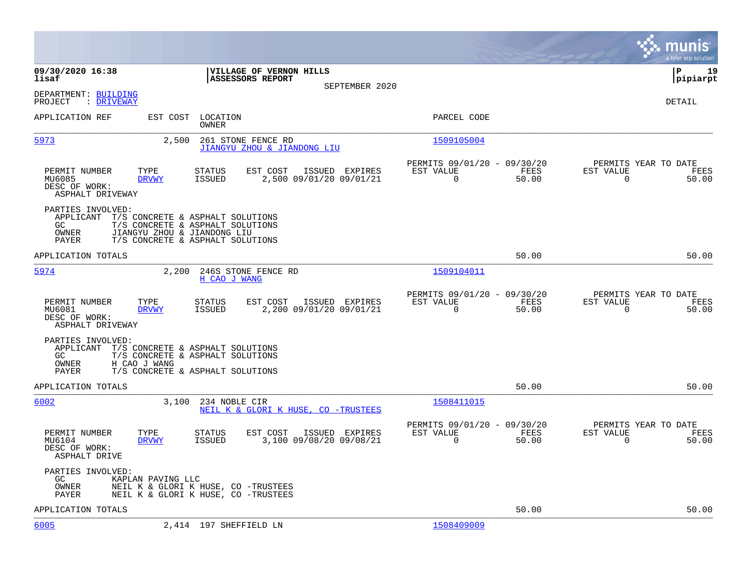|                                                              |                                                                                                                                         |                                                                          | munis<br>a tyler erp solution                                     |
|--------------------------------------------------------------|-----------------------------------------------------------------------------------------------------------------------------------------|--------------------------------------------------------------------------|-------------------------------------------------------------------|
| 09/30/2020 16:38<br>lisaf                                    | VILLAGE OF VERNON HILLS<br><b>ASSESSORS REPORT</b><br>SEPTEMBER 2020                                                                    |                                                                          | P<br>19<br> pipiarpt                                              |
| DEPARTMENT: BUILDING<br>PROJECT<br>: DRIVEWAY                |                                                                                                                                         |                                                                          | DETAIL                                                            |
| APPLICATION REF                                              | LOCATION<br>EST COST<br>OWNER                                                                                                           | PARCEL CODE                                                              |                                                                   |
| 5973                                                         | 261 STONE FENCE RD<br>2,500<br>JIANGYU ZHOU & JIANDONG LIU                                                                              | 1509105004                                                               |                                                                   |
| PERMIT NUMBER<br>MU6085<br>DESC OF WORK:<br>ASPHALT DRIVEWAY | TYPE<br>STATUS<br>EST COST<br>ISSUED EXPIRES<br>2,500 09/01/20 09/01/21<br><b>DRVWY</b><br>ISSUED                                       | PERMITS 09/01/20 - 09/30/20<br>EST VALUE<br>FEES<br>$\mathbf 0$<br>50.00 | PERMITS YEAR TO DATE<br>EST VALUE<br>FEES<br>$\mathbf 0$<br>50.00 |
| PARTIES INVOLVED:<br>APPLICANT<br>GC<br>OWNER<br>PAYER       | T/S CONCRETE & ASPHALT SOLUTIONS<br>T/S CONCRETE & ASPHALT SOLUTIONS<br>JIANGYU ZHOU & JIANDONG LIU<br>T/S CONCRETE & ASPHALT SOLUTIONS |                                                                          |                                                                   |
| APPLICATION TOTALS                                           |                                                                                                                                         | 50.00                                                                    | 50.00                                                             |
| 5974                                                         | 2,200<br>246S STONE FENCE RD<br>H CAO J WANG                                                                                            | 1509104011                                                               |                                                                   |
| PERMIT NUMBER<br>MU6081<br>DESC OF WORK:<br>ASPHALT DRIVEWAY | EST COST<br>TYPE<br><b>STATUS</b><br>ISSUED EXPIRES<br>ISSUED<br>2,200 09/01/20 09/01/21<br><b>DRVWY</b>                                | PERMITS 09/01/20 - 09/30/20<br>FEES<br>EST VALUE<br>$\mathbf 0$<br>50.00 | PERMITS YEAR TO DATE<br>EST VALUE<br>FEES<br>0<br>50.00           |
| PARTIES INVOLVED:<br>APPLICANT<br>GC<br>OWNER<br>PAYER       | T/S CONCRETE & ASPHALT SOLUTIONS<br>T/S CONCRETE & ASPHALT SOLUTIONS<br>H CAO J WANG<br>T/S CONCRETE & ASPHALT SOLUTIONS                |                                                                          |                                                                   |
| APPLICATION TOTALS                                           |                                                                                                                                         | 50.00                                                                    | 50.00                                                             |
| 6002                                                         | 3,100<br>234 NOBLE CIR<br>NEIL K & GLORI K HUSE, CO -TRUSTEES                                                                           | 1508411015                                                               |                                                                   |
| PERMIT NUMBER<br>MU6104<br>DESC OF WORK:<br>ASPHALT DRIVE    | TYPE<br>STATUS<br>EST COST<br>ISSUED EXPIRES<br>3,100 09/08/20 09/08/21<br><b>DRVWY</b><br><b>ISSUED</b>                                | PERMITS 09/01/20 - 09/30/20<br>EST VALUE<br>FEES<br>$\mathbf 0$<br>50.00 | PERMITS YEAR TO DATE<br>EST VALUE<br>FEES<br>$\mathbf 0$<br>50.00 |
| PARTIES INVOLVED:<br>GC<br>OWNER<br>PAYER                    | KAPLAN PAVING LLC<br>NEIL K & GLORI K HUSE, CO -TRUSTEES<br>NEIL K & GLORI K HUSE, CO -TRUSTEES                                         |                                                                          |                                                                   |
| APPLICATION TOTALS                                           |                                                                                                                                         | 50.00                                                                    | 50.00                                                             |
| 6005                                                         | 2,414 197 SHEFFIELD LN                                                                                                                  | 1508409009                                                               |                                                                   |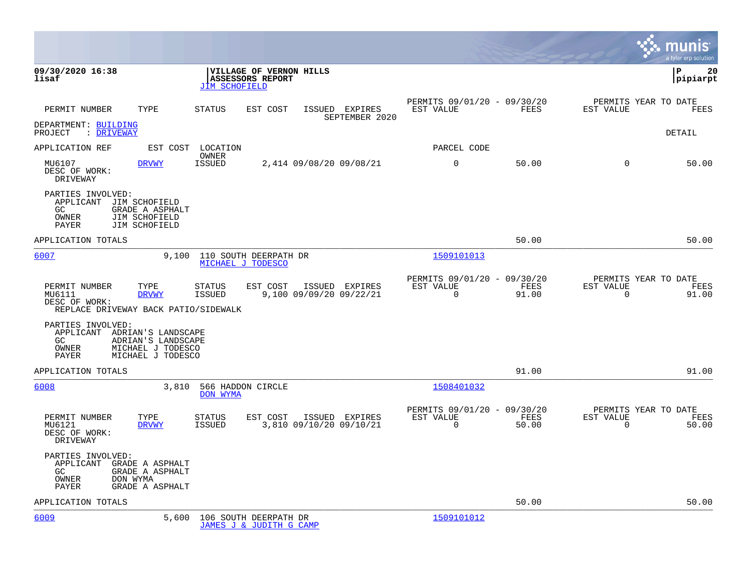|                                                                                                                                                  |                                                                                         |                                                         |               | munis<br>a tyler erp solution                                     |
|--------------------------------------------------------------------------------------------------------------------------------------------------|-----------------------------------------------------------------------------------------|---------------------------------------------------------|---------------|-------------------------------------------------------------------|
| 09/30/2020 16:38<br>lisaf                                                                                                                        | VILLAGE OF VERNON HILLS<br><b>ASSESSORS REPORT</b><br><b>JIM SCHOFIELD</b>              |                                                         |               | ΙP<br>20<br> pipiarpt                                             |
| TYPE<br>PERMIT NUMBER                                                                                                                            | <b>STATUS</b><br>EST COST<br>ISSUED EXPIRES<br>SEPTEMBER 2020                           | PERMITS 09/01/20 - 09/30/20<br>EST VALUE                | FEES          | PERMITS YEAR TO DATE<br>EST VALUE<br>FEES                         |
| DEPARTMENT: BUILDING<br>: DRIVEWAY<br>PROJECT                                                                                                    |                                                                                         |                                                         |               | DETAIL                                                            |
| APPLICATION REF                                                                                                                                  | EST COST LOCATION                                                                       | PARCEL CODE                                             |               |                                                                   |
| MU6107<br><b>DRVWY</b><br>DESC OF WORK:<br>DRIVEWAY                                                                                              | OWNER<br><b>ISSUED</b><br>2,414 09/08/20 09/08/21                                       | $\mathbf 0$                                             | 50.00         | $\Omega$<br>50.00                                                 |
| PARTIES INVOLVED:<br>APPLICANT<br>JIM SCHOFIELD<br>GC.<br><b>GRADE A ASPHALT</b><br>OWNER<br>JIM SCHOFIELD<br>JIM SCHOFIELD<br>PAYER             |                                                                                         |                                                         |               |                                                                   |
| APPLICATION TOTALS                                                                                                                               |                                                                                         |                                                         | 50.00         | 50.00                                                             |
| 6007<br>9,100                                                                                                                                    | 110 SOUTH DEERPATH DR<br>MICHAEL J TODESCO                                              | 1509101013                                              |               |                                                                   |
| PERMIT NUMBER<br>TYPE<br><b>DRVWY</b><br>MU6111<br>DESC OF WORK:<br>REPLACE DRIVEWAY BACK PATIO/SIDEWALK                                         | EST COST<br>ISSUED EXPIRES<br><b>STATUS</b><br><b>ISSUED</b><br>9,100 09/09/20 09/22/21 | PERMITS 09/01/20 - 09/30/20<br>EST VALUE<br>$\mathbf 0$ | FEES<br>91.00 | PERMITS YEAR TO DATE<br>EST VALUE<br>FEES<br>$\mathbf 0$<br>91.00 |
| PARTIES INVOLVED:<br>APPLICANT ADRIAN'S LANDSCAPE<br>ADRIAN'S LANDSCAPE<br>GC<br>MICHAEL J TODESCO<br>OWNER<br><b>PAYER</b><br>MICHAEL J TODESCO |                                                                                         |                                                         |               |                                                                   |
| APPLICATION TOTALS                                                                                                                               |                                                                                         |                                                         | 91.00         | 91.00                                                             |
| 6008<br>3,810                                                                                                                                    | 566 HADDON CIRCLE<br><b>DON WYMA</b>                                                    | 1508401032                                              |               |                                                                   |
| TYPE<br>PERMIT NUMBER<br><b>DRVWY</b><br>MU6121<br>DESC OF WORK:<br>DRIVEWAY                                                                     | <b>STATUS</b><br>EST COST<br>ISSUED EXPIRES<br><b>ISSUED</b><br>3,810 09/10/20 09/10/21 | PERMITS 09/01/20 - 09/30/20<br>EST VALUE<br>$\Omega$    | FEES<br>50.00 | PERMITS YEAR TO DATE<br>EST VALUE<br>FEES<br>$\Omega$<br>50.00    |
| PARTIES INVOLVED:<br>APPLICANT<br>GRADE A ASPHALT<br><b>GRADE A ASPHALT</b><br>GC<br>OWNER<br>DON WYMA<br><b>PAYER</b><br>GRADE A ASPHALT        |                                                                                         |                                                         |               |                                                                   |
| APPLICATION TOTALS                                                                                                                               |                                                                                         |                                                         | 50.00         | 50.00                                                             |
| 6009                                                                                                                                             | 5,600 106 SOUTH DEERPATH DR<br>JAMES J & JUDITH G CAMP                                  | 1509101012                                              |               |                                                                   |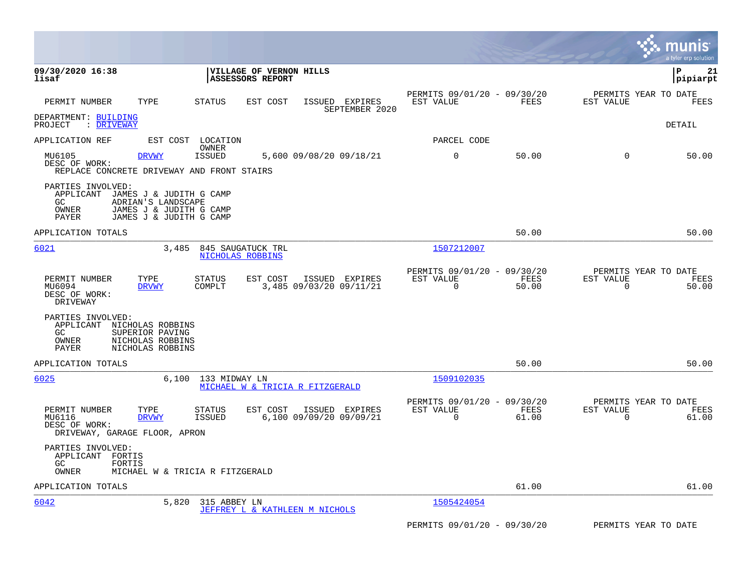|                                                                                                                                                                |                                                                                  |                                                                       | munis<br>a tyler erp solution                                     |
|----------------------------------------------------------------------------------------------------------------------------------------------------------------|----------------------------------------------------------------------------------|-----------------------------------------------------------------------|-------------------------------------------------------------------|
| 09/30/2020 16:38<br>lisaf                                                                                                                                      | VILLAGE OF VERNON HILLS<br><b>ASSESSORS REPORT</b>                               |                                                                       | l P<br>21<br> pipiarpt                                            |
| TYPE<br>PERMIT NUMBER                                                                                                                                          | STATUS<br>EST COST<br>ISSUED EXPIRES<br>SEPTEMBER 2020                           | PERMITS 09/01/20 - 09/30/20<br>EST VALUE<br>FEES                      | PERMITS YEAR TO DATE<br>EST VALUE<br>FEES                         |
| DEPARTMENT: BUILDING<br>PROJECT<br>: <u>DRIVEWAY</u>                                                                                                           |                                                                                  |                                                                       | DETAIL                                                            |
| EST COST<br>APPLICATION REF                                                                                                                                    | LOCATION                                                                         | PARCEL CODE                                                           |                                                                   |
| MU6105<br><b>DRVWY</b><br>DESC OF WORK:<br>REPLACE CONCRETE DRIVEWAY AND FRONT STAIRS                                                                          | OWNER<br>5,600 09/08/20 09/18/21<br><b>ISSUED</b>                                | 0<br>50.00                                                            | $\Omega$<br>50.00                                                 |
| PARTIES INVOLVED:<br>APPLICANT<br>JAMES J & JUDITH G CAMP<br>GC.<br>ADRIAN'S LANDSCAPE<br>OWNER<br>JAMES J & JUDITH G CAMP<br>PAYER<br>JAMES J & JUDITH G CAMP |                                                                                  |                                                                       |                                                                   |
| APPLICATION TOTALS                                                                                                                                             |                                                                                  | 50.00                                                                 | 50.00                                                             |
| 6021                                                                                                                                                           | 3,485<br>845 SAUGATUCK TRL<br><b>NICHOLAS ROBBINS</b>                            | 1507212007                                                            |                                                                   |
| TYPE<br>PERMIT NUMBER<br>MU6094<br><b>DRVWY</b><br>DESC OF WORK:<br>DRIVEWAY                                                                                   | EST COST<br>STATUS<br>ISSUED EXPIRES<br>3,485 09/03/20 09/11/21<br>COMPLT        | PERMITS 09/01/20 - 09/30/20<br>FEES<br>EST VALUE<br>$\Omega$<br>50.00 | PERMITS YEAR TO DATE<br>EST VALUE<br>FEES<br>$\mathbf 0$<br>50.00 |
| PARTIES INVOLVED:<br>APPLICANT<br>NICHOLAS ROBBINS<br>GC<br>SUPERIOR PAVING<br>OWNER<br>NICHOLAS ROBBINS<br>PAYER<br>NICHOLAS ROBBINS                          |                                                                                  |                                                                       |                                                                   |
| APPLICATION TOTALS                                                                                                                                             |                                                                                  | 50.00                                                                 | 50.00                                                             |
| 6025                                                                                                                                                           | 6,100<br>133 MIDWAY LN<br>MICHAEL W & TRICIA R FITZGERALD                        | 1509102035                                                            |                                                                   |
| PERMIT NUMBER<br>TYPE<br>MU6116<br><b>DRVWY</b><br>DESC OF WORK:<br>DRIVEWAY, GARAGE FLOOR, APRON                                                              | STATUS<br>EST COST<br>ISSUED EXPIRES<br><b>ISSUED</b><br>6,100 09/09/20 09/09/21 | PERMITS 09/01/20 - 09/30/20<br>EST VALUE<br>FEES<br>0<br>61.00        | PERMITS YEAR TO DATE<br>EST VALUE<br>FEES<br>$\mathbf 0$<br>61.00 |
| PARTIES INVOLVED:<br>APPLICANT FORTIS<br>GC<br>FORTIS<br>OWNER                                                                                                 | MICHAEL W & TRICIA R FITZGERALD                                                  |                                                                       |                                                                   |
| APPLICATION TOTALS                                                                                                                                             |                                                                                  | 61.00                                                                 | 61.00                                                             |
| 6042                                                                                                                                                           | 5,820<br>315 ABBEY LN<br>JEFFREY L & KATHLEEN M NICHOLS                          | 1505424054                                                            |                                                                   |
|                                                                                                                                                                |                                                                                  | PERMITS 09/01/20 - 09/30/20                                           | PERMITS YEAR TO DATE                                              |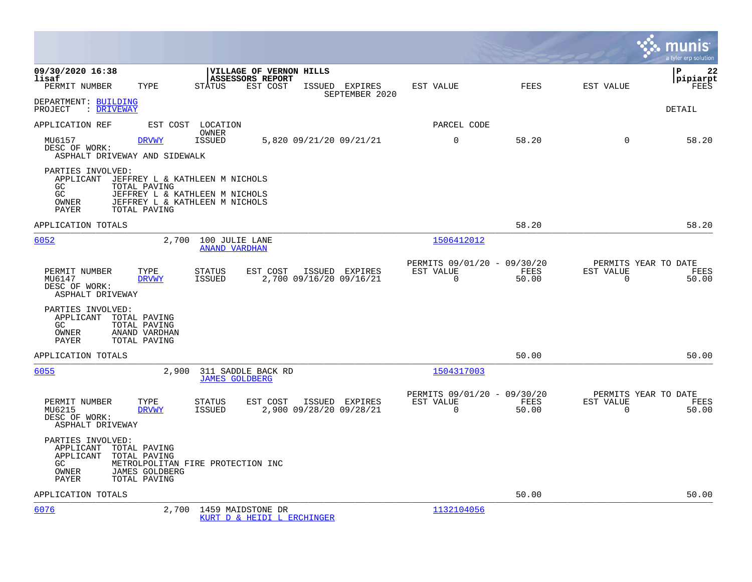|                                                                                                                                                                                                    |                                           |                                                         |               |                          | munis<br>a tyler erp solution         |
|----------------------------------------------------------------------------------------------------------------------------------------------------------------------------------------------------|-------------------------------------------|---------------------------------------------------------|---------------|--------------------------|---------------------------------------|
| 09/30/2020 16:38<br><b>VILLAGE OF VERNON HILLS</b><br>lisaf<br><b>ASSESSORS REPORT</b><br>EST COST<br>PERMIT NUMBER<br>TYPE<br><b>STATUS</b>                                                       | ISSUED EXPIRES                            | EST VALUE                                               | <b>FEES</b>   | EST VALUE                | l P<br>22<br>pipiarpt<br>FEES         |
| DEPARTMENT: BUILDING<br>: DRIVEWAY<br>PROJECT                                                                                                                                                      | SEPTEMBER 2020                            |                                                         |               |                          | DETAIL                                |
| APPLICATION REF<br>EST COST LOCATION                                                                                                                                                               |                                           | PARCEL CODE                                             |               |                          |                                       |
| OWNER<br>MU6157<br><b>ISSUED</b><br><b>DRVWY</b><br>DESC OF WORK:<br>ASPHALT DRIVEWAY AND SIDEWALK                                                                                                 | 5,820 09/21/20 09/21/21                   | $\mathbf 0$                                             | 58.20         | $\Omega$                 | 58.20                                 |
| PARTIES INVOLVED:<br>APPLICANT<br>JEFFREY L & KATHLEEN M NICHOLS<br>TOTAL PAVING<br>GC<br>GC<br>JEFFREY L & KATHLEEN M NICHOLS<br>OWNER<br>JEFFREY L & KATHLEEN M NICHOLS<br>PAYER<br>TOTAL PAVING |                                           |                                                         |               |                          |                                       |
| APPLICATION TOTALS                                                                                                                                                                                 |                                           |                                                         | 58.20         |                          | 58.20                                 |
| 6052<br>2,700<br>100 JULIE LANE<br><b>ANAND VARDHAN</b>                                                                                                                                            |                                           | 1506412012                                              |               |                          |                                       |
| PERMIT NUMBER<br>TYPE<br><b>STATUS</b><br>EST COST<br>MU6147<br><b>DRVWY</b><br><b>ISSUED</b><br>DESC OF WORK:<br>ASPHALT DRIVEWAY                                                                 | ISSUED EXPIRES<br>2,700 09/16/20 09/16/21 | PERMITS 09/01/20 - 09/30/20<br>EST VALUE<br>$\mathbf 0$ | FEES<br>50.00 | EST VALUE<br>$\mathbf 0$ | PERMITS YEAR TO DATE<br>FEES<br>50.00 |
| PARTIES INVOLVED:<br>APPLICANT<br>TOTAL PAVING<br>TOTAL PAVING<br>GC.<br>OWNER<br>ANAND VARDHAN<br>PAYER<br>TOTAL PAVING                                                                           |                                           |                                                         |               |                          |                                       |
| APPLICATION TOTALS                                                                                                                                                                                 |                                           |                                                         | 50.00         |                          | 50.00                                 |
| 6055<br>2,900<br>311 SADDLE BACK RD<br><b>JAMES GOLDBERG</b>                                                                                                                                       |                                           | 1504317003                                              |               |                          |                                       |
| PERMIT NUMBER<br>TYPE<br>EST COST<br><b>STATUS</b><br>MU6215<br><b>DRVWY</b><br>ISSUED<br>DESC OF WORK:<br>ASPHALT DRIVEWAY                                                                        | ISSUED EXPIRES<br>2,900 09/28/20 09/28/21 | PERMITS 09/01/20 - 09/30/20<br>EST VALUE<br>$\mathbf 0$ | FEES<br>50.00 | EST VALUE<br>$\Omega$    | PERMITS YEAR TO DATE<br>FEES<br>50.00 |
| PARTIES INVOLVED:<br>APPLICANT<br>TOTAL PAVING<br>APPLICANT<br>TOTAL PAVING<br>GC.<br>METROLPOLITAN FIRE PROTECTION INC<br>OWNER<br>JAMES GOLDBERG<br>TOTAL PAVING<br>PAYER                        |                                           |                                                         |               |                          |                                       |
| APPLICATION TOTALS                                                                                                                                                                                 |                                           |                                                         | 50.00         |                          | 50.00                                 |
| 6076<br>2,700<br>1459 MAIDSTONE DR<br>KURT D & HEIDI L ERCHINGER                                                                                                                                   |                                           | 1132104056                                              |               |                          |                                       |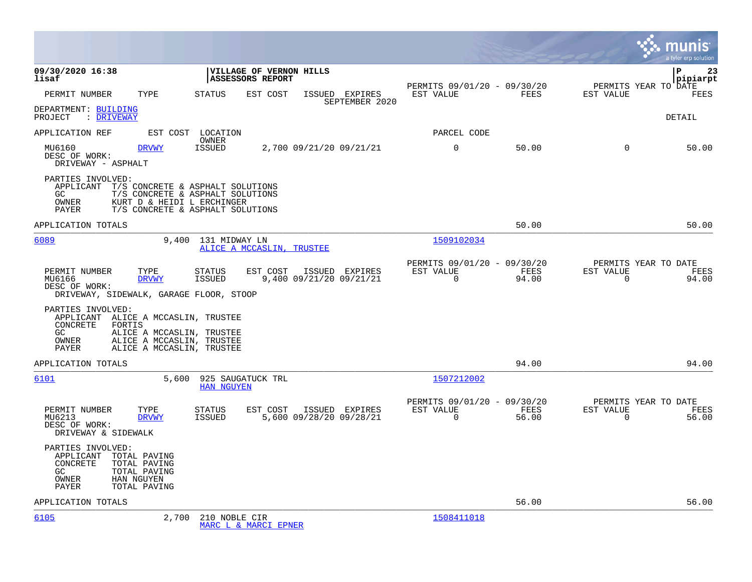|                                                                                                                                                  |                                                                                                                                                  |                                                    |                                  |                                                      |               |                          | a tyler erp solution                           |
|--------------------------------------------------------------------------------------------------------------------------------------------------|--------------------------------------------------------------------------------------------------------------------------------------------------|----------------------------------------------------|----------------------------------|------------------------------------------------------|---------------|--------------------------|------------------------------------------------|
| 09/30/2020 16:38<br>lisaf                                                                                                                        |                                                                                                                                                  | VILLAGE OF VERNON HILLS<br><b>ASSESSORS REPORT</b> |                                  | PERMITS 09/01/20 - 09/30/20                          |               |                          | l P<br>23<br> pipiarpt<br>PERMITS YEAR TO DATE |
| PERMIT NUMBER                                                                                                                                    | TYPE<br>STATUS                                                                                                                                   | EST COST                                           | ISSUED EXPIRES<br>SEPTEMBER 2020 | EST VALUE                                            | FEES          | EST VALUE                | FEES                                           |
| DEPARTMENT: BUILDING<br>: <u>DRIVEWAY</u><br>PROJECT                                                                                             |                                                                                                                                                  |                                                    |                                  |                                                      |               |                          | <b>DETAIL</b>                                  |
| APPLICATION REF                                                                                                                                  | EST COST LOCATION<br>OWNER                                                                                                                       |                                                    |                                  | PARCEL CODE                                          |               |                          |                                                |
| MU6160<br>DESC OF WORK:<br>DRIVEWAY - ASPHALT                                                                                                    | <b>ISSUED</b><br><b>DRVWY</b>                                                                                                                    | 2,700 09/21/20 09/21/21                            |                                  | $\mathbf 0$                                          | 50.00         | $\mathbf 0$              | 50.00                                          |
| PARTIES INVOLVED:<br>GC.<br>$\sqrt{\text{OWNER}}$<br>PAYER                                                                                       | APPLICANT T/S CONCRETE & ASPHALT SOLUTIONS<br>T/S CONCRETE & ASPHALT SOLUTIONS<br>KURT D & HEIDI L ERCHINGER<br>T/S CONCRETE & ASPHALT SOLUTIONS |                                                    |                                  |                                                      |               |                          |                                                |
| APPLICATION TOTALS                                                                                                                               |                                                                                                                                                  |                                                    |                                  |                                                      | 50.00         |                          | 50.00                                          |
| 6089                                                                                                                                             | 9,400<br>131 MIDWAY LN                                                                                                                           | ALICE A MCCASLIN, TRUSTEE                          |                                  | 1509102034                                           |               |                          |                                                |
| PERMIT NUMBER<br>MU6166<br>DESC OF WORK:                                                                                                         | TYPE<br>STATUS<br><b>DRVWY</b><br><b>ISSUED</b><br>DRIVEWAY, SIDEWALK, GARAGE FLOOR, STOOP                                                       | EST COST<br>9,400 09/21/20 09/21/21                | ISSUED EXPIRES                   | PERMITS 09/01/20 - 09/30/20<br>EST VALUE<br>$\Omega$ | FEES<br>94.00 | EST VALUE<br>$\Omega$    | PERMITS YEAR TO DATE<br>FEES<br>94.00          |
| PARTIES INVOLVED:<br>APPLICANT ALICE A MCCASLIN, TRUSTEE<br>CONCRETE<br>FORTIS<br>GC<br>OWNER<br>PAYER                                           | ALICE A MCCASLIN, TRUSTEE<br>ALICE A MCCASLIN, TRUSTEE<br>ALICE A MCCASLIN, TRUSTEE                                                              |                                                    |                                  |                                                      |               |                          |                                                |
| APPLICATION TOTALS                                                                                                                               |                                                                                                                                                  |                                                    |                                  |                                                      | 94.00         |                          | 94.00                                          |
| 6101                                                                                                                                             | 5,600<br>925 SAUGATUCK TRL<br><b>HAN NGUYEN</b>                                                                                                  |                                                    |                                  | 1507212002                                           |               |                          |                                                |
| PERMIT NUMBER<br>MU6213<br>DESC OF WORK:<br>DRIVEWAY & SIDEWALK                                                                                  | TYPE<br><b>STATUS</b><br><b>DRVWY</b><br><b>ISSUED</b>                                                                                           | EST COST<br>5,600 09/28/20 09/28/21                | ISSUED EXPIRES                   | PERMITS 09/01/20 - 09/30/20<br>EST VALUE<br>$\Omega$ | FEES<br>56.00 | EST VALUE<br>$\mathbf 0$ | PERMITS YEAR TO DATE<br>FEES<br>56.00          |
| PARTIES INVOLVED:<br>APPLICANT<br>TOTAL PAVING<br>CONCRETE<br>TOTAL PAVING<br>GC<br>TOTAL PAVING<br>OWNER<br>HAN NGUYEN<br>TOTAL PAVING<br>PAYER |                                                                                                                                                  |                                                    |                                  |                                                      |               |                          |                                                |
| APPLICATION TOTALS                                                                                                                               |                                                                                                                                                  |                                                    |                                  |                                                      | 56.00         |                          | 56.00                                          |
| 6105                                                                                                                                             | 2,700<br>210 NOBLE CIR                                                                                                                           | MARC L & MARCI EPNER                               |                                  | 1508411018                                           |               |                          |                                                |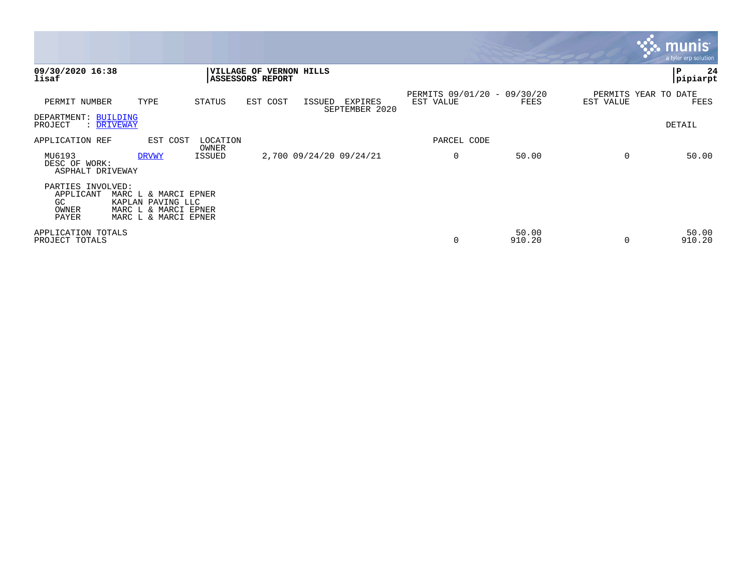|                                                               |                                                                                           |                   |                         |                         |                           |                                          |                 |                                   | munis<br>a tyler erp solution  |
|---------------------------------------------------------------|-------------------------------------------------------------------------------------------|-------------------|-------------------------|-------------------------|---------------------------|------------------------------------------|-----------------|-----------------------------------|--------------------------------|
| 09/30/2020 16:38<br>lisaf                                     |                                                                                           |                   | <b>ASSESSORS REPORT</b> | VILLAGE OF VERNON HILLS |                           |                                          |                 |                                   | $\mathbf{P}$<br>24<br>pipiarpt |
| PERMIT NUMBER                                                 | TYPE                                                                                      | STATUS            | EST COST                | ISSUED                  | EXPIRES<br>SEPTEMBER 2020 | PERMITS 09/01/20 - 09/30/20<br>EST VALUE | FEES            | PERMITS YEAR TO DATE<br>EST VALUE | FEES                           |
| DEPARTMENT: BUILDING<br>PROJECT                               | : DRIVEWAY                                                                                |                   |                         |                         |                           |                                          |                 |                                   | DETAIL                         |
| APPLICATION REF                                               | EST COST                                                                                  | LOCATION<br>OWNER |                         |                         |                           | PARCEL CODE                              |                 |                                   |                                |
| MU6193<br>DESC OF WORK:<br>ASPHALT DRIVEWAY                   | <b>DRVWY</b>                                                                              | ISSUED            |                         | 2,700 09/24/20 09/24/21 |                           | 0                                        | 50.00           | $\Omega$                          | 50.00                          |
| PARTIES INVOLVED:<br>APPLICANT<br><b>GC</b><br>OWNER<br>PAYER | MARC L & MARCI EPNER<br>KAPLAN PAVING LLC<br>MARC L & MARCI EPNER<br>MARC L & MARCI EPNER |                   |                         |                         |                           |                                          |                 |                                   |                                |
| APPLICATION TOTALS<br>PROJECT TOTALS                          |                                                                                           |                   |                         |                         |                           | 0                                        | 50.00<br>910.20 | $\Omega$                          | 50.00<br>910.20                |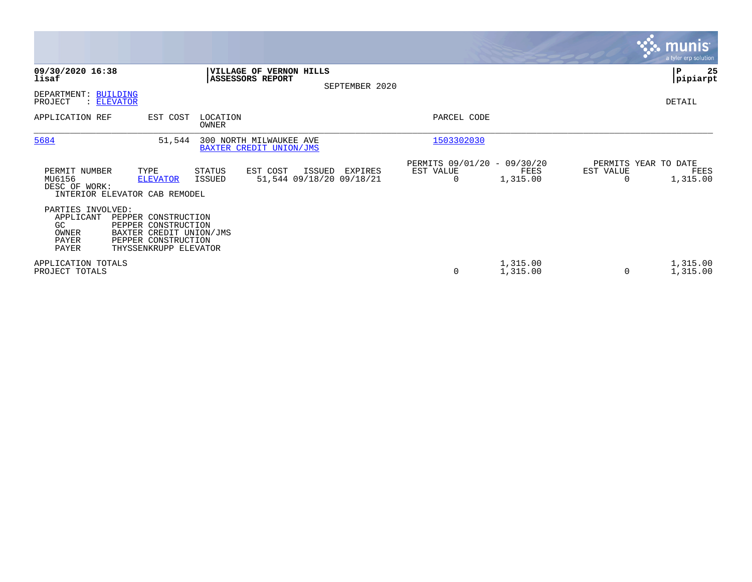|                                                                                                                                                                                                                                                               |                                                                                 | <b>munis</b><br>a tyler erp solution                  |
|---------------------------------------------------------------------------------------------------------------------------------------------------------------------------------------------------------------------------------------------------------------|---------------------------------------------------------------------------------|-------------------------------------------------------|
| 09/30/2020 16:38<br>VILLAGE OF VERNON HILLS<br>lisaf<br>ASSESSORS REPORT<br>SEPTEMBER 2020<br>DEPARTMENT: BUILDING                                                                                                                                            |                                                                                 | ∣P<br>25<br> pipiarpt                                 |
| PROJECT<br>: ELEVATOR<br>APPLICATION REF<br>EST COST<br>LOCATION<br>OWNER                                                                                                                                                                                     | PARCEL CODE                                                                     | DETAIL                                                |
| 5684<br>51,544<br>300 NORTH MILWAUKEE AVE<br>BAXTER CREDIT UNION/JMS<br>TYPE<br>EST COST<br>PERMIT NUMBER<br>STATUS<br>ISSUED<br>EXPIRES<br>51,544 09/18/20 09/18/21<br>MU6156<br>ISSUED<br><b>ELEVATOR</b><br>DESC OF WORK:<br>INTERIOR ELEVATOR CAB REMODEL | 1503302030<br>PERMITS 09/01/20 - 09/30/20<br>EST VALUE<br>FEES<br>0<br>1,315.00 | PERMITS YEAR TO DATE<br>EST VALUE<br>FEES<br>1,315.00 |
| PARTIES INVOLVED:<br>APPLICANT<br>PEPPER CONSTRUCTION<br>GC<br>PEPPER CONSTRUCTION<br>BAXTER CREDIT UNION/JMS<br>OWNER<br>PAYER<br>PEPPER CONSTRUCTION<br>PAYER<br>THYSSENKRUPP ELEVATOR<br>APPLICATION TOTALS<br>PROJECT TOTALS                              | 1,315.00<br>1,315.00<br>0                                                       | 1,315.00<br>1,315.00                                  |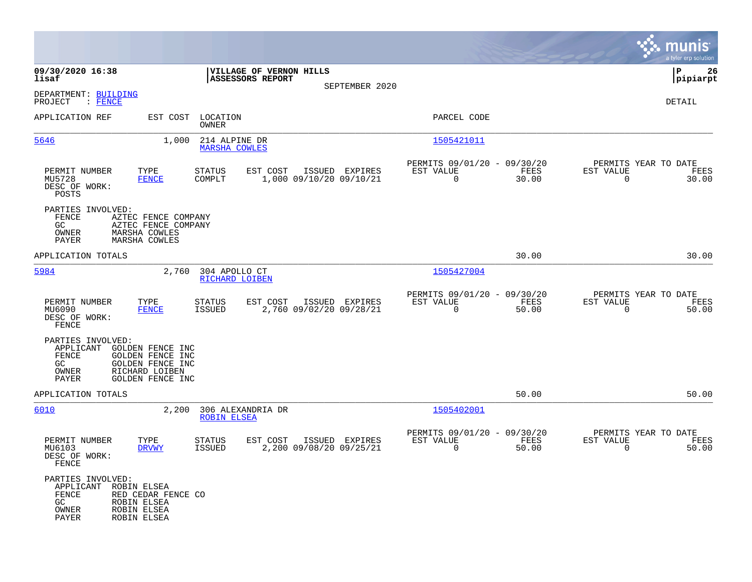|                                                                                                                                                                   |                                                                                         |                                                                          | munis<br>a tyler erp solution                                     |
|-------------------------------------------------------------------------------------------------------------------------------------------------------------------|-----------------------------------------------------------------------------------------|--------------------------------------------------------------------------|-------------------------------------------------------------------|
| 09/30/2020 16:38<br>lisaf                                                                                                                                         | VILLAGE OF VERNON HILLS<br>ASSESSORS REPORT                                             |                                                                          | lР<br>26                                                          |
|                                                                                                                                                                   | SEPTEMBER 2020                                                                          |                                                                          | pipiarpt                                                          |
| DEPARTMENT: BUILDING<br>$:$ FENCE<br>PROJECT                                                                                                                      |                                                                                         |                                                                          | DETAIL                                                            |
| APPLICATION REF<br>EST COST                                                                                                                                       | LOCATION<br><b>OWNER</b>                                                                | PARCEL CODE                                                              |                                                                   |
| 5646                                                                                                                                                              | 1,000<br>214 ALPINE DR<br><b>MARSHA COWLES</b>                                          | 1505421011                                                               |                                                                   |
| PERMIT NUMBER<br>TYPE<br>MU5728<br><b>FENCE</b><br>DESC OF WORK:<br>POSTS                                                                                         | EST COST<br>ISSUED EXPIRES<br>STATUS<br>COMPLT<br>1,000 09/10/20 09/10/21               | PERMITS 09/01/20 - 09/30/20<br>EST VALUE<br>FEES<br>$\mathbf 0$<br>30.00 | PERMITS YEAR TO DATE<br>EST VALUE<br>FEES<br>30.00<br>0           |
| PARTIES INVOLVED:<br>FENCE<br>AZTEC FENCE COMPANY<br>GC<br>AZTEC FENCE COMPANY<br>MARSHA COWLES<br>OWNER<br>PAYER<br><b>MARSHA COWLES</b>                         |                                                                                         |                                                                          |                                                                   |
| APPLICATION TOTALS                                                                                                                                                |                                                                                         | 30.00                                                                    | 30.00                                                             |
| 5984                                                                                                                                                              | 2,760<br>304 APOLLO CT<br>RICHARD LOIBEN                                                | 1505427004                                                               |                                                                   |
| TYPE<br>PERMIT NUMBER<br>MU6090<br><b>FENCE</b><br>DESC OF WORK:<br>FENCE                                                                                         | EST COST<br>ISSUED EXPIRES<br><b>STATUS</b><br><b>ISSUED</b><br>2,760 09/02/20 09/28/21 | PERMITS 09/01/20 - 09/30/20<br>EST VALUE<br>FEES<br>0<br>50.00           | PERMITS YEAR TO DATE<br>EST VALUE<br>FEES<br>$\mathbf 0$<br>50.00 |
| PARTIES INVOLVED:<br>APPLICANT<br>GOLDEN FENCE INC<br>FENCE<br>GOLDEN FENCE INC<br>GC<br>GOLDEN FENCE INC<br>OWNER<br>RICHARD LOIBEN<br>PAYER<br>GOLDEN FENCE INC |                                                                                         |                                                                          |                                                                   |
| APPLICATION TOTALS                                                                                                                                                |                                                                                         | 50.00                                                                    | 50.00                                                             |
| 6010                                                                                                                                                              | 2,200<br>306 ALEXANDRIA DR<br><b>ROBIN ELSEA</b>                                        | 1505402001                                                               |                                                                   |
| PERMIT NUMBER<br>TYPE<br>MU6103<br><b>DRVWY</b><br>DESC OF WORK:<br>FENCE                                                                                         | <b>STATUS</b><br>EST COST<br>ISSUED EXPIRES<br>2,200 09/08/20 09/25/21<br>ISSUED        | PERMITS 09/01/20 - 09/30/20<br>EST VALUE<br>FEES<br>0<br>50.00           | PERMITS YEAR TO DATE<br>EST VALUE<br>FEES<br>$\mathbf 0$<br>50.00 |
| PARTIES INVOLVED:<br>APPLICANT<br>ROBIN ELSEA<br>FENCE<br>RED CEDAR FENCE CO<br>GC<br>ROBIN ELSEA<br>ROBIN ELSEA<br>OWNER<br>PAYER<br><b>ROBIN ELSEA</b>          |                                                                                         |                                                                          |                                                                   |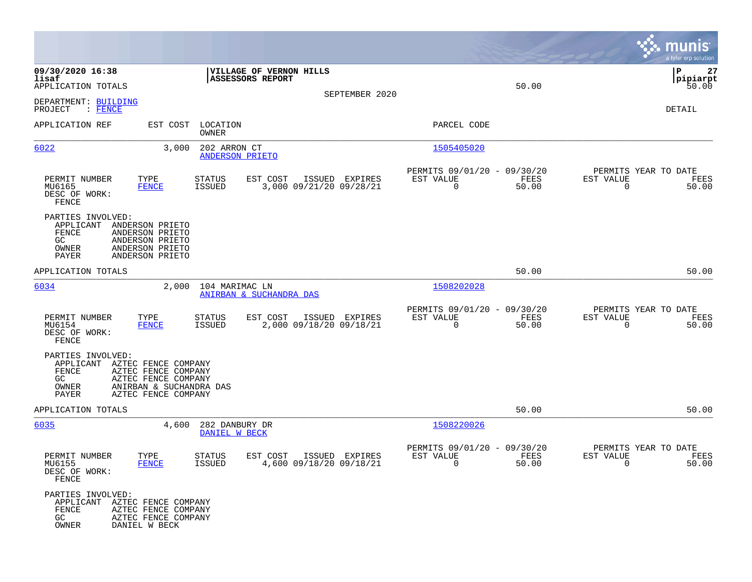|                                                                            |                                                                                                                     |                                        |                                             |                |                                                            |               |                                                     | munis<br>a tyler erp solution |
|----------------------------------------------------------------------------|---------------------------------------------------------------------------------------------------------------------|----------------------------------------|---------------------------------------------|----------------|------------------------------------------------------------|---------------|-----------------------------------------------------|-------------------------------|
| 09/30/2020 16:38<br>lisaf<br>APPLICATION TOTALS                            |                                                                                                                     |                                        | VILLAGE OF VERNON HILLS<br>ASSESSORS REPORT | SEPTEMBER 2020 |                                                            | 50.00         |                                                     | ΙP<br>27<br>pipiarpt<br>50.00 |
| DEPARTMENT: BUILDING<br>PROJECT : FENCE                                    |                                                                                                                     |                                        |                                             |                |                                                            |               |                                                     | DETAIL                        |
| APPLICATION REF                                                            |                                                                                                                     | EST COST LOCATION<br>OWNER             |                                             |                | PARCEL CODE                                                |               |                                                     |                               |
| 6022                                                                       | 3,000                                                                                                               | 202 ARRON CT<br><b>ANDERSON PRIETO</b> |                                             |                | 1505405020                                                 |               |                                                     |                               |
| PERMIT NUMBER<br>MU6165<br>DESC OF WORK:<br>FENCE                          | TYPE<br><b>FENCE</b>                                                                                                | <b>STATUS</b><br>ISSUED                | EST COST<br>3,000 09/21/20 09/28/21         | ISSUED EXPIRES | PERMITS 09/01/20 - 09/30/20<br>EST VALUE<br>$\mathbf 0$    | FEES<br>50.00 | PERMITS YEAR TO DATE<br>EST VALUE<br>$\mathbf 0$    | FEES<br>50.00                 |
| PARTIES INVOLVED:<br>APPLICANT<br>FENCE<br>GC<br>OWNER<br>PAYER            | ANDERSON PRIETO<br>ANDERSON PRIETO<br>ANDERSON PRIETO<br>ANDERSON PRIETO<br>ANDERSON PRIETO                         |                                        |                                             |                |                                                            |               |                                                     |                               |
| APPLICATION TOTALS                                                         |                                                                                                                     |                                        |                                             |                |                                                            | 50.00         |                                                     | 50.00                         |
| 6034                                                                       | 2,000                                                                                                               | 104 MARIMAC LN                         | ANIRBAN & SUCHANDRA DAS                     |                | 1508202028                                                 |               |                                                     |                               |
| PERMIT NUMBER<br>MU6154<br>DESC OF WORK:<br>FENCE                          | TYPE<br><b>FENCE</b>                                                                                                | <b>STATUS</b><br><b>ISSUED</b>         | EST COST<br>2,000 09/18/20 09/18/21         | ISSUED EXPIRES | PERMITS 09/01/20 - 09/30/20<br>EST VALUE<br>$\Omega$       | FEES<br>50.00 | PERMITS YEAR TO DATE<br>EST VALUE<br>0              | FEES<br>50.00                 |
| PARTIES INVOLVED:<br>APPLICANT<br>FENCE<br>GC.<br>OWNER<br>PAYER           | AZTEC FENCE COMPANY<br>AZTEC FENCE COMPANY<br>AZTEC FENCE COMPANY<br>ANIRBAN & SUCHANDRA DAS<br>AZTEC FENCE COMPANY |                                        |                                             |                |                                                            |               |                                                     |                               |
| APPLICATION TOTALS                                                         |                                                                                                                     |                                        |                                             |                |                                                            | 50.00         |                                                     | 50.00                         |
| 6035                                                                       | 4,600                                                                                                               | 282 DANBURY DR<br>DANIEL W BECK        |                                             |                | 1508220026                                                 |               |                                                     |                               |
| PERMIT NUMBER<br>MU6155<br>DESC OF WORK:<br>FENCE                          | TYPE<br><b>FENCE</b>                                                                                                | STATUS<br><b>ISSUED</b>                | EST COST<br>4,600 09/18/20 09/18/21         | ISSUED EXPIRES | PERMITS 09/01/20 - 09/30/20<br>EST VALUE<br>$\overline{0}$ | FEES<br>50.00 | PERMITS YEAR TO DATE<br>EST VALUE<br>$\overline{0}$ | FEES<br>50.00                 |
| PARTIES INVOLVED:<br>APPLICANT AZTEC FENCE COMPANY<br>FENCE<br>GC<br>OWNER | AZTEC FENCE COMPANY<br>AZTEC FENCE COMPANY<br>DANIEL W BECK                                                         |                                        |                                             |                |                                                            |               |                                                     |                               |

 $\mathcal{L}^{\text{max}}$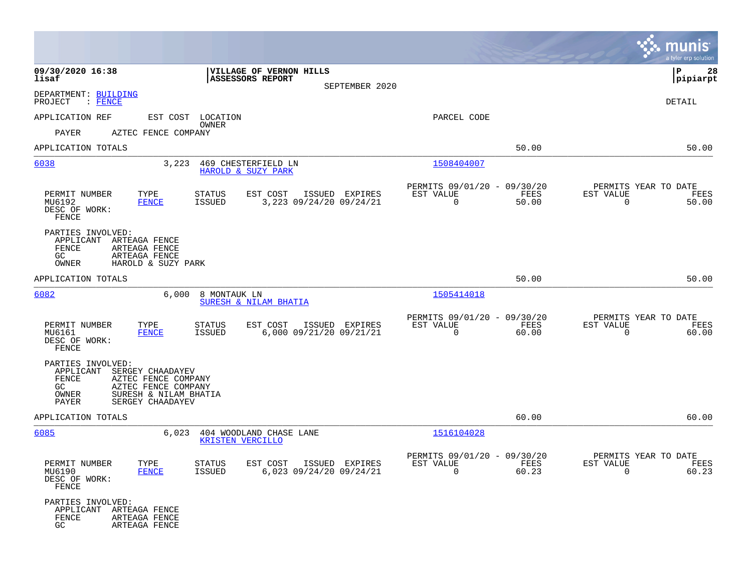|                                                                                                                                                                                 |                                                                                  |                                                                             | munis<br>a tyler erp solution                                     |
|---------------------------------------------------------------------------------------------------------------------------------------------------------------------------------|----------------------------------------------------------------------------------|-----------------------------------------------------------------------------|-------------------------------------------------------------------|
| 09/30/2020 16:38<br>lisaf                                                                                                                                                       | VILLAGE OF VERNON HILLS<br><b>ASSESSORS REPORT</b><br>SEPTEMBER 2020             |                                                                             | ΙP<br>28<br> pipiarpt                                             |
| DEPARTMENT: BUILDING<br>PROJECT<br>$\,$ : $_{\rm FENCE}$                                                                                                                        |                                                                                  |                                                                             | DETAIL                                                            |
| APPLICATION REF                                                                                                                                                                 | EST COST LOCATION                                                                | PARCEL CODE                                                                 |                                                                   |
| PAYER<br>AZTEC FENCE COMPANY                                                                                                                                                    | OWNER                                                                            |                                                                             |                                                                   |
| APPLICATION TOTALS                                                                                                                                                              |                                                                                  | 50.00                                                                       | 50.00                                                             |
| 6038<br>3,223                                                                                                                                                                   | 469 CHESTERFIELD LN<br>HAROLD & SUZY PARK                                        | 1508404007                                                                  |                                                                   |
| TYPE<br>PERMIT NUMBER<br>MU6192<br><b>FENCE</b><br>DESC OF WORK:<br>FENCE                                                                                                       | EST COST<br>STATUS<br>ISSUED EXPIRES<br>ISSUED<br>3,223 09/24/20 09/24/21        | PERMITS 09/01/20 - 09/30/20<br>FEES<br>EST VALUE<br>$\overline{0}$<br>50.00 | PERMITS YEAR TO DATE<br>EST VALUE<br>FEES<br>$\mathbf 0$<br>50.00 |
| PARTIES INVOLVED:<br>APPLICANT<br>ARTEAGA FENCE<br>FENCE<br>ARTEAGA FENCE<br>GC.<br>ARTEAGA FENCE<br>OWNER<br>HAROLD & SUZY PARK                                                |                                                                                  |                                                                             |                                                                   |
| APPLICATION TOTALS                                                                                                                                                              |                                                                                  | 50.00                                                                       | 50.00                                                             |
| 6082<br>6,000                                                                                                                                                                   | 8 MONTAUK LN<br>SURESH & NILAM BHATIA                                            | 1505414018                                                                  |                                                                   |
| PERMIT NUMBER<br>TYPE<br>MU6161<br><b>FENCE</b><br>DESC OF WORK:<br>FENCE                                                                                                       | <b>STATUS</b><br>EST COST<br>ISSUED EXPIRES<br>6,000 09/21/20 09/21/21<br>ISSUED | PERMITS 09/01/20 - 09/30/20<br>FEES<br>EST VALUE<br>$\mathbf 0$<br>60.00    | PERMITS YEAR TO DATE<br>EST VALUE<br>FEES<br>$\mathbf 0$<br>60.00 |
| PARTIES INVOLVED:<br>APPLICANT<br>SERGEY CHAADAYEV<br>FENCE<br>AZTEC FENCE COMPANY<br>GC.<br>AZTEC FENCE COMPANY<br>SURESH & NILAM BHATIA<br>OWNER<br>SERGEY CHAADAYEV<br>PAYER |                                                                                  |                                                                             |                                                                   |
| APPLICATION TOTALS                                                                                                                                                              |                                                                                  | 60.00                                                                       | 60.00                                                             |
| 6085<br>6,023                                                                                                                                                                   | 404 WOODLAND CHASE LANE<br><b>KRISTEN VERCILLO</b>                               | 1516104028                                                                  |                                                                   |
| PERMIT NUMBER<br>TYPE<br>MU6190<br>FENCE<br>DESC OF WORK:<br>FENCE                                                                                                              | STATUS<br>EST COST ISSUED EXPIRES<br><b>ISSUED</b><br>6,023 09/24/20 09/24/21    | PERMITS 09/01/20 - 09/30/20<br>EST VALUE<br>FEES<br>$\Omega$<br>60.23       | PERMITS YEAR TO DATE<br>EST VALUE<br>FEES<br>$\Omega$<br>60.23    |
| PARTIES INVOLVED:<br>APPLICANT<br>ARTEAGA FENCE<br>FENCE<br>ARTEAGA FENCE<br>GC<br>ARTEAGA FENCE                                                                                |                                                                                  |                                                                             |                                                                   |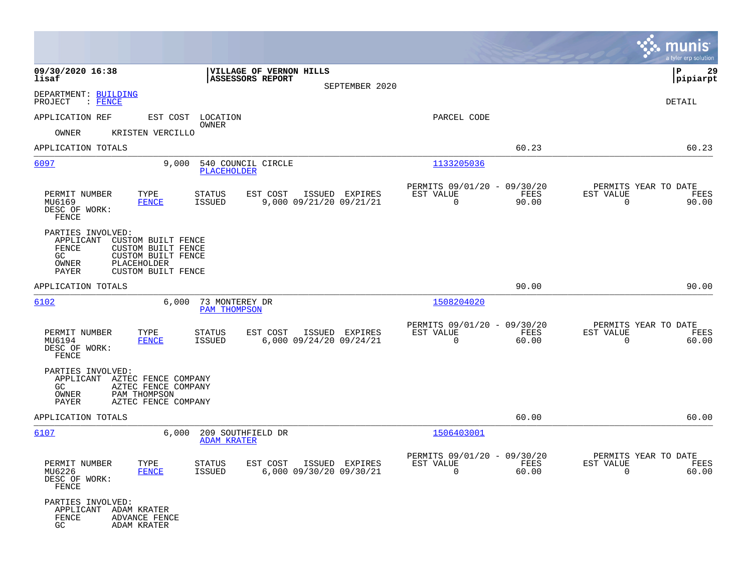|                                                                                                                                                                                |                                                                                 |                                                                             | munis<br>a tyler erp solution                                     |
|--------------------------------------------------------------------------------------------------------------------------------------------------------------------------------|---------------------------------------------------------------------------------|-----------------------------------------------------------------------------|-------------------------------------------------------------------|
| 09/30/2020 16:38<br>lisaf                                                                                                                                                      | VILLAGE OF VERNON HILLS<br>ASSESSORS REPORT                                     |                                                                             | 29<br>P<br> pipiarpt                                              |
| DEPARTMENT: BUILDING<br>PROJECT<br>$\colon$ FENCE                                                                                                                              | SEPTEMBER 2020                                                                  |                                                                             | DETAIL                                                            |
| APPLICATION REF                                                                                                                                                                | EST COST LOCATION                                                               | PARCEL CODE                                                                 |                                                                   |
| OWNER<br>KRISTEN VERCILLO                                                                                                                                                      | OWNER                                                                           |                                                                             |                                                                   |
| APPLICATION TOTALS                                                                                                                                                             |                                                                                 | 60.23                                                                       | 60.23                                                             |
| 6097<br>9,000                                                                                                                                                                  | 540 COUNCIL CIRCLE<br><b>PLACEHOLDER</b>                                        | 1133205036                                                                  |                                                                   |
| PERMIT NUMBER<br>TYPE<br>MU6169<br><b>FENCE</b><br>DESC OF WORK:<br>FENCE                                                                                                      | EST COST<br>ISSUED EXPIRES<br>STATUS<br>ISSUED<br>9,000 09/21/20 09/21/21       | PERMITS 09/01/20 - 09/30/20<br>FEES<br>EST VALUE<br>$\overline{0}$<br>90.00 | PERMITS YEAR TO DATE<br>EST VALUE<br>FEES<br>$\mathbf 0$<br>90.00 |
| PARTIES INVOLVED:<br>APPLICANT<br>CUSTOM BUILT FENCE<br>FENCE<br>CUSTOM BUILT FENCE<br>GC.<br>CUSTOM BUILT FENCE<br>OWNER<br>PLACEHOLDER<br>PAYER<br><b>CUSTOM BUILT FENCE</b> |                                                                                 |                                                                             |                                                                   |
| APPLICATION TOTALS                                                                                                                                                             |                                                                                 | 90.00                                                                       | 90.00                                                             |
| 6102<br>6,000                                                                                                                                                                  | 73 MONTEREY DR<br><b>PAM THOMPSON</b>                                           | 1508204020                                                                  |                                                                   |
| PERMIT NUMBER<br>TYPE<br>MU6194<br><b>FENCE</b><br>DESC OF WORK:<br>FENCE                                                                                                      | EST COST<br>ISSUED EXPIRES<br>STATUS<br>ISSUED<br>$6,000$ $09/24/20$ $09/24/21$ | PERMITS 09/01/20 - 09/30/20<br>EST VALUE<br>FEES<br>$\mathbf 0$<br>60.00    | PERMITS YEAR TO DATE<br>EST VALUE<br>FEES<br>$\mathbf 0$<br>60.00 |
| PARTIES INVOLVED:<br>APPLICANT AZTEC FENCE COMPANY<br>GC<br>AZTEC FENCE COMPANY<br>OWNER<br>PAM THOMPSON<br>PAYER<br>AZTEC FENCE COMPANY                                       |                                                                                 |                                                                             |                                                                   |
| APPLICATION TOTALS                                                                                                                                                             |                                                                                 | 60.00                                                                       | 60.00                                                             |
| 6107<br>6,000                                                                                                                                                                  | 209 SOUTHFIELD DR<br><b>ADAM KRATER</b>                                         | 1506403001                                                                  |                                                                   |
| PERMIT NUMBER<br>TYPE<br>MU6226<br><b>FENCE</b><br>DESC OF WORK:<br>FENCE                                                                                                      | <b>STATUS</b><br>EST COST ISSUED EXPIRES<br>6,000 09/30/20 09/30/21<br>ISSUED   | PERMITS 09/01/20 - 09/30/20<br>EST VALUE<br>FEES<br>$\Omega$<br>60.00       | PERMITS YEAR TO DATE<br>EST VALUE<br>FEES<br>$\Omega$<br>60.00    |
| PARTIES INVOLVED:<br>APPLICANT<br>ADAM KRATER<br>FENCE<br>ADVANCE FENCE<br>GC<br>ADAM KRATER                                                                                   |                                                                                 |                                                                             |                                                                   |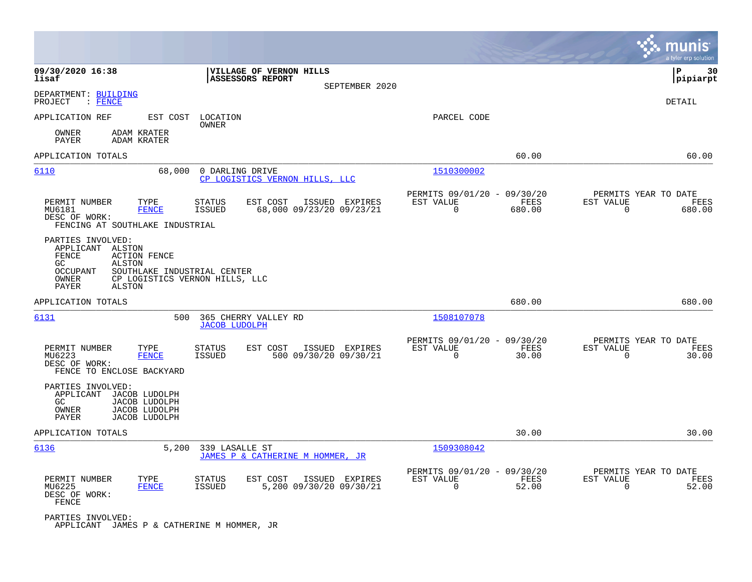|                                                                                                                                                                      |                                                                                   |                                                                          | munis<br>a tyler erp solution                                      |
|----------------------------------------------------------------------------------------------------------------------------------------------------------------------|-----------------------------------------------------------------------------------|--------------------------------------------------------------------------|--------------------------------------------------------------------|
| 09/30/2020 16:38<br>lisaf                                                                                                                                            | VILLAGE OF VERNON HILLS<br><b>ASSESSORS REPORT</b><br>SEPTEMBER 2020              |                                                                          | l P<br>30<br> pipiarpt                                             |
| DEPARTMENT: BUILDING<br>PROJECT<br>$:$ FENCE                                                                                                                         |                                                                                   |                                                                          | DETAIL                                                             |
| APPLICATION REF<br>EST COST                                                                                                                                          | LOCATION<br>OWNER                                                                 | PARCEL CODE                                                              |                                                                    |
| OWNER<br>ADAM KRATER<br>PAYER<br>ADAM KRATER                                                                                                                         |                                                                                   |                                                                          |                                                                    |
| APPLICATION TOTALS                                                                                                                                                   |                                                                                   | 60.00                                                                    | 60.00                                                              |
| 6110<br>68,000                                                                                                                                                       | 0 DARLING DRIVE<br>CP LOGISTICS VERNON HILLS, LLC                                 | 1510300002                                                               |                                                                    |
| PERMIT NUMBER<br>TYPE<br><b>FENCE</b><br>MU6181<br>DESC OF WORK:<br>FENCING AT SOUTHLAKE INDUSTRIAL                                                                  | <b>STATUS</b><br>EST COST<br>ISSUED EXPIRES<br>ISSUED<br>68,000 09/23/20 09/23/21 | PERMITS 09/01/20 - 09/30/20<br>FEES<br>EST VALUE<br>$\Omega$<br>680.00   | PERMITS YEAR TO DATE<br>EST VALUE<br>FEES<br>$\mathbf 0$<br>680.00 |
| PARTIES INVOLVED:<br>APPLICANT ALSTON<br>FENCE<br><b>ACTION FENCE</b><br>GC.<br>ALSTON<br><b>OCCUPANT</b><br>SOUTHLAKE INDUSTRIAL CENTER<br>OWNER<br>PAYER<br>ALSTON | CP LOGISTICS VERNON HILLS, LLC                                                    |                                                                          |                                                                    |
| APPLICATION TOTALS                                                                                                                                                   |                                                                                   | 680.00                                                                   | 680.00                                                             |
| 6131<br>500                                                                                                                                                          | 365 CHERRY VALLEY RD<br><b>JACOB LUDOLPH</b>                                      | 1508107078                                                               |                                                                    |
| PERMIT NUMBER<br>TYPE<br>MU6223<br><b>FENCE</b><br>DESC OF WORK:<br>FENCE TO ENCLOSE BACKYARD                                                                        | <b>STATUS</b><br>EST COST<br>ISSUED EXPIRES<br>500 09/30/20 09/30/21<br>ISSUED    | PERMITS 09/01/20 - 09/30/20<br>EST VALUE<br>FEES<br>$\mathbf 0$<br>30.00 | PERMITS YEAR TO DATE<br>EST VALUE<br>FEES<br>30.00<br>0            |
| PARTIES INVOLVED:<br>APPLICANT<br>JACOB LUDOLPH<br>GC<br>JACOB LUDOLPH<br>OWNER<br><b>JACOB LUDOLPH</b><br><b>JACOB LUDOLPH</b><br>PAYER                             |                                                                                   |                                                                          |                                                                    |
| APPLICATION TOTALS                                                                                                                                                   |                                                                                   | 30.00                                                                    | 30.00                                                              |
| 6136<br>5,200                                                                                                                                                        | 339 LASALLE ST<br>JAMES P & CATHERINE M HOMMER, JR                                | 1509308042                                                               |                                                                    |
| PERMIT NUMBER<br>TYPE<br>MU6225<br><b>FENCE</b><br>DESC OF WORK:<br>FENCE                                                                                            | <b>STATUS</b><br>EST COST<br>ISSUED EXPIRES<br>5,200 09/30/20 09/30/21<br>ISSUED  | PERMITS 09/01/20 - 09/30/20<br>EST VALUE<br>FEES<br>$\Omega$<br>52.00    | PERMITS YEAR TO DATE<br>EST VALUE<br>FEES<br>$\Omega$<br>52.00     |
| PARTIES INVOLVED:<br>APPLICANT JAMES P & CATHERINE M HOMMER, JR                                                                                                      |                                                                                   |                                                                          |                                                                    |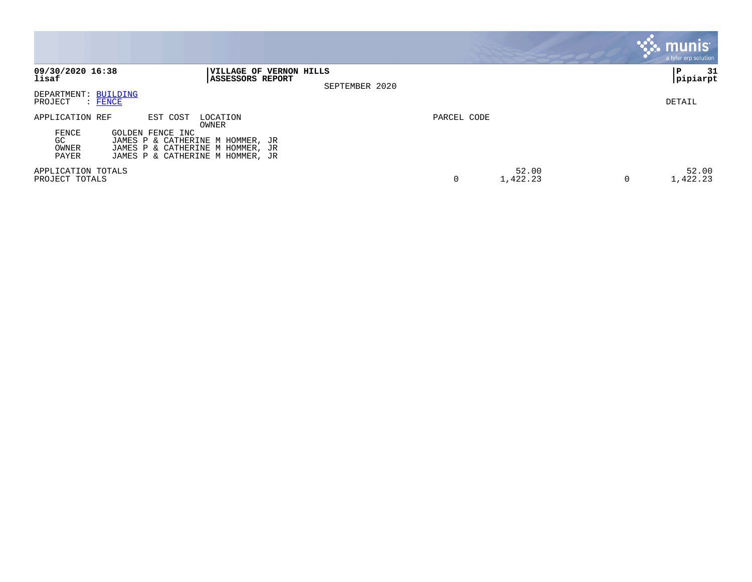|                                                                                                                                                                                                                   |                        | <b>munis</b><br>a tyler erp solution |
|-------------------------------------------------------------------------------------------------------------------------------------------------------------------------------------------------------------------|------------------------|--------------------------------------|
| 09/30/2020 16:38<br>VILLAGE OF VERNON HILLS<br>lisaf<br><b>ASSESSORS REPORT</b><br>SEPTEMBER 2020                                                                                                                 |                        | 31<br>l P<br> pipiarpt               |
| DEPARTMENT: BUILDING<br>PROJECT<br>: FENCE                                                                                                                                                                        |                        | DETAIL                               |
| APPLICATION REF<br>EST COST<br>LOCATION<br>OWNER<br>FENCE<br>GOLDEN FENCE INC<br>GC<br>JAMES P & CATHERINE M HOMMER, JR<br>OWNER<br>JAMES P & CATHERINE M HOMMER, JR<br>JAMES P & CATHERINE M HOMMER, JR<br>PAYER | PARCEL CODE            |                                      |
| APPLICATION TOTALS<br>PROJECT TOTALS                                                                                                                                                                              | 52.00<br>1,422.23<br>0 | 52.00<br>1,422.23<br>0               |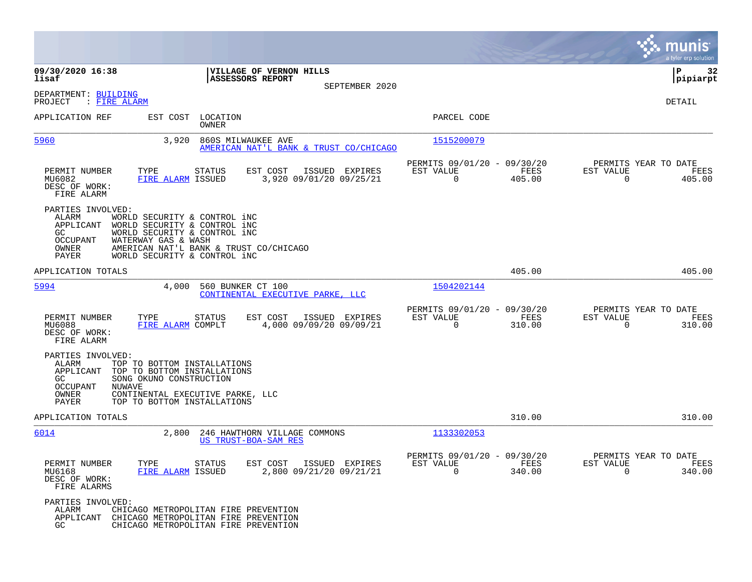|                                                                                                                   |                                                                                                                                                                        |                                                                           | munis<br>a tyler erp solution                                      |
|-------------------------------------------------------------------------------------------------------------------|------------------------------------------------------------------------------------------------------------------------------------------------------------------------|---------------------------------------------------------------------------|--------------------------------------------------------------------|
| 09/30/2020 16:38<br>lisaf                                                                                         | VILLAGE OF VERNON HILLS<br>ASSESSORS REPORT                                                                                                                            |                                                                           | ΙP<br>32<br> pipiarpt                                              |
| DEPARTMENT: BUILDING<br>: <u>FIRE ALARM</u><br>PROJECT                                                            | SEPTEMBER 2020                                                                                                                                                         |                                                                           | DETAIL                                                             |
| APPLICATION REF<br>EST COST                                                                                       | LOCATION<br>OWNER                                                                                                                                                      | PARCEL CODE                                                               |                                                                    |
| 5960<br>3,920                                                                                                     | 860S MILWAUKEE AVE<br>AMERICAN NAT'L BANK & TRUST CO/CHICAGO                                                                                                           | 1515200079                                                                |                                                                    |
| TYPE<br>PERMIT NUMBER<br>MU6082<br>DESC OF WORK:<br>FIRE ALARM                                                    | EST COST<br>ISSUED EXPIRES<br>STATUS<br>3,920 09/01/20 09/25/21<br>FIRE ALARM ISSUED                                                                                   | PERMITS 09/01/20 - 09/30/20<br>EST VALUE<br>FEES<br>$\mathbf 0$<br>405.00 | PERMITS YEAR TO DATE<br>EST VALUE<br>FEES<br>$\mathbf 0$<br>405.00 |
| PARTIES INVOLVED:<br>ALARM<br>APPLICANT<br>GC.<br>OCCUPANT<br>WATERWAY GAS & WASH<br>OWNER<br>PAYER               | WORLD SECURITY & CONTROL INC<br>WORLD SECURITY & CONTROL INC<br>WORLD SECURITY & CONTROL INC<br>AMERICAN NAT'L BANK & TRUST CO/CHICAGO<br>WORLD SECURITY & CONTROL INC |                                                                           |                                                                    |
| APPLICATION TOTALS                                                                                                |                                                                                                                                                                        | 405.00                                                                    | 405.00                                                             |
| 5994<br>4,000                                                                                                     | 560 BUNKER CT 100<br>CONTINENTAL EXECUTIVE PARKE, LLC                                                                                                                  | 1504202144                                                                |                                                                    |
| PERMIT NUMBER<br>TYPE<br>MU6088<br>DESC OF WORK:<br>FIRE ALARM                                                    | <b>STATUS</b><br>EST COST<br>ISSUED EXPIRES<br>FIRE ALARM COMPLT<br>4,000 09/09/20 09/09/21                                                                            | PERMITS 09/01/20 - 09/30/20<br>FEES<br>EST VALUE<br>0<br>310.00           | PERMITS YEAR TO DATE<br>EST VALUE<br>FEES<br>0<br>310.00           |
| PARTIES INVOLVED:<br>ALARM<br>APPLICANT<br>GC.<br>SONG OKUNO CONSTRUCTION<br>OCCUPANT<br>NUWAVE<br>OWNER<br>PAYER | TOP TO BOTTOM INSTALLATIONS<br>TOP TO BOTTOM INSTALLATIONS<br>CONTINENTAL EXECUTIVE PARKE, LLC<br>TOP TO BOTTOM INSTALLATIONS                                          |                                                                           |                                                                    |
| APPLICATION TOTALS                                                                                                |                                                                                                                                                                        | 310.00                                                                    | 310.00                                                             |
| 6014<br>2,800                                                                                                     | 246 HAWTHORN VILLAGE COMMONS<br>US TRUST-BOA-SAM RES                                                                                                                   | 1133302053                                                                |                                                                    |
| PERMIT NUMBER<br>TYPE<br>MU6168<br>DESC OF WORK:<br>FIRE ALARMS                                                   | EST COST<br>ISSUED EXPIRES<br>STATUS<br>FIRE ALARM ISSUED<br>2,800 09/21/20 09/21/21                                                                                   | PERMITS 09/01/20 - 09/30/20<br>EST VALUE<br>FEES<br>0<br>340.00           | PERMITS YEAR TO DATE<br>EST VALUE<br>FEES<br>340.00<br>0           |
| PARTIES INVOLVED:<br>ALARM<br>APPLICANT<br>GC.                                                                    | CHICAGO METROPOLITAN FIRE PREVENTION<br>CHICAGO METROPOLITAN FIRE PREVENTION<br>CHICAGO METROPOLITAN FIRE PREVENTION                                                   |                                                                           |                                                                    |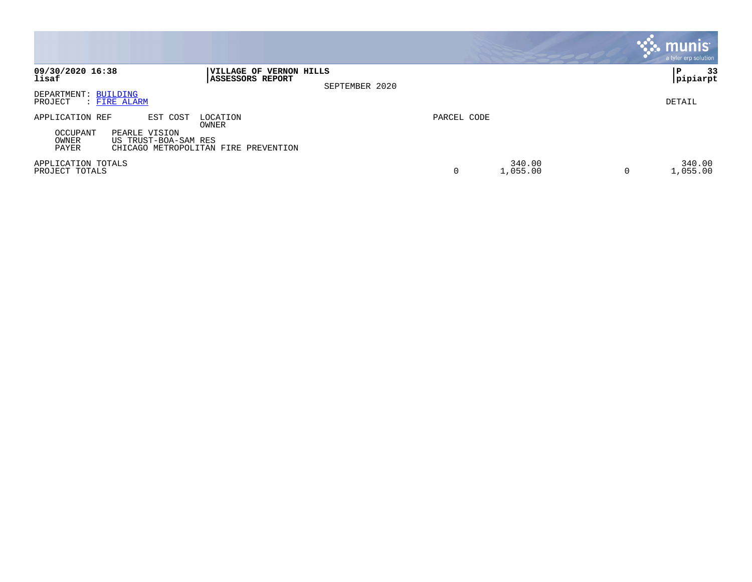|                                                                                                    |                                                                                        |             |                    | <b>munis</b><br>a tyler erp solution |    |
|----------------------------------------------------------------------------------------------------|----------------------------------------------------------------------------------------|-------------|--------------------|--------------------------------------|----|
| 09/30/2020 16:38<br>lisaf                                                                          | <b>VERNON HILLS</b><br><b> VILLAGE OF</b><br><b>ASSESSORS REPORT</b><br>SEPTEMBER 2020 |             |                    | ΙP<br> pipiarpt                      | 33 |
| DEPARTMENT: BUILDING<br>PROJECT<br>: FIRE ALARM                                                    |                                                                                        |             |                    | DETAIL                               |    |
| APPLICATION REF<br>EST COST<br>OCCUPANT<br>PEARLE VISION<br>OWNER<br>US TRUST-BOA-SAM RES<br>PAYER | LOCATION<br>OWNER<br>CHICAGO METROPOLITAN FIRE PREVENTION                              | PARCEL CODE |                    |                                      |    |
| APPLICATION TOTALS<br>PROJECT TOTALS                                                               |                                                                                        | 0           | 340.00<br>1,055.00 | 340.00<br>1,055.00<br>0              |    |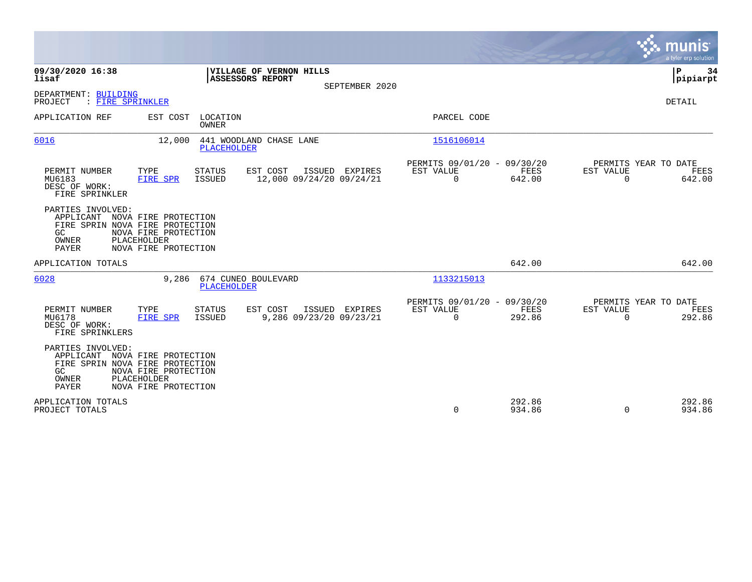|                                                                                                                 |                                                             |                          |                                                    |                |                                                      |                  |                       | munis<br>a tyler erp solution          |
|-----------------------------------------------------------------------------------------------------------------|-------------------------------------------------------------|--------------------------|----------------------------------------------------|----------------|------------------------------------------------------|------------------|-----------------------|----------------------------------------|
| 09/30/2020 16:38<br>lisaf                                                                                       |                                                             |                          | VILLAGE OF VERNON HILLS<br><b>ASSESSORS REPORT</b> | SEPTEMBER 2020 |                                                      |                  |                       | Þ<br>34<br> pipiarpt                   |
| DEPARTMENT: BUILDING<br>: FIRE SPRINKLER<br>PROJECT                                                             |                                                             |                          |                                                    |                |                                                      |                  |                       | DETAIL                                 |
| APPLICATION REF                                                                                                 | EST COST                                                    | LOCATION<br><b>OWNER</b> |                                                    |                | PARCEL CODE                                          |                  |                       |                                        |
| 6016                                                                                                            | 12,000                                                      | PLACEHOLDER              | 441 WOODLAND CHASE LANE                            |                | 1516106014                                           |                  |                       |                                        |
| PERMIT NUMBER<br>MU6183<br>DESC OF WORK:<br>FIRE SPRINKLER                                                      | TYPE<br><b>FIRE SPR</b>                                     | <b>STATUS</b><br>ISSUED  | EST COST<br>12,000 09/24/20 09/24/21               | ISSUED EXPIRES | PERMITS 09/01/20 - 09/30/20<br>EST VALUE<br>$\Omega$ | FEES<br>642.00   | EST VALUE<br>$\Omega$ | PERMITS YEAR TO DATE<br>FEES<br>642.00 |
| PARTIES INVOLVED:<br>APPLICANT NOVA FIRE PROTECTION<br>FIRE SPRIN NOVA FIRE PROTECTION<br>GC<br>OWNER<br>PAYER  | NOVA FIRE PROTECTION<br>PLACEHOLDER<br>NOVA FIRE PROTECTION |                          |                                                    |                |                                                      |                  |                       |                                        |
| APPLICATION TOTALS                                                                                              |                                                             |                          |                                                    |                |                                                      | 642.00           |                       | 642.00                                 |
| 6028                                                                                                            |                                                             | PLACEHOLDER              | 9,286 674 CUNEO BOULEVARD                          |                | 1133215013                                           |                  |                       |                                        |
| PERMIT NUMBER<br>MU6178<br>DESC OF WORK:<br>FIRE SPRINKLERS                                                     | TYPE<br>FIRE SPR                                            | <b>STATUS</b><br>ISSUED  | EST COST<br>9,286 09/23/20 09/23/21                | ISSUED EXPIRES | PERMITS 09/01/20 - 09/30/20<br>EST VALUE<br>$\Omega$ | FEES<br>292.86   | EST VALUE<br>$\Omega$ | PERMITS YEAR TO DATE<br>FEES<br>292.86 |
| PARTIES INVOLVED:<br>APPLICANT NOVA FIRE PROTECTION<br>FIRE SPRIN NOVA FIRE PROTECTION<br>GC.<br>OWNER<br>PAYER | NOVA FIRE PROTECTION<br>PLACEHOLDER<br>NOVA FIRE PROTECTION |                          |                                                    |                |                                                      |                  |                       |                                        |
| APPLICATION TOTALS<br>PROJECT TOTALS                                                                            |                                                             |                          |                                                    |                | 0                                                    | 292.86<br>934.86 | $\Omega$              | 292.86<br>934.86                       |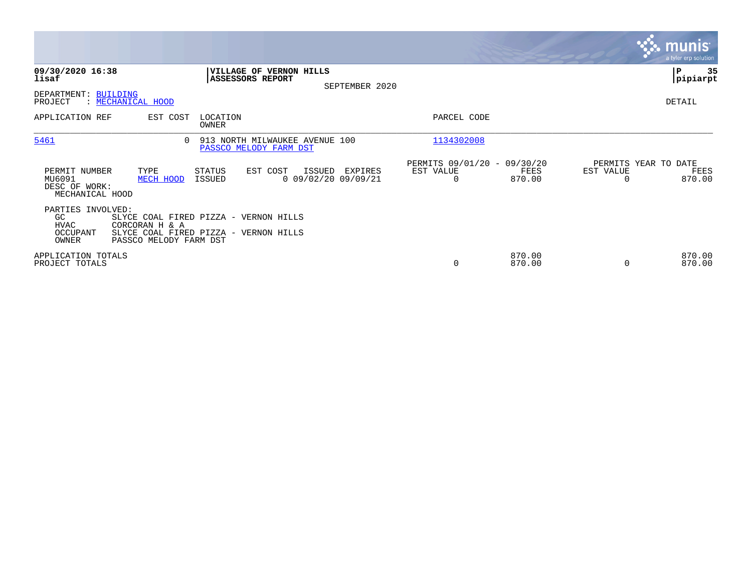|                                                              |                                                                                                                            |                                                          |                                             |                |                                               |                  |           | <b>munis</b><br>a tyler erp solution   |
|--------------------------------------------------------------|----------------------------------------------------------------------------------------------------------------------------|----------------------------------------------------------|---------------------------------------------|----------------|-----------------------------------------------|------------------|-----------|----------------------------------------|
| 09/30/2020 16:38<br>lisaf                                    |                                                                                                                            | ASSESSORS REPORT                                         | VILLAGE OF VERNON HILLS                     | SEPTEMBER 2020 |                                               |                  |           | ∣P<br>35<br> pipiarpt                  |
| DEPARTMENT: BUILDING<br>PROJECT                              | : MECHANICAL HOOD                                                                                                          |                                                          |                                             |                |                                               |                  |           | DETAIL                                 |
| APPLICATION REF                                              | EST COST                                                                                                                   | LOCATION<br>OWNER                                        |                                             |                | PARCEL CODE                                   |                  |           |                                        |
| 5461                                                         | $\Omega$                                                                                                                   | 913 NORTH MILWAUKEE AVENUE 100<br>PASSCO MELODY FARM DST |                                             |                | 1134302008                                    |                  |           |                                        |
| PERMIT NUMBER<br>MU6091<br>DESC OF WORK:<br>MECHANICAL HOOD  | TYPE<br>MECH HOOD                                                                                                          | STATUS<br>ISSUED                                         | EST COST<br>ISSUED<br>$0$ 09/02/20 09/09/21 | EXPIRES        | PERMITS 09/01/20 - 09/30/20<br>EST VALUE<br>0 | FEES<br>870.00   | EST VALUE | PERMITS YEAR TO DATE<br>FEES<br>870.00 |
| PARTIES INVOLVED:<br>GC.<br><b>HVAC</b><br>OCCUPANT<br>OWNER | SLYCE COAL FIRED PIZZA - VERNON HILLS<br>CORCORAN H & A<br>SLYCE COAL FIRED PIZZA - VERNON HILLS<br>PASSCO MELODY FARM DST |                                                          |                                             |                |                                               |                  |           |                                        |
| APPLICATION TOTALS<br>PROJECT TOTALS                         |                                                                                                                            |                                                          |                                             |                | $\mathbf 0$                                   | 870.00<br>870.00 |           | 870.00<br>870.00                       |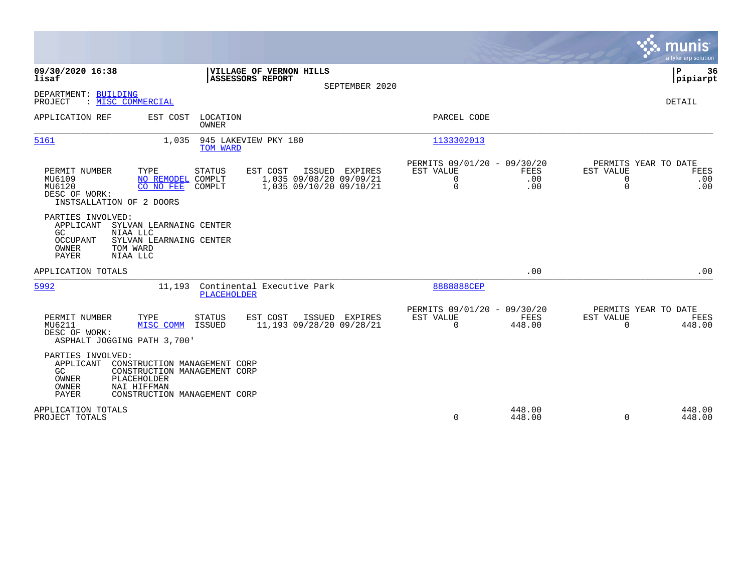|                                                                                                                                                                                                       |                                                                                  |                                                                     |                       |                                                                 | munis<br>a tyler erp solution |
|-------------------------------------------------------------------------------------------------------------------------------------------------------------------------------------------------------|----------------------------------------------------------------------------------|---------------------------------------------------------------------|-----------------------|-----------------------------------------------------------------|-------------------------------|
| 09/30/2020 16:38<br>lisaf                                                                                                                                                                             | VILLAGE OF VERNON HILLS<br>ASSESSORS REPORT<br>SEPTEMBER 2020                    |                                                                     |                       |                                                                 | ΙP<br>36<br> pipiarpt         |
| DEPARTMENT: BUILDING<br>: MISC COMMERCIAL<br>PROJECT                                                                                                                                                  |                                                                                  |                                                                     |                       |                                                                 | <b>DETAIL</b>                 |
| LOCATION<br>APPLICATION REF<br>EST COST<br><b>OWNER</b>                                                                                                                                               |                                                                                  | PARCEL CODE                                                         |                       |                                                                 |                               |
| 5161<br>1,035<br>TOM WARD                                                                                                                                                                             | 945 LAKEVIEW PKY 180                                                             | 1133302013                                                          |                       |                                                                 |                               |
| TYPE<br>PERMIT NUMBER<br>STATUS<br>MU6109<br>NO REMODEL COMPLT<br>CO NO FEE<br>MU6120<br>COMPLT<br>DESC OF WORK:<br>INSTSALLATION OF 2 DOORS                                                          | EST COST<br>ISSUED EXPIRES<br>1,035 09/08/20 09/09/21<br>1,035 09/10/20 09/10/21 | PERMITS 09/01/20 - 09/30/20<br>EST VALUE<br>$\Omega$<br>$\mathbf 0$ | FEES<br>.00<br>.00    | PERMITS YEAR TO DATE<br>EST VALUE<br>$\mathbf 0$<br>$\mathbf 0$ | FEES<br>.00<br>.00            |
| PARTIES INVOLVED:<br>APPLICANT<br>SYLVAN LEARNAING CENTER<br>GC<br>NIAA LLC<br>OCCUPANT<br>SYLVAN LEARNAING CENTER<br>OWNER<br>TOM WARD<br><b>PAYER</b><br>NIAA LLC                                   |                                                                                  |                                                                     |                       |                                                                 |                               |
| APPLICATION TOTALS                                                                                                                                                                                    |                                                                                  |                                                                     | .00                   |                                                                 | .00                           |
| 5992<br>11,193 Continental Executive Park<br>PLACEHOLDER                                                                                                                                              |                                                                                  | 8888888CEP                                                          |                       |                                                                 |                               |
| PERMIT NUMBER<br>TYPE<br><b>STATUS</b><br>MU6211<br>MISC COMM<br>ISSUED<br>DESC OF WORK:<br>ASPHALT JOGGING PATH 3,700'                                                                               | EST COST<br>ISSUED EXPIRES<br>11,193 09/28/20 09/28/21                           | PERMITS 09/01/20 - 09/30/20<br>EST VALUE<br>$\Omega$                | <b>FEES</b><br>448.00 | PERMITS YEAR TO DATE<br>EST VALUE<br>$\Omega$                   | FEES<br>448.00                |
| PARTIES INVOLVED:<br>CONSTRUCTION MANAGEMENT CORP<br>APPLICANT<br>GC.<br>CONSTRUCTION MANAGEMENT CORP<br>PLACEHOLDER<br>OWNER<br>OWNER<br>NAI HIFFMAN<br><b>PAYER</b><br>CONSTRUCTION MANAGEMENT CORP |                                                                                  |                                                                     |                       |                                                                 |                               |
| APPLICATION TOTALS<br>PROJECT TOTALS                                                                                                                                                                  |                                                                                  | 0                                                                   | 448.00<br>448.00      | $\Omega$                                                        | 448.00<br>448.00              |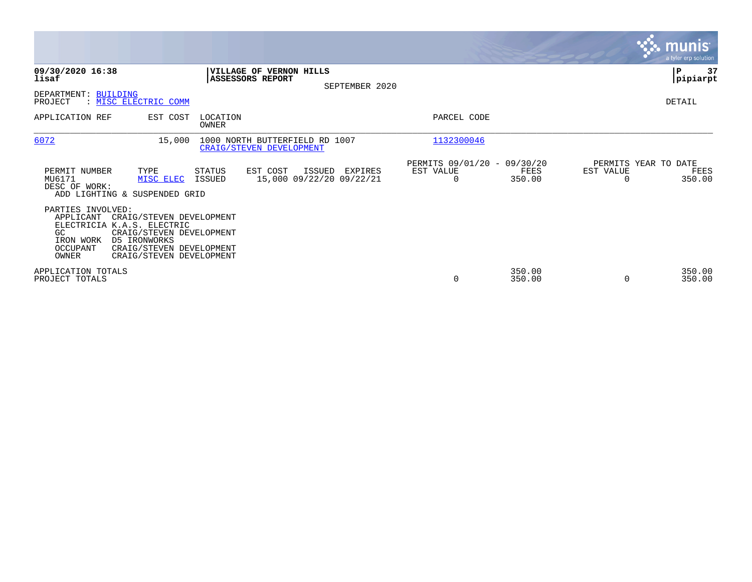|                                                                                                      |                                                                                                                              |                   |                                                                   |                                               |                                               |                  |           | <b>munis</b><br>a tyler erp solution   |
|------------------------------------------------------------------------------------------------------|------------------------------------------------------------------------------------------------------------------------------|-------------------|-------------------------------------------------------------------|-----------------------------------------------|-----------------------------------------------|------------------|-----------|----------------------------------------|
| 09/30/2020 16:38<br>lisaf                                                                            |                                                                                                                              |                   | <b>VILLAGE OF VERNON HILLS</b><br><b>ASSESSORS REPORT</b>         | SEPTEMBER 2020                                |                                               |                  |           | 37<br>IΡ<br> pipiarpt                  |
| DEPARTMENT: BUILDING<br>: MISC ELECTRIC COMM<br>PROJECT                                              |                                                                                                                              |                   |                                                                   |                                               |                                               |                  |           | DETAIL                                 |
| APPLICATION REF                                                                                      | EST COST                                                                                                                     | LOCATION<br>OWNER |                                                                   |                                               | PARCEL CODE                                   |                  |           |                                        |
| 6072                                                                                                 | 15,000                                                                                                                       |                   | 1000 NORTH BUTTERFIELD RD 1007<br><b>CRAIG/STEVEN DEVELOPMENT</b> |                                               | 1132300046                                    |                  |           |                                        |
| PERMIT NUMBER<br>MU6171<br>DESC OF WORK:<br>ADD LIGHTING & SUSPENDED GRID                            | TYPE<br>MISC ELEC                                                                                                            | STATUS<br>ISSUED  | EST COST                                                          | ISSUED<br>EXPIRES<br>15,000 09/22/20 09/22/21 | PERMITS 09/01/20 - 09/30/20<br>EST VALUE<br>0 | FEES<br>350.00   | EST VALUE | PERMITS YEAR TO DATE<br>FEES<br>350.00 |
| PARTIES INVOLVED:<br>APPLICANT<br>ELECTRICIA K.A.S. ELECTRIC<br>GC<br>IRON WORK<br>OCCUPANT<br>OWNER | CRAIG/STEVEN DEVELOPMENT<br>CRAIG/STEVEN DEVELOPMENT<br>D5 IRONWORKS<br>CRAIG/STEVEN DEVELOPMENT<br>CRAIG/STEVEN DEVELOPMENT |                   |                                                                   |                                               |                                               |                  |           |                                        |
| APPLICATION TOTALS<br>PROJECT TOTALS                                                                 |                                                                                                                              |                   |                                                                   |                                               | 0                                             | 350.00<br>350.00 | $\Omega$  | 350.00<br>350.00                       |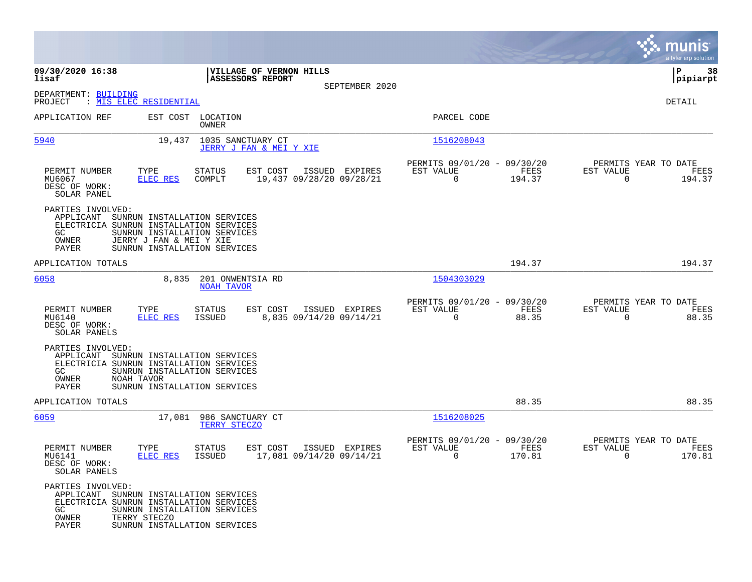|                                                                       |                                                                                                                                                                    |                                                    |                |                                                      |                |                                               | munis<br>a tyler erp solution |
|-----------------------------------------------------------------------|--------------------------------------------------------------------------------------------------------------------------------------------------------------------|----------------------------------------------------|----------------|------------------------------------------------------|----------------|-----------------------------------------------|-------------------------------|
| 09/30/2020 16:38<br>lisaf                                             |                                                                                                                                                                    | VILLAGE OF VERNON HILLS<br><b>ASSESSORS REPORT</b> | SEPTEMBER 2020 |                                                      |                |                                               | 38<br>IΡ<br> pipiarpt         |
| DEPARTMENT: BUILDING<br>: MIS ELEC RESIDENTIAL<br>PROJECT             |                                                                                                                                                                    |                                                    |                |                                                      |                |                                               | DETAIL                        |
| APPLICATION REF                                                       | EST COST LOCATION<br>OWNER                                                                                                                                         |                                                    |                | PARCEL CODE                                          |                |                                               |                               |
| 5940                                                                  | 1035 SANCTUARY CT<br>19,437                                                                                                                                        | JERRY J FAN & MEI Y XIE                            |                | 1516208043                                           |                |                                               |                               |
| TYPE<br>PERMIT NUMBER<br>MU6067<br>DESC OF WORK:<br>SOLAR PANEL       | STATUS<br>ELEC RES<br>COMPLT                                                                                                                                       | EST COST<br>19,437 09/28/20 09/28/21               | ISSUED EXPIRES | PERMITS 09/01/20 - 09/30/20<br>EST VALUE<br>$\Omega$ | FEES<br>194.37 | PERMITS YEAR TO DATE<br>EST VALUE<br>$\Omega$ | FEES<br>194.37                |
| PARTIES INVOLVED:<br>APPLICANT<br>GC.<br>OWNER<br>PAYER               | SUNRUN INSTALLATION SERVICES<br>ELECTRICIA SUNRUN INSTALLATION SERVICES<br>SUNRUN INSTALLATION SERVICES<br>JERRY J FAN & MEI Y XIE<br>SUNRUN INSTALLATION SERVICES |                                                    |                |                                                      |                |                                               |                               |
| APPLICATION TOTALS                                                    |                                                                                                                                                                    |                                                    |                |                                                      | 194.37         |                                               | 194.37                        |
| 6058                                                                  | 201 ONWENTSIA RD<br>8,835<br><b>NOAH TAVOR</b>                                                                                                                     |                                                    |                | 1504303029                                           |                |                                               |                               |
| PERMIT NUMBER<br>TYPE<br>MU6140<br>DESC OF WORK:<br>SOLAR PANELS      | STATUS<br>ELEC RES<br>ISSUED                                                                                                                                       | EST COST<br>8,835 09/14/20 09/14/21                | ISSUED EXPIRES | PERMITS 09/01/20 - 09/30/20<br>EST VALUE<br>$\Omega$ | FEES<br>88.35  | PERMITS YEAR TO DATE<br>EST VALUE<br>$\Omega$ | FEES<br>88.35                 |
| PARTIES INVOLVED:<br>APPLICANT<br>GC.<br>OWNER<br>NOAH TAVOR<br>PAYER | SUNRUN INSTALLATION SERVICES<br>ELECTRICIA SUNRUN INSTALLATION SERVICES<br>SUNRUN INSTALLATION SERVICES<br>SUNRUN INSTALLATION SERVICES                            |                                                    |                |                                                      |                |                                               |                               |
| APPLICATION TOTALS                                                    |                                                                                                                                                                    |                                                    |                |                                                      | 88.35          |                                               | 88.35                         |
| 6059                                                                  | 986 SANCTUARY CT<br>17,081<br>TERRY STECZO                                                                                                                         |                                                    |                | 1516208025                                           |                |                                               |                               |
| PERMIT NUMBER<br>TYPE<br>MU6141<br>DESC OF WORK:<br>SOLAR PANELS      | <b>STATUS</b><br>ELEC RES<br><b>ISSUED</b>                                                                                                                         | EST COST<br>17,081 09/14/20 09/14/21               | ISSUED EXPIRES | PERMITS 09/01/20 - 09/30/20<br>EST VALUE<br>0        | FEES<br>170.81 | PERMITS YEAR TO DATE<br>EST VALUE<br>0        | FEES<br>170.81                |
| PARTIES INVOLVED:<br>GC<br>OWNER<br>TERRY STECZO<br>PAYER             | APPLICANT SUNRUN INSTALLATION SERVICES<br>ELECTRICIA SUNRUN INSTALLATION SERVICES<br>SUNRUN INSTALLATION SERVICES<br>SUNRUN INSTALLATION SERVICES                  |                                                    |                |                                                      |                |                                               |                               |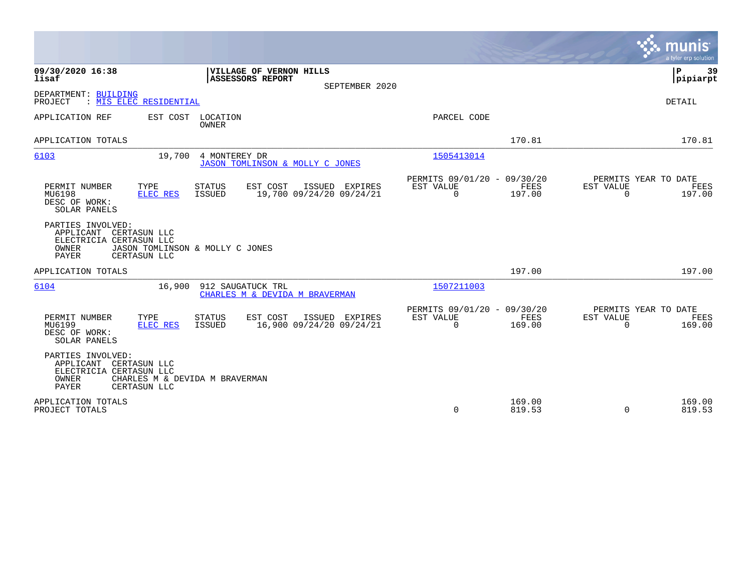|                                                                                                 |                                                           |                                                     |                                               |                                                      |                  |                                                  | munis<br>a tyler erp solution |
|-------------------------------------------------------------------------------------------------|-----------------------------------------------------------|-----------------------------------------------------|-----------------------------------------------|------------------------------------------------------|------------------|--------------------------------------------------|-------------------------------|
| 09/30/2020 16:38<br>lisaf                                                                       |                                                           | VILLAGE OF VERNON HILLS<br>ASSESSORS REPORT         | SEPTEMBER 2020                                |                                                      |                  |                                                  | P<br>39<br> pipiarpt          |
| DEPARTMENT: BUILDING<br>PROJECT                                                                 | : MIS ELEC RESIDENTIAL                                    |                                                     |                                               |                                                      |                  |                                                  | <b>DETAIL</b>                 |
| APPLICATION REF                                                                                 | EST COST<br>OWNER                                         | LOCATION                                            |                                               | PARCEL CODE                                          |                  |                                                  |                               |
| APPLICATION TOTALS                                                                              |                                                           |                                                     |                                               |                                                      | 170.81           |                                                  | 170.81                        |
| 6103                                                                                            | 19,700                                                    | 4 MONTEREY DR<br>JASON TOMLINSON & MOLLY C JONES    |                                               | 1505413014                                           |                  |                                                  |                               |
| PERMIT NUMBER<br>MU6198<br>DESC OF WORK:<br>SOLAR PANELS                                        | TYPE<br><b>STATUS</b><br><b>ELEC RES</b><br><b>ISSUED</b> | EST COST                                            | ISSUED<br>EXPIRES<br>19,700 09/24/20 09/24/21 | PERMITS 09/01/20 - 09/30/20<br>EST VALUE<br>0        | FEES<br>197.00   | PERMITS YEAR TO DATE<br>EST VALUE<br>$\mathbf 0$ | FEES<br>197.00                |
| PARTIES INVOLVED:<br>APPLICANT CERTASUN LLC<br>ELECTRICIA CERTASUN LLC<br>OWNER<br>PAYER        | JASON TOMLINSON & MOLLY C JONES<br>CERTASUN LLC           |                                                     |                                               |                                                      |                  |                                                  |                               |
| APPLICATION TOTALS                                                                              |                                                           |                                                     |                                               |                                                      | 197.00           |                                                  | 197.00                        |
| 6104                                                                                            | 16,900                                                    | 912 SAUGATUCK TRL<br>CHARLES M & DEVIDA M BRAVERMAN |                                               | 1507211003                                           |                  |                                                  |                               |
| PERMIT NUMBER<br>MU6199<br>DESC OF WORK:<br>SOLAR PANELS                                        | TYPE<br><b>STATUS</b><br>ELEC RES<br><b>ISSUED</b>        | EST COST                                            | ISSUED<br>EXPIRES<br>16,900 09/24/20 09/24/21 | PERMITS 09/01/20 - 09/30/20<br>EST VALUE<br>$\Omega$ | FEES<br>169.00   | PERMITS YEAR TO DATE<br>EST VALUE<br>$\Omega$    | FEES<br>169.00                |
| PARTIES INVOLVED:<br>APPLICANT CERTASUN LLC<br>ELECTRICIA CERTASUN LLC<br>OWNER<br><b>PAYER</b> | CHARLES M & DEVIDA M BRAVERMAN<br>CERTASUN LLC            |                                                     |                                               |                                                      |                  |                                                  |                               |
| APPLICATION TOTALS<br>PROJECT TOTALS                                                            |                                                           |                                                     |                                               | 0                                                    | 169.00<br>819.53 | $\Omega$                                         | 169.00<br>819.53              |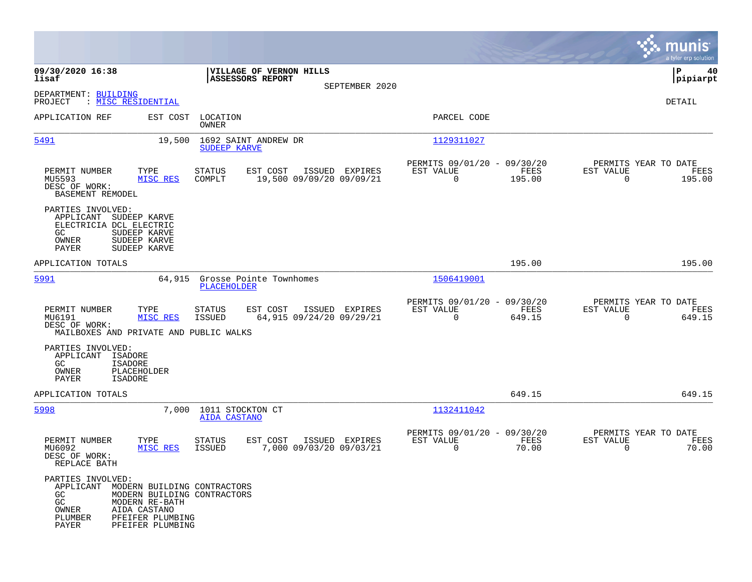|                                                                                                                                                                                                                  |                                                                                         |                                                                           | munis<br>a tyler erp solution                                           |
|------------------------------------------------------------------------------------------------------------------------------------------------------------------------------------------------------------------|-----------------------------------------------------------------------------------------|---------------------------------------------------------------------------|-------------------------------------------------------------------------|
| 09/30/2020 16:38<br>lisaf                                                                                                                                                                                        | VILLAGE OF VERNON HILLS<br>ASSESSORS REPORT                                             |                                                                           | ΙP<br>40<br> pipiarpt                                                   |
| DEPARTMENT: BUILDING<br>PROJECT<br>: MISC RESIDENTIAL                                                                                                                                                            | SEPTEMBER 2020                                                                          |                                                                           | DETAIL                                                                  |
| APPLICATION REF<br>EST COST                                                                                                                                                                                      | LOCATION<br>OWNER                                                                       | PARCEL CODE                                                               |                                                                         |
| 5491<br>19,500                                                                                                                                                                                                   | 1692 SAINT ANDREW DR<br><b>SUDEEP KARVE</b>                                             | 1129311027                                                                |                                                                         |
| PERMIT NUMBER<br>TYPE<br>MU5593<br>MISC RES<br>DESC OF WORK:<br>BASEMENT REMODEL                                                                                                                                 | STATUS<br>EST COST<br>ISSUED EXPIRES<br>19,500 09/09/20 09/09/21<br>COMPLT              | PERMITS 09/01/20 - 09/30/20<br>FEES<br>EST VALUE<br>$\mathbf 0$<br>195.00 | PERMITS YEAR TO DATE<br>EST VALUE<br>FEES<br>$\overline{0}$<br>195.00   |
| PARTIES INVOLVED:<br>APPLICANT SUDEEP KARVE<br>ELECTRICIA DCL ELECTRIC<br>GC<br>SUDEEP KARVE<br>OWNER<br>SUDEEP KARVE<br>PAYER<br>SUDEEP KARVE                                                                   |                                                                                         |                                                                           |                                                                         |
| APPLICATION TOTALS                                                                                                                                                                                               |                                                                                         | 195.00                                                                    | 195.00                                                                  |
| 5991<br>64,915                                                                                                                                                                                                   | Grosse Pointe Townhomes<br>PLACEHOLDER                                                  | 1506419001                                                                |                                                                         |
| PERMIT NUMBER<br>TYPE<br>MU6191<br>MISC RES<br>DESC OF WORK:<br>MAILBOXES AND PRIVATE AND PUBLIC WALKS                                                                                                           | <b>STATUS</b><br>EST COST<br>ISSUED EXPIRES<br>64,915 09/24/20 09/29/21<br>ISSUED       | PERMITS 09/01/20 - 09/30/20<br>EST VALUE<br>$\overline{0}$<br>649.15      | PERMITS YEAR TO DATE<br>FEES<br>EST VALUE<br>FEES<br>$\Omega$<br>649.15 |
| PARTIES INVOLVED:<br>APPLICANT ISADORE<br>GC.<br>ISADORE<br>OWNER<br>PLACEHOLDER<br>PAYER<br>ISADORE                                                                                                             |                                                                                         |                                                                           |                                                                         |
| APPLICATION TOTALS                                                                                                                                                                                               |                                                                                         | 649.15                                                                    | 649.15                                                                  |
| 5998                                                                                                                                                                                                             | 7,000 1011 STOCKTON CT<br>AIDA CASTANO                                                  | 1132411042                                                                |                                                                         |
| PERMIT NUMBER<br>TYPE<br>MU6092<br>MISC RES<br>DESC OF WORK:<br>REPLACE BATH                                                                                                                                     | EST COST<br>ISSUED EXPIRES<br><b>STATUS</b><br>7,000 09/03/20 09/03/21<br><b>ISSUED</b> | PERMITS 09/01/20 - 09/30/20<br>EST VALUE<br>FEES<br>$\Omega$<br>70.00     | PERMITS YEAR TO DATE<br>EST VALUE<br>FEES<br>$\Omega$<br>70.00          |
| PARTIES INVOLVED:<br>APPLICANT<br>MODERN BUILDING CONTRACTORS<br>GC.<br>MODERN BUILDING CONTRACTORS<br>GC<br>MODERN RE-BATH<br>OWNER<br>AIDA CASTANO<br>PLUMBER<br>PFEIFER PLUMBING<br>PAYER<br>PFEIFER PLUMBING |                                                                                         |                                                                           |                                                                         |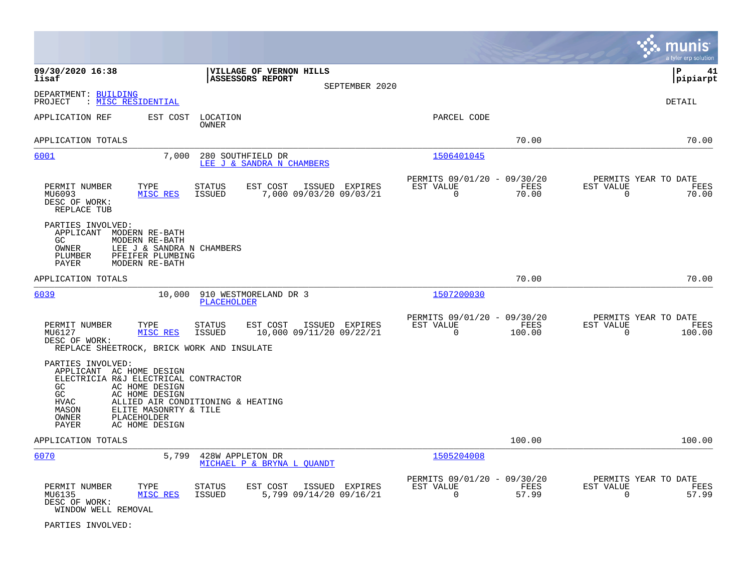|                                                                                                                                                                                                                                           |                                                                                         |                                                                          | munis<br>a tyler erp solution                                      |
|-------------------------------------------------------------------------------------------------------------------------------------------------------------------------------------------------------------------------------------------|-----------------------------------------------------------------------------------------|--------------------------------------------------------------------------|--------------------------------------------------------------------|
| 09/30/2020 16:38<br>lisaf                                                                                                                                                                                                                 | VILLAGE OF VERNON HILLS<br>ASSESSORS REPORT<br>SEPTEMBER 2020                           |                                                                          | l P<br>41<br> pipiarpt                                             |
| DEPARTMENT: BUILDING<br>: MISC RESIDENTIAL<br>PROJECT                                                                                                                                                                                     |                                                                                         |                                                                          | <b>DETAIL</b>                                                      |
| APPLICATION REF<br>EST COST                                                                                                                                                                                                               | LOCATION<br>OWNER                                                                       | PARCEL CODE                                                              |                                                                    |
| APPLICATION TOTALS                                                                                                                                                                                                                        |                                                                                         | 70.00                                                                    | 70.00                                                              |
| 6001<br>7,000                                                                                                                                                                                                                             | 280 SOUTHFIELD DR<br>LEE J & SANDRA N CHAMBERS                                          | 1506401045                                                               |                                                                    |
| PERMIT NUMBER<br>TYPE<br>MU6093<br>MISC RES<br>DESC OF WORK:<br>REPLACE TUB                                                                                                                                                               | STATUS<br>EST COST<br>ISSUED EXPIRES<br><b>ISSUED</b><br>7,000 09/03/20 09/03/21        | PERMITS 09/01/20 - 09/30/20<br>EST VALUE<br>FEES<br>$\mathbf 0$<br>70.00 | PERMITS YEAR TO DATE<br>EST VALUE<br>FEES<br>$\mathbf 0$<br>70.00  |
| PARTIES INVOLVED:<br>APPLICANT<br>MODERN RE-BATH<br>MODERN RE-BATH<br>GC.<br>OWNER<br>LEE J & SANDRA N CHAMBERS<br>PFEIFER PLUMBING<br>PLUMBER<br>PAYER<br>MODERN RE-BATH                                                                 |                                                                                         |                                                                          |                                                                    |
| APPLICATION TOTALS                                                                                                                                                                                                                        |                                                                                         | 70.00                                                                    | 70.00                                                              |
| 6039<br>10,000                                                                                                                                                                                                                            | 910 WESTMORELAND DR 3<br>PLACEHOLDER                                                    | 1507200030                                                               |                                                                    |
| PERMIT NUMBER<br>TYPE<br>MU6127<br>MISC RES<br>DESC OF WORK:<br>REPLACE SHEETROCK, BRICK WORK AND INSULATE                                                                                                                                | EST COST<br>STATUS<br>ISSUED EXPIRES<br><b>ISSUED</b><br>10,000 09/11/20 09/22/21       | PERMITS 09/01/20 - 09/30/20<br>EST VALUE<br>FEES<br>$\Omega$<br>100.00   | PERMITS YEAR TO DATE<br>EST VALUE<br>FEES<br>$\mathbf 0$<br>100.00 |
| PARTIES INVOLVED:<br>APPLICANT AC HOME DESIGN<br>ELECTRICIA R&J ELECTRICAL CONTRACTOR<br>GC<br>AC HOME DESIGN<br>GC<br>AC HOME DESIGN<br><b>HVAC</b><br>ELITE MASONRTY & TILE<br>MASON<br>OWNER<br>PLACEHOLDER<br>AC HOME DESIGN<br>PAYER | ALLIED AIR CONDITIONING & HEATING                                                       |                                                                          |                                                                    |
| APPLICATION TOTALS                                                                                                                                                                                                                        |                                                                                         | 100.00                                                                   | 100.00                                                             |
| 6070<br>5,799                                                                                                                                                                                                                             | 428W APPLETON DR<br>MICHAEL P & BRYNA L OUANDT                                          | 1505204008                                                               |                                                                    |
| PERMIT NUMBER<br>TYPE<br>MU6135<br>MISC RES<br>DESC OF WORK:<br>WINDOW WELL REMOVAL                                                                                                                                                       | <b>STATUS</b><br>EST COST<br>ISSUED EXPIRES<br><b>ISSUED</b><br>5,799 09/14/20 09/16/21 | PERMITS 09/01/20 - 09/30/20<br>EST VALUE<br>FEES<br>$\Omega$<br>57.99    | PERMITS YEAR TO DATE<br>EST VALUE<br>FEES<br>0<br>57.99            |

PARTIES INVOLVED: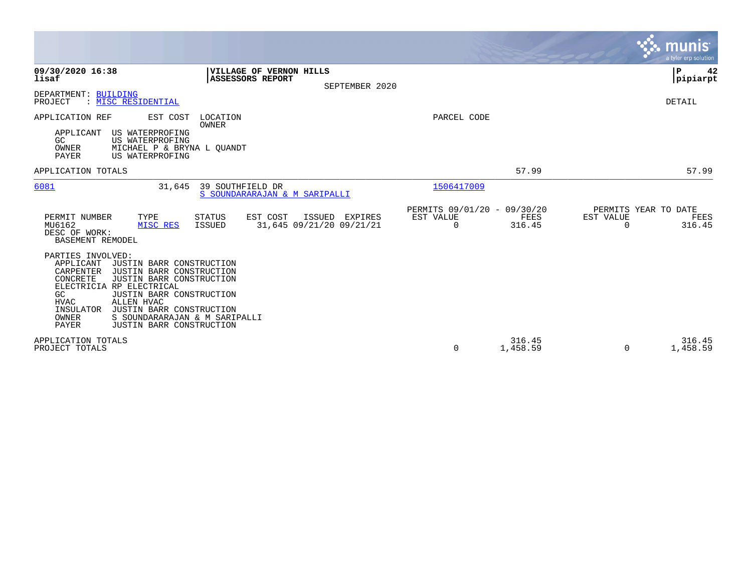|                                                                                                                                                                                                                                                                                                                                                                       |                                                                        | munis <sup>.</sup><br>a tyler erp solution                      |
|-----------------------------------------------------------------------------------------------------------------------------------------------------------------------------------------------------------------------------------------------------------------------------------------------------------------------------------------------------------------------|------------------------------------------------------------------------|-----------------------------------------------------------------|
| 09/30/2020 16:38<br>VILLAGE OF VERNON HILLS<br>ASSESSORS REPORT<br>lisaf<br>SEPTEMBER 2020<br>DEPARTMENT: BUILDING<br>: MISC RESIDENTIAL<br>PROJECT                                                                                                                                                                                                                   |                                                                        | P<br>42<br> pipiarpt<br>DETAIL                                  |
| APPLICATION REF<br>EST COST<br>LOCATION<br>OWNER<br>APPLICANT<br>US WATERPROFING<br>GC<br>US WATERPROFING<br>MICHAEL P & BRYNA L OUANDT<br>OWNER<br>PAYER<br>US WATERPROFING                                                                                                                                                                                          | PARCEL CODE                                                            |                                                                 |
| APPLICATION TOTALS                                                                                                                                                                                                                                                                                                                                                    | 57.99                                                                  | 57.99                                                           |
| 6081<br>31,645<br>39 SOUTHFIELD DR<br>S SOUNDARARAJAN & M SARIPALLI                                                                                                                                                                                                                                                                                                   | 1506417009                                                             |                                                                 |
| PERMIT NUMBER<br>TYPE<br>STATUS<br>EST COST<br>ISSUED EXPIRES<br>MU6162<br>31,645 09/21/20 09/21/21<br>MISC RES<br><b>ISSUED</b><br>DESC OF WORK:<br><b>BASEMENT REMODEL</b>                                                                                                                                                                                          | PERMITS 09/01/20 - 09/30/20<br>EST VALUE<br><b>FEES</b><br>316.45<br>0 | PERMITS YEAR TO DATE<br>EST VALUE<br>FEES<br>316.45<br>$\Omega$ |
| PARTIES INVOLVED:<br>APPLICANT<br>JUSTIN BARR CONSTRUCTION<br>JUSTIN BARR CONSTRUCTION<br>CARPENTER<br>CONCRETE<br>JUSTIN BARR CONSTRUCTION<br>ELECTRICIA RP ELECTRICAL<br>JUSTIN BARR CONSTRUCTION<br><b>GC</b><br><b>HVAC</b><br>ALLEN HVAC<br>INSULATOR<br>JUSTIN BARR CONSTRUCTION<br>OWNER<br>S SOUNDARARAJAN & M SARIPALLI<br>PAYER<br>JUSTIN BARR CONSTRUCTION |                                                                        |                                                                 |
| APPLICATION TOTALS<br>PROJECT TOTALS                                                                                                                                                                                                                                                                                                                                  | 316.45<br>0<br>1,458.59                                                | 316.45<br>1,458.59<br>0                                         |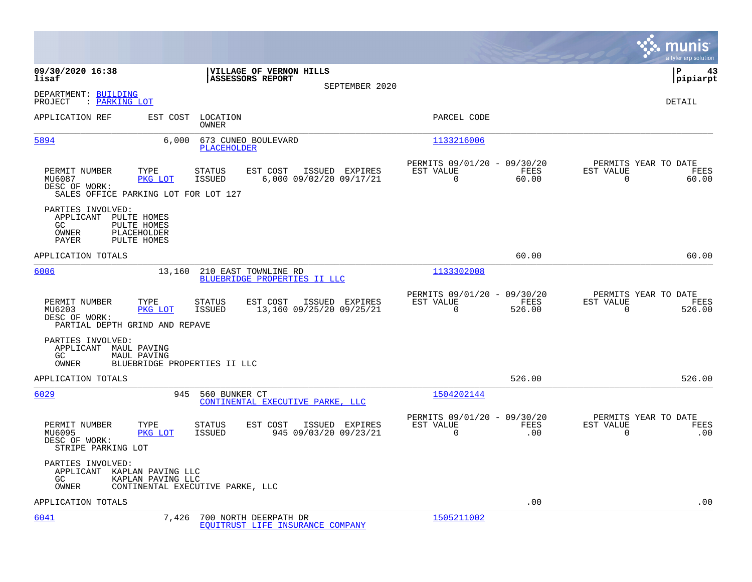|                                                                                                                  |                                                                                         |                                                                           | munis<br>a tyler erp solution                                     |
|------------------------------------------------------------------------------------------------------------------|-----------------------------------------------------------------------------------------|---------------------------------------------------------------------------|-------------------------------------------------------------------|
| 09/30/2020 16:38<br>lisaf                                                                                        | VILLAGE OF VERNON HILLS<br><b>ASSESSORS REPORT</b>                                      |                                                                           | lР<br>43<br> pipiarpt                                             |
| DEPARTMENT: BUILDING<br>PROJECT<br>: PARKING LOT                                                                 | SEPTEMBER 2020                                                                          |                                                                           | DETAIL                                                            |
| APPLICATION REF                                                                                                  | EST COST LOCATION<br>OWNER                                                              | PARCEL CODE                                                               |                                                                   |
| 5894<br>6.000                                                                                                    | 673 CUNEO BOULEVARD<br><b>PLACEHOLDER</b>                                               | 1133216006                                                                |                                                                   |
| PERMIT NUMBER<br>TYPE<br>MU6087<br>PKG LOT<br>DESC OF WORK:<br>SALES OFFICE PARKING LOT FOR LOT 127              | <b>STATUS</b><br>EST COST<br>ISSUED EXPIRES<br>6,000 09/02/20 09/17/21<br><b>ISSUED</b> | PERMITS 09/01/20 - 09/30/20<br>EST VALUE<br>FEES<br>$\mathbf 0$<br>60.00  | PERMITS YEAR TO DATE<br>EST VALUE<br>FEES<br>$\mathbf 0$<br>60.00 |
| PARTIES INVOLVED:<br>APPLICANT PULTE HOMES<br>PULTE HOMES<br>GC.<br>OWNER<br>PLACEHOLDER<br>PAYER<br>PULTE HOMES |                                                                                         |                                                                           |                                                                   |
| APPLICATION TOTALS                                                                                               |                                                                                         | 60.00                                                                     | 60.00                                                             |
| 6006<br>13,160                                                                                                   | 210 EAST TOWNLINE RD<br>BLUEBRIDGE PROPERTIES II LLC                                    | 1133302008                                                                |                                                                   |
| TYPE<br>PERMIT NUMBER<br>MU6203<br>PKG LOT<br>DESC OF WORK:<br>PARTIAL DEPTH GRIND AND REPAVE                    | STATUS<br>EST COST<br>ISSUED EXPIRES<br>13,160 09/25/20 09/25/21<br><b>ISSUED</b>       | PERMITS 09/01/20 - 09/30/20<br>EST VALUE<br>FEES<br>$\Omega$<br>526.00    | PERMITS YEAR TO DATE<br>EST VALUE<br>FEES<br>$\Omega$<br>526.00   |
| PARTIES INVOLVED:<br>APPLICANT MAUL PAVING<br>GC.<br>MAUL PAVING<br>OWNER                                        | BLUEBRIDGE PROPERTIES II LLC                                                            |                                                                           |                                                                   |
| APPLICATION TOTALS                                                                                               |                                                                                         | 526.00                                                                    | 526.00                                                            |
| 6029<br>945                                                                                                      | 560 BUNKER CT<br>CONTINENTAL EXECUTIVE PARKE, LLC                                       | 1504202144                                                                |                                                                   |
| PERMIT NUMBER<br>TYPE<br>MU6095<br>PKG LOT<br>DESC OF WORK:<br>STRIPE PARKING LOT                                | EST COST<br>STATUS<br>ISSUED EXPIRES<br>945 09/03/20 09/23/21<br>ISSUED                 | PERMITS 09/01/20 - 09/30/20<br>EST VALUE<br>FEES<br>$\overline{0}$<br>.00 | PERMITS YEAR TO DATE<br>EST VALUE<br>FEES<br>$\mathbf 0$<br>.00   |
| PARTIES INVOLVED:<br>APPLICANT KAPLAN PAVING LLC<br>GC.<br>KAPLAN PAVING LLC<br>OWNER                            | CONTINENTAL EXECUTIVE PARKE, LLC                                                        |                                                                           |                                                                   |
| APPLICATION TOTALS                                                                                               |                                                                                         | .00                                                                       | .00                                                               |
| 6041<br>7,426                                                                                                    | 700 NORTH DEERPATH DR<br>EQUITRUST LIFE INSURANCE COMPANY                               | 1505211002                                                                |                                                                   |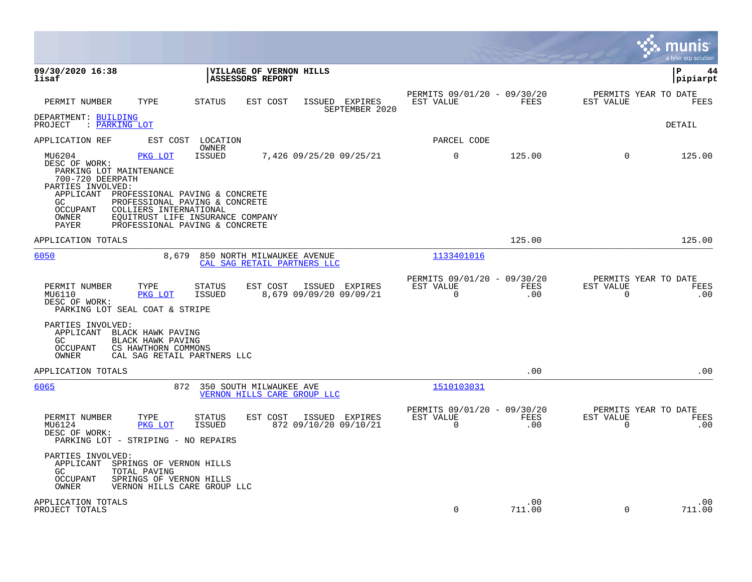|                                                                                                                                                                                           |                                                                                                                                                         |                                           |                                                            |                    |                                                  | munis<br>a tyler erp solution |
|-------------------------------------------------------------------------------------------------------------------------------------------------------------------------------------------|---------------------------------------------------------------------------------------------------------------------------------------------------------|-------------------------------------------|------------------------------------------------------------|--------------------|--------------------------------------------------|-------------------------------|
| 09/30/2020 16:38<br>lisaf                                                                                                                                                                 | VILLAGE OF VERNON HILLS<br>ASSESSORS REPORT                                                                                                             |                                           |                                                            |                    |                                                  | ΙP<br>44<br>pipiarpt          |
| TYPE<br>PERMIT NUMBER                                                                                                                                                                     | <b>STATUS</b><br>EST COST                                                                                                                               | ISSUED EXPIRES<br>SEPTEMBER 2020          | PERMITS 09/01/20 - 09/30/20<br>EST VALUE                   | FEES               | PERMITS YEAR TO DATE<br>EST VALUE                | FEES                          |
| DEPARTMENT: BUILDING<br>: <u>PARKING LOT</u><br>PROJECT                                                                                                                                   |                                                                                                                                                         |                                           |                                                            |                    |                                                  | DETAIL                        |
| APPLICATION REF<br>EST COST                                                                                                                                                               | LOCATION<br>OWNER                                                                                                                                       |                                           | PARCEL CODE                                                |                    |                                                  |                               |
| MU6204<br>PKG LOT<br>DESC OF WORK:<br>PARKING LOT MAINTENANCE<br>700-720 DEERPATH<br>PARTIES INVOLVED:<br>APPLICANT<br>GC.<br>OCCUPANT<br>COLLIERS INTERNATIONAL<br>OWNER<br><b>PAYER</b> | <b>ISSUED</b><br>PROFESSIONAL PAVING & CONCRETE<br>PROFESSIONAL PAVING & CONCRETE<br>EQUITRUST LIFE INSURANCE COMPANY<br>PROFESSIONAL PAVING & CONCRETE | 7,426 09/25/20 09/25/21                   | 0                                                          | 125.00             | $\Omega$                                         | 125.00                        |
| APPLICATION TOTALS                                                                                                                                                                        |                                                                                                                                                         |                                           |                                                            | 125.00             |                                                  | 125.00                        |
| 6050<br>8,679                                                                                                                                                                             | 850 NORTH MILWAUKEE AVENUE<br>CAL SAG RETAIL PARTNERS LLC                                                                                               |                                           | 1133401016                                                 |                    |                                                  |                               |
| PERMIT NUMBER<br>TYPE<br>MU6110<br>PKG LOT<br>DESC OF WORK:<br>PARKING LOT SEAL COAT & STRIPE                                                                                             | <b>STATUS</b><br>EST COST<br>ISSUED                                                                                                                     | ISSUED EXPIRES<br>8,679 09/09/20 09/09/21 | PERMITS 09/01/20 - 09/30/20<br>EST VALUE<br>$\Omega$       | FEES<br>.00        | PERMITS YEAR TO DATE<br>EST VALUE<br>$\Omega$    | FEES<br>.00                   |
| PARTIES INVOLVED:<br>APPLICANT BLACK HAWK PAVING<br>GC.<br>BLACK HAWK PAVING<br><b>OCCUPANT</b><br>CS HAWTHORN COMMONS<br>OWNER                                                           | CAL SAG RETAIL PARTNERS LLC                                                                                                                             |                                           |                                                            |                    |                                                  |                               |
| APPLICATION TOTALS                                                                                                                                                                        |                                                                                                                                                         |                                           |                                                            | .00                |                                                  | .00                           |
| 6065                                                                                                                                                                                      | 872<br>350 SOUTH MILWAUKEE AVE<br>VERNON HILLS CARE GROUP LLC                                                                                           |                                           | 1510103031                                                 |                    |                                                  |                               |
| PERMIT NUMBER<br>TYPE<br>MU6124<br>PKG LOT<br>DESC OF WORK:<br>PARKING LOT - STRIPING - NO REPAIRS                                                                                        | EST COST<br>STATUS<br><b>ISSUED</b>                                                                                                                     | ISSUED EXPIRES<br>872 09/10/20 09/10/21   | PERMITS 09/01/20 - 09/30/20<br>EST VALUE<br>$\overline{0}$ | <b>FEES</b><br>.00 | PERMITS YEAR TO DATE<br>EST VALUE<br>$\mathbf 0$ | FEES<br>.00                   |
| PARTIES INVOLVED:<br>APPLICANT<br>SPRINGS OF VERNON HILLS<br>GC.<br>TOTAL PAVING<br>OCCUPANT<br>SPRINGS OF VERNON HILLS<br>OWNER                                                          | VERNON HILLS CARE GROUP LLC                                                                                                                             |                                           |                                                            |                    |                                                  |                               |
| APPLICATION TOTALS<br>PROJECT TOTALS                                                                                                                                                      |                                                                                                                                                         |                                           | $\Omega$                                                   | .00<br>711.00      | $\Omega$                                         | .00<br>711.00                 |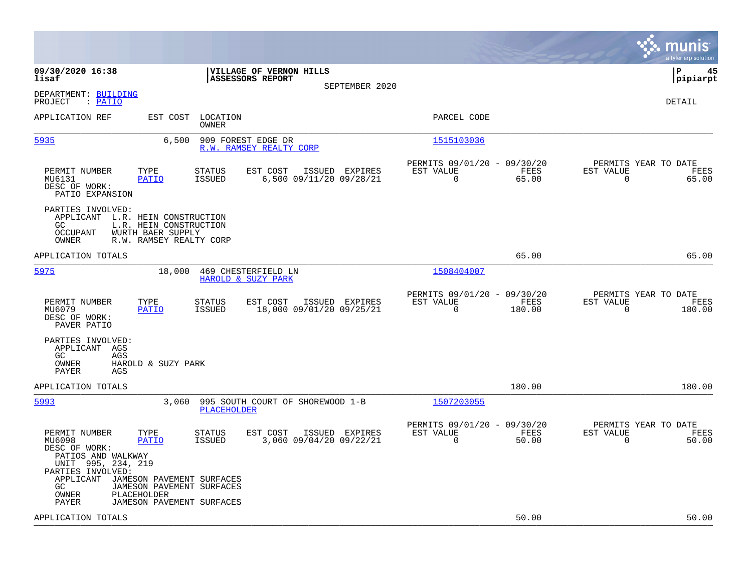|                                                                                                                                   |                                                                                         |                                                                          | munis<br>a tyler erp solution                                        |
|-----------------------------------------------------------------------------------------------------------------------------------|-----------------------------------------------------------------------------------------|--------------------------------------------------------------------------|----------------------------------------------------------------------|
| 09/30/2020 16:38<br>lisaf                                                                                                         | VILLAGE OF VERNON HILLS<br><b>ASSESSORS REPORT</b><br>SEPTEMBER 2020                    |                                                                          | l P<br>45<br> pipiarpt                                               |
| DEPARTMENT: BUILDING<br>PROJECT<br>: PATIO                                                                                        |                                                                                         |                                                                          | <b>DETAIL</b>                                                        |
| APPLICATION REF                                                                                                                   | EST COST LOCATION<br>OWNER                                                              | PARCEL CODE                                                              |                                                                      |
| 5935                                                                                                                              | 6,500<br>909 FOREST EDGE DR<br>R.W. RAMSEY REALTY CORP                                  | 1515103036                                                               |                                                                      |
| PERMIT NUMBER<br>TYPE<br><b>PATIO</b><br>MU6131<br>DESC OF WORK:<br>PATIO EXPANSION                                               | EST COST<br>ISSUED EXPIRES<br><b>STATUS</b><br><b>ISSUED</b><br>6,500 09/11/20 09/28/21 | PERMITS 09/01/20 - 09/30/20<br>FEES<br>EST VALUE<br>$\mathbf 0$<br>65.00 | PERMITS YEAR TO DATE<br>EST VALUE<br>FEES<br>$\overline{0}$<br>65.00 |
| PARTIES INVOLVED:<br>APPLICANT L.R. HEIN CONSTRUCTION<br>GC.<br>WURTH BAER SUPPLY<br>OCCUPANT<br>OWNER                            | L.R. HEIN CONSTRUCTION<br>R.W. RAMSEY REALTY CORP                                       |                                                                          |                                                                      |
| APPLICATION TOTALS                                                                                                                |                                                                                         | 65.00                                                                    | 65.00                                                                |
| 5975                                                                                                                              | 18,000<br>469 CHESTERFIELD LN<br>HAROLD & SUZY PARK                                     | 1508404007                                                               |                                                                      |
| PERMIT NUMBER<br>TYPE<br>MU6079<br><b>PATIO</b><br>DESC OF WORK:<br>PAVER PATIO                                                   | EST COST<br>ISSUED EXPIRES<br><b>STATUS</b><br>18,000 09/01/20 09/25/21<br>ISSUED       | PERMITS 09/01/20 - 09/30/20<br>EST VALUE<br>FEES<br>$\Omega$<br>180.00   | PERMITS YEAR TO DATE<br>EST VALUE<br>FEES<br>$\Omega$<br>180.00      |
| PARTIES INVOLVED:<br>APPLICANT AGS<br>GC<br>AGS<br>OWNER<br>HAROLD & SUZY PARK<br>PAYER<br>AGS                                    |                                                                                         |                                                                          |                                                                      |
| APPLICATION TOTALS                                                                                                                |                                                                                         | 180.00                                                                   | 180.00                                                               |
| 5993                                                                                                                              | 3,060 995 SOUTH COURT OF SHOREWOOD 1-B<br>PLACEHOLDER                                   | 1507203055                                                               |                                                                      |
| PERMIT NUMBER<br>TYPE<br>MU6098<br><b>PATIO</b><br>DESC OF WORK:<br>PATIOS AND WALKWAY<br>UNIT 995, 234, 219<br>PARTIES INVOLVED: | EST COST<br><b>STATUS</b><br>ISSUED EXPIRES<br><b>ISSUED</b><br>3,060 09/04/20 09/22/21 | PERMITS 09/01/20 - 09/30/20<br>EST VALUE<br>FEES<br>$\mathbf 0$<br>50.00 | PERMITS YEAR TO DATE<br>EST VALUE<br>FEES<br>$\mathbf 0$<br>50.00    |
| APPLICANT<br>GC<br>PLACEHOLDER<br>OWNER<br>PAYER                                                                                  | JAMESON PAVEMENT SURFACES<br>JAMESON PAVEMENT SURFACES<br>JAMESON PAVEMENT SURFACES     |                                                                          |                                                                      |
| APPLICATION TOTALS                                                                                                                |                                                                                         | 50.00                                                                    | 50.00                                                                |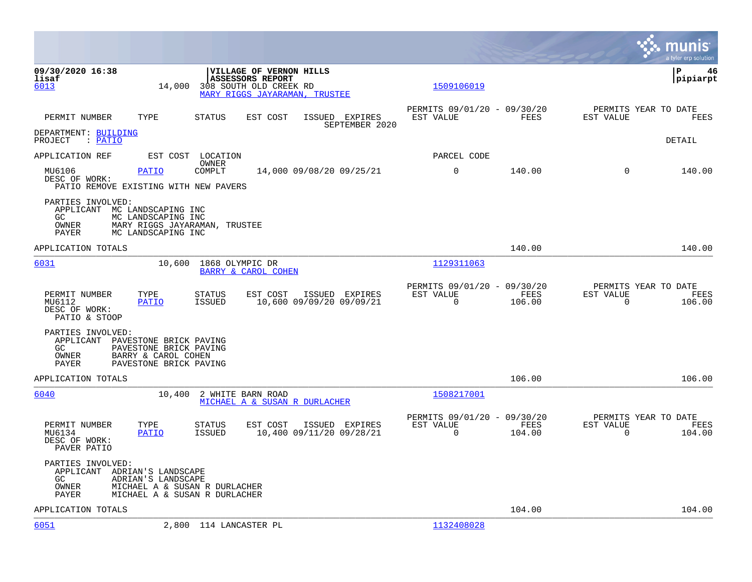|                                                                                                                                                          |                                                                                                               |                                                         |                | munis<br>a tyler erp solution                                         |
|----------------------------------------------------------------------------------------------------------------------------------------------------------|---------------------------------------------------------------------------------------------------------------|---------------------------------------------------------|----------------|-----------------------------------------------------------------------|
| 09/30/2020 16:38<br>lisaf<br>6013<br>14,000                                                                                                              | VILLAGE OF VERNON HILLS<br><b>ASSESSORS REPORT</b><br>308 SOUTH OLD CREEK RD<br>MARY RIGGS JAYARAMAN, TRUSTEE | 1509106019                                              |                | l P<br>46<br> pipiarpt                                                |
| PERMIT NUMBER<br>TYPE                                                                                                                                    | <b>STATUS</b><br>EST COST<br>ISSUED EXPIRES<br>SEPTEMBER 2020                                                 | PERMITS 09/01/20 - 09/30/20<br>EST VALUE                | <b>FEES</b>    | PERMITS YEAR TO DATE<br>EST VALUE<br>FEES                             |
| DEPARTMENT: BUILDING<br>: PATIO<br>PROJECT                                                                                                               |                                                                                                               |                                                         |                | DETAIL                                                                |
| APPLICATION REF                                                                                                                                          | EST COST LOCATION<br>OWNER                                                                                    | PARCEL CODE                                             |                |                                                                       |
| MU6106<br><b>PATIO</b><br>DESC OF WORK:<br>PATIO REMOVE EXISTING WITH NEW PAVERS                                                                         | COMPLT<br>14,000 09/08/20 09/25/21                                                                            | $\mathbf 0$                                             | 140.00         | $\Omega$<br>140.00                                                    |
| PARTIES INVOLVED:<br>APPLICANT MC LANDSCAPING INC<br>GC.<br>MC LANDSCAPING INC<br>OWNER<br>MC LANDSCAPING INC<br>PAYER                                   | MARY RIGGS JAYARAMAN, TRUSTEE                                                                                 |                                                         |                |                                                                       |
| APPLICATION TOTALS                                                                                                                                       |                                                                                                               |                                                         | 140.00         | 140.00                                                                |
| 6031<br>10,600                                                                                                                                           | 1868 OLYMPIC DR<br>BARRY & CAROL COHEN                                                                        | 1129311063                                              |                |                                                                       |
| PERMIT NUMBER<br>TYPE<br>MU6112<br><b>PATIO</b><br>DESC OF WORK:<br>PATIO & STOOP                                                                        | STATUS<br>EST COST<br>ISSUED EXPIRES<br><b>ISSUED</b><br>10,600 09/09/20 09/09/21                             | PERMITS 09/01/20 - 09/30/20<br>EST VALUE<br>$\mathbf 0$ | FEES<br>106.00 | PERMITS YEAR TO DATE<br>EST VALUE<br>FEES<br>$\mathbf 0$<br>106.00    |
| PARTIES INVOLVED:<br>APPLICANT PAVESTONE BRICK PAVING<br>GC<br>PAVESTONE BRICK PAVING<br>BARRY & CAROL COHEN<br>OWNER<br>PAYER<br>PAVESTONE BRICK PAVING |                                                                                                               |                                                         |                |                                                                       |
| APPLICATION TOTALS                                                                                                                                       |                                                                                                               |                                                         | 106.00         | 106.00                                                                |
| 6040<br>10,400                                                                                                                                           | 2 WHITE BARN ROAD<br>MICHAEL A & SUSAN R DURLACHER                                                            | 1508217001                                              |                |                                                                       |
| PERMIT NUMBER<br>TYPE<br>MU6134<br><b>PATIO</b><br>DESC OF WORK:<br>PAVER PATIO                                                                          | EST COST<br>STATUS<br>ISSUED EXPIRES<br><b>ISSUED</b><br>10,400 09/11/20 09/28/21                             | PERMITS 09/01/20 - 09/30/20<br>EST VALUE<br>$\mathbf 0$ | FEES<br>104.00 | PERMITS YEAR TO DATE<br>EST VALUE<br>FEES<br>$\overline{0}$<br>104.00 |
| PARTIES INVOLVED:<br>APPLICANT<br>ADRIAN'S LANDSCAPE<br>ADRIAN'S LANDSCAPE<br>GC<br>OWNER<br>PAYER                                                       | MICHAEL A & SUSAN R DURLACHER<br>MICHAEL A & SUSAN R DURLACHER                                                |                                                         |                |                                                                       |
| APPLICATION TOTALS                                                                                                                                       |                                                                                                               |                                                         | 104.00         | 104.00                                                                |
| 6051                                                                                                                                                     | 2,800 114 LANCASTER PL                                                                                        | 1132408028                                              |                |                                                                       |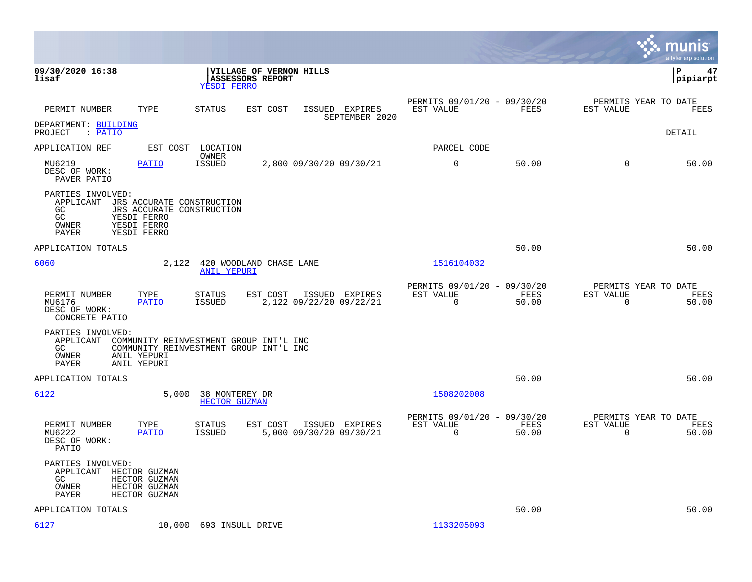|                                                                                                                                     |                                                                                  |                                                       |                                                         |                                              | munis<br>a tyler erp solution         |
|-------------------------------------------------------------------------------------------------------------------------------------|----------------------------------------------------------------------------------|-------------------------------------------------------|---------------------------------------------------------|----------------------------------------------|---------------------------------------|
| 09/30/2020 16:38<br>lisaf                                                                                                           | <b>ASSESSORS REPORT</b><br>YESDI FERRO                                           | VILLAGE OF VERNON HILLS                               |                                                         |                                              | l P<br>47<br> pipiarpt                |
| PERMIT NUMBER<br>TYPE                                                                                                               | STATUS                                                                           | EST COST<br>ISSUED EXPIRES<br>SEPTEMBER 2020          | PERMITS 09/01/20 - 09/30/20<br>EST VALUE                | FEES<br>EST VALUE                            | PERMITS YEAR TO DATE<br>FEES          |
| DEPARTMENT: BUILDING<br>PROJECT : PATIO                                                                                             |                                                                                  |                                                       |                                                         |                                              | DETAIL                                |
| APPLICATION REF                                                                                                                     | EST COST LOCATION                                                                |                                                       | PARCEL CODE                                             |                                              |                                       |
| MU6219<br><b>PATIO</b><br>DESC OF WORK:<br>PAVER PATIO                                                                              | OWNER<br><b>ISSUED</b>                                                           | 2,800 09/30/20 09/30/21                               | $\mathbf 0$                                             | 50.00<br>$\Omega$                            | 50.00                                 |
| PARTIES INVOLVED:<br>APPLICANT JRS ACCURATE CONSTRUCTION<br>GC<br>GC<br>YESDI FERRO<br>OWNER<br>YESDI FERRO<br>YESDI FERRO<br>PAYER | JRS ACCURATE CONSTRUCTION                                                        |                                                       |                                                         |                                              |                                       |
| APPLICATION TOTALS                                                                                                                  |                                                                                  |                                                       |                                                         | 50.00                                        | 50.00                                 |
| 6060                                                                                                                                | 2,122<br>420 WOODLAND CHASE LANE<br>ANIL YEPURI                                  |                                                       | 1516104032                                              |                                              |                                       |
| PERMIT NUMBER<br>TYPE<br>MU6176<br><b>PATIO</b><br>DESC OF WORK:<br>CONCRETE PATIO                                                  | STATUS<br>ISSUED                                                                 | EST COST<br>ISSUED EXPIRES<br>2,122 09/22/20 09/22/21 | PERMITS 09/01/20 - 09/30/20<br>EST VALUE<br>$\mathbf 0$ | FEES<br>EST VALUE<br>50.00<br>$\mathbf 0$    | PERMITS YEAR TO DATE<br>FEES<br>50.00 |
| PARTIES INVOLVED:<br>APPLICANT<br>GC<br>ANIL YEPURI<br>OWNER<br>PAYER<br>ANIL YEPURI                                                | COMMUNITY REINVESTMENT GROUP INT'L INC<br>COMMUNITY REINVESTMENT GROUP INT'L INC |                                                       |                                                         |                                              |                                       |
| APPLICATION TOTALS                                                                                                                  |                                                                                  |                                                       |                                                         | 50.00                                        | 50.00                                 |
| 6122                                                                                                                                | 38 MONTEREY DR<br>5,000<br>HECTOR GUZMAN                                         |                                                       | 1508202008                                              |                                              |                                       |
| TYPE<br>PERMIT NUMBER<br>MU6222<br><b>PATIO</b><br>DESC OF WORK:<br>PATIO                                                           | STATUS<br><b>ISSUED</b>                                                          | EST COST<br>ISSUED EXPIRES<br>5,000 09/30/20 09/30/21 | PERMITS 09/01/20 - 09/30/20<br>EST VALUE<br>$\Omega$    | FEES<br>EST VALUE<br>50.00<br>$\overline{0}$ | PERMITS YEAR TO DATE<br>FEES<br>50.00 |
| PARTIES INVOLVED:<br>APPLICANT<br>HECTOR GUZMAN<br>GC.<br>HECTOR GUZMAN<br>HECTOR GUZMAN<br>OWNER<br>PAYER<br>HECTOR GUZMAN         |                                                                                  |                                                       |                                                         |                                              |                                       |
| APPLICATION TOTALS                                                                                                                  |                                                                                  |                                                       |                                                         | 50.00                                        | 50.00                                 |
| 6127                                                                                                                                | 10,000<br>693 INSULL DRIVE                                                       |                                                       | 1133205093                                              |                                              |                                       |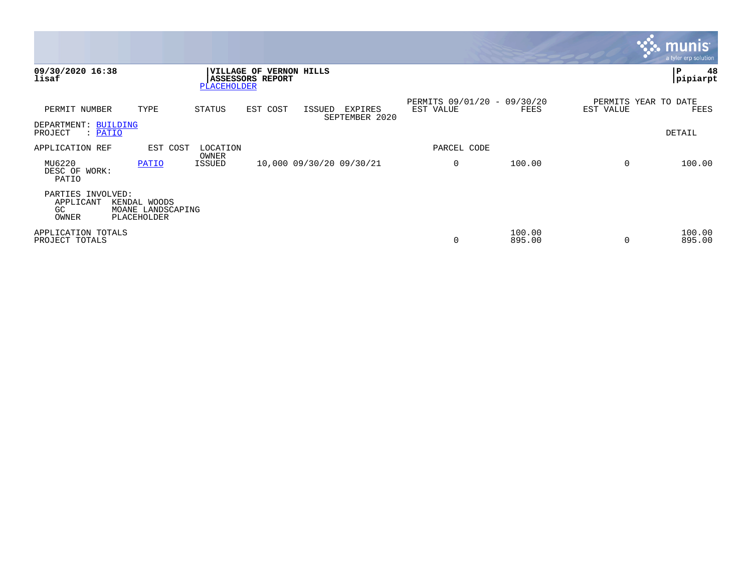|                                                |                                                  |                    |                                             |        |                           |                                          |                  |           | <b>munis</b><br>a tyler erp solution |
|------------------------------------------------|--------------------------------------------------|--------------------|---------------------------------------------|--------|---------------------------|------------------------------------------|------------------|-----------|--------------------------------------|
| 09/30/2020 16:38<br>lisaf                      |                                                  | <b>PLACEHOLDER</b> | VILLAGE OF VERNON HILLS<br>ASSESSORS REPORT |        |                           |                                          |                  |           | 48<br>l P<br>pipiarpt                |
| PERMIT NUMBER                                  | TYPE                                             | STATUS             | EST COST                                    | ISSUED | EXPIRES<br>SEPTEMBER 2020 | PERMITS 09/01/20 - 09/30/20<br>EST VALUE | FEES             | EST VALUE | PERMITS YEAR TO DATE<br>FEES         |
| DEPARTMENT: BUILDING<br>PROJECT<br>: PATIO     |                                                  |                    |                                             |        |                           |                                          |                  |           | DETAIL                               |
| APPLICATION REF                                | EST COST                                         | LOCATION<br>OWNER  |                                             |        |                           | PARCEL CODE                              |                  |           |                                      |
| MU6220<br>DESC OF WORK:<br>PATIO               | <b>PATIO</b>                                     | <b>ISSUED</b>      |                                             |        | 10,000 09/30/20 09/30/21  | 0                                        | 100.00           | $\Omega$  | 100.00                               |
| PARTIES INVOLVED:<br>APPLICANT<br>GC.<br>OWNER | KENDAL WOODS<br>MOANE LANDSCAPING<br>PLACEHOLDER |                    |                                             |        |                           |                                          |                  |           |                                      |
| APPLICATION TOTALS<br>PROJECT TOTALS           |                                                  |                    |                                             |        |                           | 0                                        | 100.00<br>895.00 | 0         | 100.00<br>895.00                     |

 $\mathcal{L}^{\text{max}}$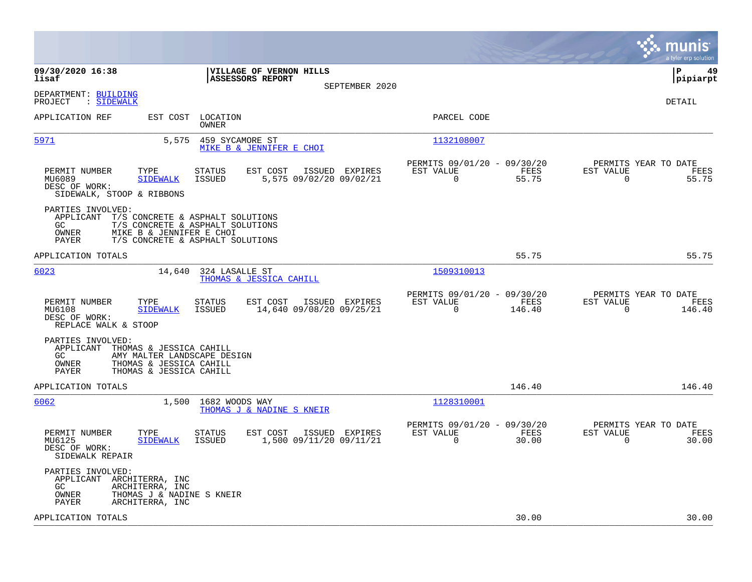|                                                                                                               |                                                                                                                                                |                                         |                                               | munis<br>a tyler erp solution                                   |
|---------------------------------------------------------------------------------------------------------------|------------------------------------------------------------------------------------------------------------------------------------------------|-----------------------------------------|-----------------------------------------------|-----------------------------------------------------------------|
| 09/30/2020 16:38<br>lisaf                                                                                     | VILLAGE OF VERNON HILLS<br>ASSESSORS REPORT                                                                                                    | SEPTEMBER 2020                          |                                               | lР<br>49<br> pipiarpt                                           |
| DEPARTMENT: BUILDING<br>: SIDEWALK<br>PROJECT                                                                 |                                                                                                                                                |                                         |                                               | DETAIL                                                          |
| APPLICATION REF                                                                                               | EST COST LOCATION<br>OWNER                                                                                                                     |                                         | PARCEL CODE                                   |                                                                 |
| 5971                                                                                                          | 5,575<br>459 SYCAMORE ST<br>MIKE B & JENNIFER E CHOI                                                                                           | 1132108007                              |                                               |                                                                 |
| TYPE<br>PERMIT NUMBER<br>MU6089<br>DESC OF WORK:<br>SIDEWALK, STOOP & RIBBONS                                 | EST COST<br><b>STATUS</b><br>5,575 09/02/20 09/02/21<br><b>SIDEWALK</b><br>ISSUED                                                              | ISSUED EXPIRES<br>EST VALUE<br>$\Omega$ | PERMITS 09/01/20 - 09/30/20<br>FEES<br>55.75  | PERMITS YEAR TO DATE<br>EST VALUE<br>FEES<br>$\Omega$<br>55.75  |
| PARTIES INVOLVED:<br>GC.<br>OWNER<br>PAYER                                                                    | APPLICANT T/S CONCRETE & ASPHALT SOLUTIONS<br>T/S CONCRETE & ASPHALT SOLUTIONS<br>MIKE B & JENNIFER E CHOI<br>T/S CONCRETE & ASPHALT SOLUTIONS |                                         |                                               |                                                                 |
| APPLICATION TOTALS                                                                                            |                                                                                                                                                |                                         | 55.75                                         | 55.75                                                           |
| 6023                                                                                                          | 14,640<br>324 LASALLE ST<br>THOMAS & JESSICA CAHILL                                                                                            | 1509310013                              |                                               |                                                                 |
| PERMIT NUMBER<br>TYPE<br>MU6108<br>DESC OF WORK:<br>REPLACE WALK & STOOP                                      | EST COST<br><b>STATUS</b><br>ISSUED<br>14,640 09/08/20 09/25/21<br><b>SIDEWALK</b>                                                             | ISSUED EXPIRES<br>EST VALUE<br>$\Omega$ | PERMITS 09/01/20 - 09/30/20<br>FEES<br>146.40 | PERMITS YEAR TO DATE<br>EST VALUE<br>FEES<br>$\Omega$<br>146.40 |
| PARTIES INVOLVED:<br>APPLICANT<br>GC.<br>OWNER<br>PAYER                                                       | THOMAS & JESSICA CAHILL<br>AMY MALTER LANDSCAPE DESIGN<br>THOMAS & JESSICA CAHILL<br>THOMAS & JESSICA CAHILL                                   |                                         |                                               |                                                                 |
| APPLICATION TOTALS                                                                                            |                                                                                                                                                |                                         | 146.40                                        | 146.40                                                          |
| 6062                                                                                                          | 1,500 1682 WOODS WAY<br>THOMAS J & NADINE S KNEIR                                                                                              | 1128310001                              |                                               |                                                                 |
| PERMIT NUMBER<br>TYPE<br>MU6125<br>DESC OF WORK:<br>SIDEWALK REPAIR                                           | EST COST<br>STATUS<br><b>SIDEWALK</b><br>ISSUED<br>1,500 09/11/20 09/11/21                                                                     | EST VALUE<br>ISSUED EXPIRES<br>0        | PERMITS 09/01/20 - 09/30/20<br>FEES<br>30.00  | PERMITS YEAR TO DATE<br>EST VALUE<br>FEES<br>30.00<br>0         |
| PARTIES INVOLVED:<br>APPLICANT ARCHITERRA, INC<br>ARCHITERRA, INC<br>GC.<br>OWNER<br>PAYER<br>ARCHITERRA, INC | THOMAS J & NADINE S KNEIR                                                                                                                      |                                         |                                               |                                                                 |
| APPLICATION TOTALS                                                                                            |                                                                                                                                                |                                         | 30.00                                         | 30.00                                                           |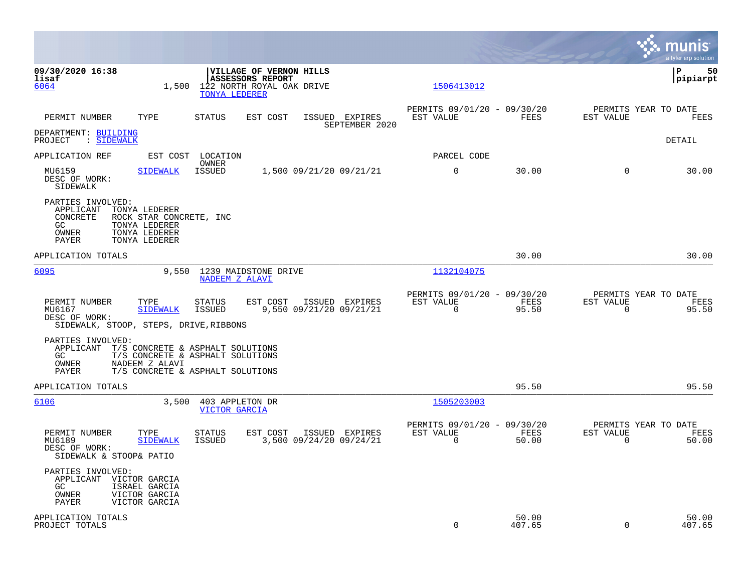|                                                                                    |                                                                                                                            |                                         |                                                                          |                                           |                                                            |                 |                             | munis<br>a tyler erp solution         |
|------------------------------------------------------------------------------------|----------------------------------------------------------------------------------------------------------------------------|-----------------------------------------|--------------------------------------------------------------------------|-------------------------------------------|------------------------------------------------------------|-----------------|-----------------------------|---------------------------------------|
| 09/30/2020 16:38<br>lisaf<br>6064                                                  | 1,500                                                                                                                      | <b>TONYA LEDERER</b>                    | VILLAGE OF VERNON HILLS<br>ASSESSORS REPORT<br>122 NORTH ROYAL OAK DRIVE |                                           | 1506413012                                                 |                 |                             | ΙP<br>50<br> pipiarpt                 |
| PERMIT NUMBER                                                                      | TYPE                                                                                                                       | <b>STATUS</b>                           | EST COST                                                                 | ISSUED EXPIRES<br>SEPTEMBER 2020          | PERMITS 09/01/20 - 09/30/20<br>EST VALUE                   | FEES            | EST VALUE                   | PERMITS YEAR TO DATE<br>FEES          |
| DEPARTMENT: BUILDING<br>PROJECT<br>: SIDEWALK                                      |                                                                                                                            |                                         |                                                                          |                                           |                                                            |                 |                             | DETAIL                                |
| APPLICATION REF                                                                    | EST COST                                                                                                                   | LOCATION<br>OWNER                       |                                                                          |                                           | PARCEL CODE                                                |                 |                             |                                       |
| MU6159<br>DESC OF WORK:<br>SIDEWALK                                                | <b>SIDEWALK</b>                                                                                                            | <b>ISSUED</b>                           |                                                                          | 1,500 09/21/20 09/21/21                   | $\mathbf 0$                                                | 30.00           | $\Omega$                    | 30.00                                 |
| PARTIES INVOLVED:<br>APPLICANT<br>CONCRETE<br>GC<br>OWNER<br>PAYER                 | TONYA LEDERER<br>ROCK STAR CONCRETE, INC<br>TONYA LEDERER<br>TONYA LEDERER<br>TONYA LEDERER                                |                                         |                                                                          |                                           |                                                            |                 |                             |                                       |
| APPLICATION TOTALS                                                                 |                                                                                                                            |                                         |                                                                          |                                           |                                                            | 30.00           |                             | 30.00                                 |
| 6095                                                                               | 9,550                                                                                                                      | NADEEM Z ALAVI                          | 1239 MAIDSTONE DRIVE                                                     |                                           | 1132104075                                                 |                 |                             |                                       |
| PERMIT NUMBER<br>MU6167<br>DESC OF WORK:<br>SIDEWALK, STOOP, STEPS, DRIVE, RIBBONS | TYPE<br><b>SIDEWALK</b>                                                                                                    | <b>STATUS</b><br><b>ISSUED</b>          | EST COST                                                                 | ISSUED EXPIRES<br>9,550 09/21/20 09/21/21 | PERMITS 09/01/20 - 09/30/20<br>EST VALUE<br>$\mathbf 0$    | FEES<br>95.50   | EST VALUE<br>$\mathbf 0$    | PERMITS YEAR TO DATE<br>FEES<br>95.50 |
| PARTIES INVOLVED:<br>APPLICANT<br>GC.<br>OWNER<br>PAYER                            | T/S CONCRETE & ASPHALT SOLUTIONS<br>T/S CONCRETE & ASPHALT SOLUTIONS<br>NADEEM Z ALAVI<br>T/S CONCRETE & ASPHALT SOLUTIONS |                                         |                                                                          |                                           |                                                            |                 |                             |                                       |
| APPLICATION TOTALS                                                                 |                                                                                                                            |                                         |                                                                          |                                           |                                                            | 95.50           |                             | 95.50                                 |
| 6106                                                                               | 3.500                                                                                                                      | 403 APPLETON DR<br><b>VICTOR GARCIA</b> |                                                                          |                                           | 1505203003                                                 |                 |                             |                                       |
| PERMIT NUMBER<br>MU6189<br>DESC OF WORK:<br>SIDEWALK & STOOP& PATIO                | TYPE<br><b>SIDEWALK</b>                                                                                                    | STATUS<br><b>ISSUED</b>                 | EST COST                                                                 | ISSUED EXPIRES<br>3,500 09/24/20 09/24/21 | PERMITS 09/01/20 - 09/30/20<br>EST VALUE<br>$\overline{0}$ | FEES<br>50.00   | EST VALUE<br>$\overline{0}$ | PERMITS YEAR TO DATE<br>FEES<br>50.00 |
| PARTIES INVOLVED:<br>APPLICANT VICTOR GARCIA<br>GC.<br>OWNER<br>PAYER              | ISRAEL GARCIA<br>VICTOR GARCIA<br>VICTOR GARCIA                                                                            |                                         |                                                                          |                                           |                                                            |                 |                             |                                       |
| APPLICATION TOTALS<br>PROJECT TOTALS                                               |                                                                                                                            |                                         |                                                                          |                                           | $\Omega$                                                   | 50.00<br>407.65 | $\Omega$                    | 50.00<br>407.65                       |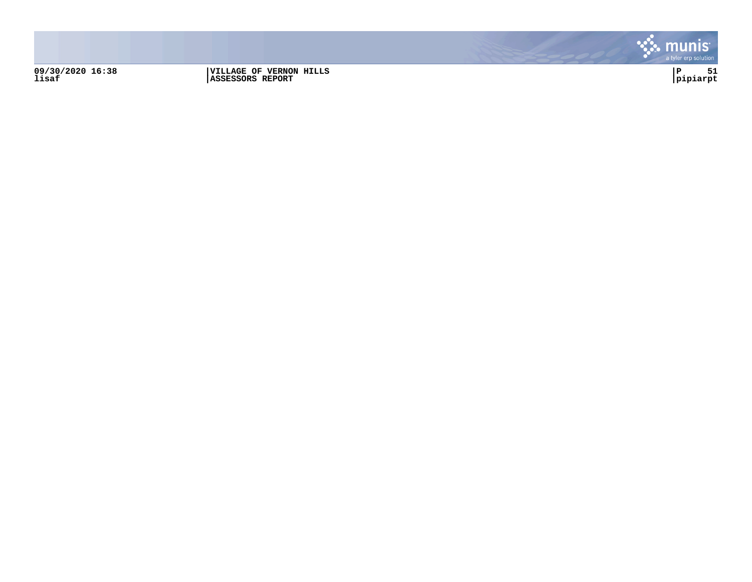**09/30/2020 16:38 |VILLAGE OF VERNON HILLS |P 51 lisaf |ASSESSORS REPORT |pipiarpt**

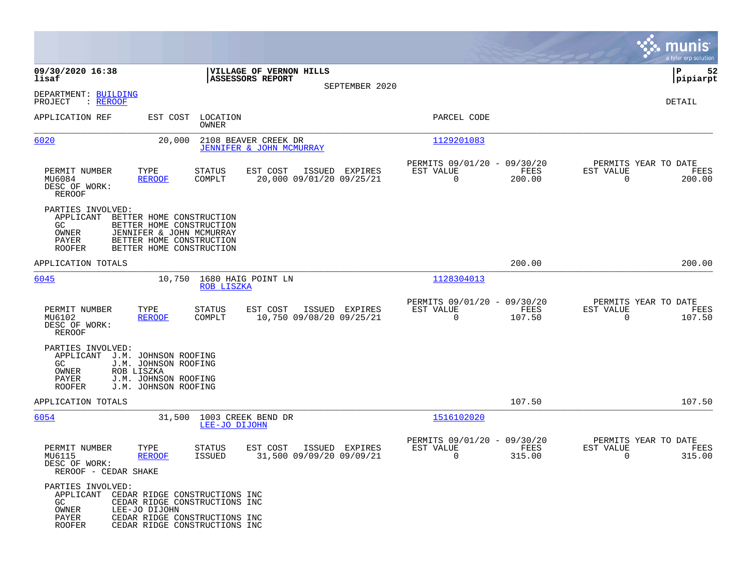|                                                                                                                        |                                                                                                                                          |                                                             |                |                                                         |                |                                                  | munis<br>a tyler erp solution |
|------------------------------------------------------------------------------------------------------------------------|------------------------------------------------------------------------------------------------------------------------------------------|-------------------------------------------------------------|----------------|---------------------------------------------------------|----------------|--------------------------------------------------|-------------------------------|
| 09/30/2020 16:38<br>lisaf                                                                                              |                                                                                                                                          | VILLAGE OF VERNON HILLS<br>ASSESSORS REPORT                 |                |                                                         |                |                                                  | ΙP<br>52<br> pipiarpt         |
| DEPARTMENT: BUILDING<br>: <u>REROOF</u><br>PROJECT                                                                     |                                                                                                                                          |                                                             | SEPTEMBER 2020 |                                                         |                |                                                  | DETAIL                        |
| APPLICATION REF                                                                                                        | LOCATION<br>EST COST<br>OWNER                                                                                                            |                                                             |                | PARCEL CODE                                             |                |                                                  |                               |
| 6020                                                                                                                   | 20,000                                                                                                                                   | 2108 BEAVER CREEK DR<br><b>JENNIFER &amp; JOHN MCMURRAY</b> |                | 1129201083                                              |                |                                                  |                               |
| TYPE<br>PERMIT NUMBER<br>MU6084<br><b>REROOF</b><br>DESC OF WORK:<br>REROOF                                            | <b>STATUS</b><br>COMPLT                                                                                                                  | EST COST<br>20,000 09/01/20 09/25/21                        | ISSUED EXPIRES | PERMITS 09/01/20 - 09/30/20<br>EST VALUE<br>$\mathbf 0$ | FEES<br>200.00 | PERMITS YEAR TO DATE<br>EST VALUE<br>$\mathbf 0$ | FEES<br>200.00                |
| PARTIES INVOLVED:<br>APPLICANT<br>GC<br>OWNER<br>PAYER<br><b>ROOFER</b>                                                | BETTER HOME CONSTRUCTION<br>BETTER HOME CONSTRUCTION<br>JENNIFER & JOHN MCMURRAY<br>BETTER HOME CONSTRUCTION<br>BETTER HOME CONSTRUCTION |                                                             |                |                                                         |                |                                                  |                               |
| APPLICATION TOTALS                                                                                                     |                                                                                                                                          |                                                             |                |                                                         | 200.00         |                                                  | 200.00                        |
| 6045                                                                                                                   | 10,750<br>ROB LISZKA                                                                                                                     | 1680 HAIG POINT LN                                          |                | 1128304013                                              |                |                                                  |                               |
| PERMIT NUMBER<br>TYPE<br>MU6102<br><b>REROOF</b><br>DESC OF WORK:<br>REROOF                                            | <b>STATUS</b><br>COMPLT                                                                                                                  | EST COST<br>10,750 09/08/20 09/25/21                        | ISSUED EXPIRES | PERMITS 09/01/20 - 09/30/20<br>EST VALUE<br>$\mathbf 0$ | FEES<br>107.50 | PERMITS YEAR TO DATE<br>EST VALUE<br>$\mathbf 0$ | FEES<br>107.50                |
| PARTIES INVOLVED:<br>APPLICANT<br>GC.<br>OWNER<br>ROB LISZKA<br>PAYER<br><b>ROOFER</b>                                 | J.M. JOHNSON ROOFING<br>J.M. JOHNSON ROOFING<br>J.M. JOHNSON ROOFING<br>J.M. JOHNSON ROOFING                                             |                                                             |                |                                                         |                |                                                  |                               |
| APPLICATION TOTALS                                                                                                     |                                                                                                                                          |                                                             |                |                                                         | 107.50         |                                                  | 107.50                        |
| 6054                                                                                                                   | 31,500<br>LEE-JO DIJOHN                                                                                                                  | 1003 CREEK BEND DR                                          |                | 1516102020                                              |                |                                                  |                               |
| PERMIT NUMBER<br>TYPE<br>MU6115<br><b>REROOF</b><br>DESC OF WORK:<br>REROOF - CEDAR SHAKE                              | STATUS<br>ISSUED                                                                                                                         | EST COST<br>31,500 09/09/20 09/09/21                        | ISSUED EXPIRES | PERMITS 09/01/20 - 09/30/20<br>EST VALUE<br>0           | FEES<br>315.00 | PERMITS YEAR TO DATE<br>EST VALUE<br>0           | FEES<br>315.00                |
| PARTIES INVOLVED:<br>APPLICANT CEDAR RIDGE CONSTRUCTIONS INC<br>GC<br>OWNER<br>LEE-JO DIJOHN<br>PAYER<br><b>ROOFER</b> | CEDAR RIDGE CONSTRUCTIONS INC<br>CEDAR RIDGE CONSTRUCTIONS INC<br>CEDAR RIDGE CONSTRUCTIONS INC                                          |                                                             |                |                                                         |                |                                                  |                               |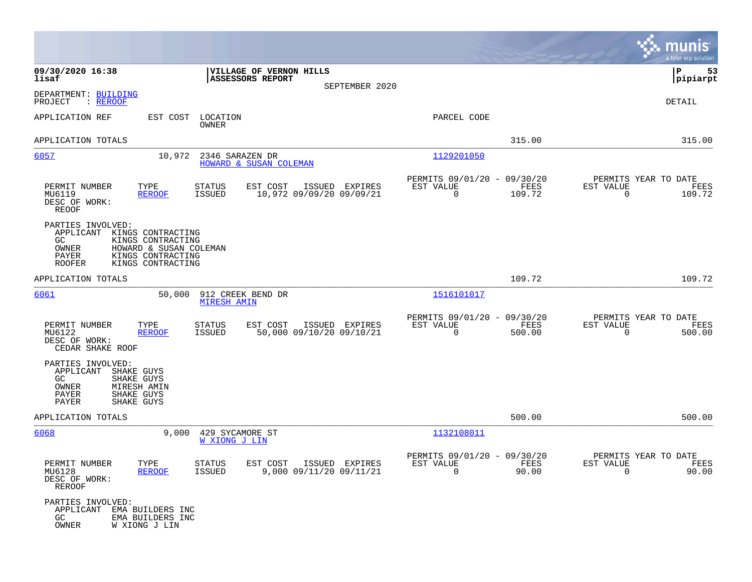|                                                                                                                                                                                        |                                                                                          |                                                                       | munis<br>a tyler erp solution                                      |
|----------------------------------------------------------------------------------------------------------------------------------------------------------------------------------------|------------------------------------------------------------------------------------------|-----------------------------------------------------------------------|--------------------------------------------------------------------|
| 09/30/2020 16:38<br>lisaf                                                                                                                                                              | VILLAGE OF VERNON HILLS<br>ASSESSORS REPORT<br>SEPTEMBER 2020                            |                                                                       | P<br>53<br> pipiarpt                                               |
| DEPARTMENT: BUILDING<br>PROJECT<br>: <u>REROOF</u>                                                                                                                                     |                                                                                          |                                                                       | DETAIL                                                             |
| APPLICATION REF<br>EST COST                                                                                                                                                            | LOCATION<br>OWNER                                                                        | PARCEL CODE                                                           |                                                                    |
| APPLICATION TOTALS                                                                                                                                                                     |                                                                                          | 315.00                                                                | 315.00                                                             |
| 6057<br>10,972                                                                                                                                                                         | 2346 SARAZEN DR<br>HOWARD & SUSAN COLEMAN                                                | 1129201050                                                            |                                                                    |
| PERMIT NUMBER<br>TYPE<br>MU6119<br><b>REROOF</b><br>DESC OF WORK:<br><b>REOOF</b>                                                                                                      | EST COST<br>ISSUED EXPIRES<br><b>STATUS</b><br><b>ISSUED</b><br>10,972 09/09/20 09/09/21 | PERMITS 09/01/20 - 09/30/20<br>EST VALUE<br>FEES<br>0<br>109.72       | PERMITS YEAR TO DATE<br>EST VALUE<br>FEES<br>$\mathbf 0$<br>109.72 |
| PARTIES INVOLVED:<br>APPLICANT<br>KINGS CONTRACTING<br>GC.<br>KINGS CONTRACTING<br>OWNER<br>HOWARD & SUSAN COLEMAN<br>PAYER<br>KINGS CONTRACTING<br>KINGS CONTRACTING<br><b>ROOFER</b> |                                                                                          |                                                                       |                                                                    |
| APPLICATION TOTALS                                                                                                                                                                     |                                                                                          | 109.72                                                                | 109.72                                                             |
| <u>6061</u><br>50,000                                                                                                                                                                  | 912 CREEK BEND DR<br><b>MIRESH AMIN</b>                                                  | <u>1516101017</u>                                                     |                                                                    |
| PERMIT NUMBER<br>TYPE<br>MU6122<br><b>REROOF</b><br>DESC OF WORK:<br>CEDAR SHAKE ROOF                                                                                                  | <b>STATUS</b><br>EST COST<br>ISSUED EXPIRES<br>ISSUED<br>50,000 09/10/20 09/10/21        | PERMITS 09/01/20 - 09/30/20<br>FEES<br>EST VALUE<br>0<br>500.00       | PERMITS YEAR TO DATE<br>EST VALUE<br>FEES<br>0<br>500.00           |
| PARTIES INVOLVED:<br>APPLICANT<br>SHAKE GUYS<br>GC.<br>SHAKE GUYS<br>MIRESH AMIN<br>OWNER<br>PAYER<br>SHAKE GUYS<br>PAYER<br>SHAKE GUYS                                                |                                                                                          |                                                                       |                                                                    |
| APPLICATION TOTALS                                                                                                                                                                     |                                                                                          | 500.00                                                                | 500.00                                                             |
| 6068<br>9,000                                                                                                                                                                          | 429 SYCAMORE ST<br>W XIONG J LIN                                                         | 1132108011                                                            |                                                                    |
| PERMIT NUMBER<br>TYPE<br>MU6128<br><b>REROOF</b><br>DESC OF WORK:<br><b>REROOF</b>                                                                                                     | <b>STATUS</b><br>EST COST ISSUED EXPIRES<br>9,000 09/11/20 09/11/21<br>ISSUED            | PERMITS 09/01/20 - 09/30/20<br>EST VALUE<br>FEES<br>$\Omega$<br>90.00 | PERMITS YEAR TO DATE<br>EST VALUE<br>FEES<br>$\Omega$<br>90.00     |
| PARTIES INVOLVED:<br>APPLICANT<br>EMA BUILDERS INC<br>GC<br>EMA BUILDERS INC<br>OWNER<br>W XIONG J LIN                                                                                 |                                                                                          |                                                                       |                                                                    |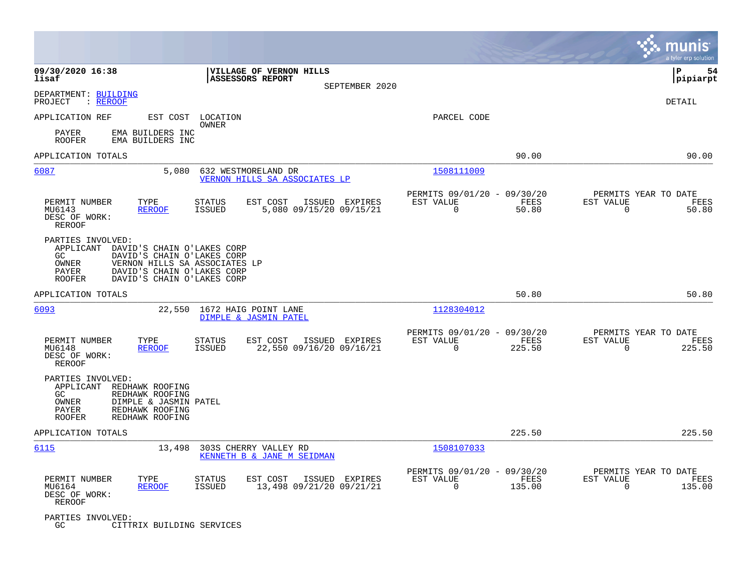|                                                                         |                                                                                                                                                       |                                |                                                                 |                |                                                         |                |                                                  | munis<br>a tyler erp solution |
|-------------------------------------------------------------------------|-------------------------------------------------------------------------------------------------------------------------------------------------------|--------------------------------|-----------------------------------------------------------------|----------------|---------------------------------------------------------|----------------|--------------------------------------------------|-------------------------------|
| 09/30/2020 16:38<br>lisaf                                               |                                                                                                                                                       |                                | VILLAGE OF VERNON HILLS<br>ASSESSORS REPORT                     | SEPTEMBER 2020 |                                                         |                |                                                  | 54<br>l P<br> pipiarpt        |
| DEPARTMENT: BUILDING<br>: <u>REROOF</u><br>PROJECT                      |                                                                                                                                                       |                                |                                                                 |                |                                                         |                |                                                  | <b>DETAIL</b>                 |
| APPLICATION REF                                                         |                                                                                                                                                       | EST COST LOCATION              |                                                                 |                | PARCEL CODE                                             |                |                                                  |                               |
| PAYER<br><b>ROOFER</b>                                                  | EMA BUILDERS INC<br>EMA BUILDERS INC                                                                                                                  | OWNER                          |                                                                 |                |                                                         |                |                                                  |                               |
| APPLICATION TOTALS                                                      |                                                                                                                                                       |                                |                                                                 |                |                                                         | 90.00          |                                                  | 90.00                         |
| 6087                                                                    | 5,080                                                                                                                                                 |                                | 632 WESTMORELAND DR<br>VERNON HILLS SA ASSOCIATES LP            |                | 1508111009                                              |                |                                                  |                               |
| PERMIT NUMBER<br>MU6143<br>DESC OF WORK:<br>REROOF                      | TYPE<br><b>REROOF</b>                                                                                                                                 | <b>STATUS</b><br><b>ISSUED</b> | EST COST<br>5,080 09/15/20 09/15/21                             | ISSUED EXPIRES | PERMITS 09/01/20 - 09/30/20<br>EST VALUE<br>$\mathbf 0$ | FEES<br>50.80  | PERMITS YEAR TO DATE<br>EST VALUE<br>$\mathbf 0$ | FEES<br>50.80                 |
| PARTIES INVOLVED:<br>APPLICANT<br>GC<br>OWNER<br>PAYER<br><b>ROOFER</b> | DAVID'S CHAIN O'LAKES CORP<br>DAVID'S CHAIN O'LAKES CORP<br>VERNON HILLS SA ASSOCIATES LP<br>DAVID'S CHAIN O'LAKES CORP<br>DAVID'S CHAIN O'LAKES CORP |                                |                                                                 |                |                                                         |                |                                                  |                               |
| APPLICATION TOTALS                                                      |                                                                                                                                                       |                                |                                                                 |                |                                                         | 50.80          |                                                  | 50.80                         |
| 6093                                                                    |                                                                                                                                                       |                                | 22,550 1672 HAIG POINT LANE<br><b>DIMPLE &amp; JASMIN PATEL</b> |                | 1128304012                                              |                |                                                  |                               |
| PERMIT NUMBER<br>MU6148<br>DESC OF WORK:<br>REROOF                      | TYPE<br><b>REROOF</b>                                                                                                                                 | <b>STATUS</b><br>ISSUED        | EST COST<br>22,550 09/16/20 09/16/21                            | ISSUED EXPIRES | PERMITS 09/01/20 - 09/30/20<br>EST VALUE<br>$\mathbf 0$ | FEES<br>225.50 | PERMITS YEAR TO DATE<br>EST VALUE<br>$\mathbf 0$ | FEES<br>225.50                |
| PARTIES INVOLVED:<br>APPLICANT<br>GC<br>OWNER<br>PAYER<br><b>ROOFER</b> | REDHAWK ROOFING<br>REDHAWK ROOFING<br>DIMPLE & JASMIN PATEL<br>REDHAWK ROOFING<br>REDHAWK ROOFING                                                     |                                |                                                                 |                |                                                         |                |                                                  |                               |
| APPLICATION TOTALS                                                      |                                                                                                                                                       |                                |                                                                 |                |                                                         | 225.50         |                                                  | 225.50                        |
| 6115                                                                    | 13,498                                                                                                                                                |                                | 303S CHERRY VALLEY RD<br>KENNETH B & JANE M SEIDMAN             |                | 1508107033                                              |                |                                                  |                               |
| PERMIT NUMBER<br>MU6164<br>DESC OF WORK:<br>REROOF                      | TYPE<br><b>REROOF</b>                                                                                                                                 | <b>STATUS</b><br>ISSUED        | EST COST<br>13,498 09/21/20 09/21/21                            | ISSUED EXPIRES | PERMITS 09/01/20 - 09/30/20<br>EST VALUE<br>$\mathbf 0$ | FEES<br>135.00 | PERMITS YEAR TO DATE<br>EST VALUE<br>$\mathbf 0$ | FEES<br>135.00                |
| PARTIES INVOLVED:<br>GC                                                 | CITTRIX BUILDING SERVICES                                                                                                                             |                                |                                                                 |                |                                                         |                |                                                  |                               |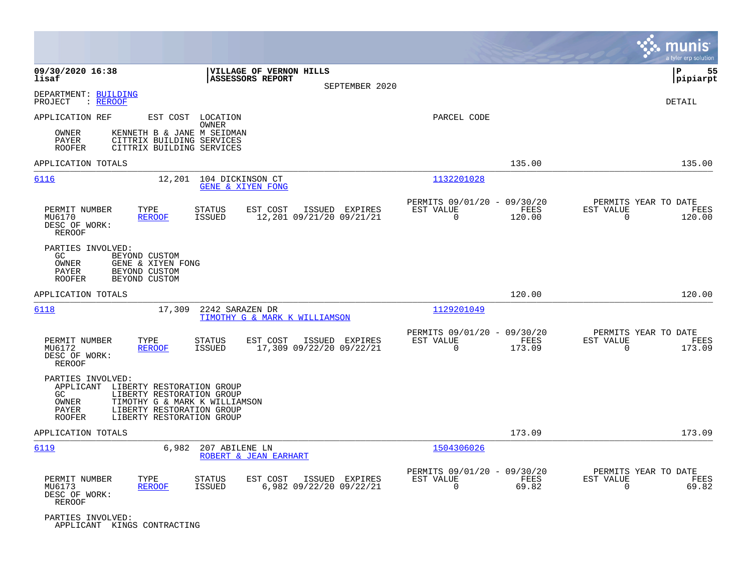|                                                                                                                                                                                                                            | munis<br>a tyler erp solution                                                                                                           |
|----------------------------------------------------------------------------------------------------------------------------------------------------------------------------------------------------------------------------|-----------------------------------------------------------------------------------------------------------------------------------------|
| 09/30/2020 16:38<br>VILLAGE OF VERNON HILLS<br>lisaf<br><b>ASSESSORS REPORT</b><br>SEPTEMBER 2020                                                                                                                          | ΙP<br>55<br> pipiarpt                                                                                                                   |
| DEPARTMENT: BUILDING<br>PROJECT<br>: <u>REROOF</u>                                                                                                                                                                         | DETAIL                                                                                                                                  |
| APPLICATION REF<br>EST COST LOCATION<br>OWNER                                                                                                                                                                              | PARCEL CODE                                                                                                                             |
| OWNER<br>KENNETH B & JANE M SEIDMAN<br>PAYER<br>CITTRIX BUILDING SERVICES<br><b>ROOFER</b><br>CITTRIX BUILDING SERVICES                                                                                                    |                                                                                                                                         |
| APPLICATION TOTALS                                                                                                                                                                                                         | 135.00<br>135.00                                                                                                                        |
| 6116<br>12,201 104 DICKINSON CT<br>GENE & XIYEN FONG                                                                                                                                                                       | 1132201028                                                                                                                              |
| PERMIT NUMBER<br>TYPE<br><b>STATUS</b><br>EST COST<br>ISSUED EXPIRES<br>MU6170<br><b>REROOF</b><br>ISSUED<br>12,201 09/21/20 09/21/21<br>DESC OF WORK:<br><b>REROOF</b>                                                    | PERMITS 09/01/20 - 09/30/20<br>PERMITS YEAR TO DATE<br>EST VALUE<br>FEES<br>EST VALUE<br>FEES<br>$\mathbf 0$<br>120.00<br>120.00<br>0   |
| PARTIES INVOLVED:<br>GC.<br>BEYOND CUSTOM<br>OWNER<br>GENE & XIYEN FONG<br>PAYER<br>BEYOND CUSTOM<br><b>ROOFER</b><br>BEYOND CUSTOM                                                                                        |                                                                                                                                         |
| APPLICATION TOTALS                                                                                                                                                                                                         | 120.00<br>120.00                                                                                                                        |
| 6118<br>17,309<br>2242 SARAZEN DR<br>TIMOTHY G & MARK K WILLIAMSON                                                                                                                                                         | 1129201049                                                                                                                              |
| TYPE<br>PERMIT NUMBER<br><b>STATUS</b><br>EST COST<br>ISSUED EXPIRES<br>17,309 09/22/20 09/22/21<br>MU6172<br><b>REROOF</b><br><b>ISSUED</b><br>DESC OF WORK:<br>REROOF                                                    | PERMITS 09/01/20 - 09/30/20<br>PERMITS YEAR TO DATE<br>EST VALUE<br>EST VALUE<br>FEES<br>FEES<br>0<br>173.09<br>$\Omega$<br>173.09      |
| PARTIES INVOLVED:<br>APPLICANT LIBERTY RESTORATION GROUP<br>LIBERTY RESTORATION GROUP<br>GC.<br>OWNER<br>TIMOTHY G & MARK K WILLIAMSON<br>LIBERTY RESTORATION GROUP<br>PAYER<br><b>ROOFER</b><br>LIBERTY RESTORATION GROUP |                                                                                                                                         |
| APPLICATION TOTALS                                                                                                                                                                                                         | 173.09<br>173.09                                                                                                                        |
| 6119<br>6,982<br>207 ABILENE LN<br>ROBERT & JEAN EARHART                                                                                                                                                                   | 1504306026                                                                                                                              |
| PERMIT NUMBER<br>TYPE<br><b>STATUS</b><br>EST COST<br>ISSUED EXPIRES<br>6,982 09/22/20 09/22/21<br>MU6173<br><b>REROOF</b><br><b>ISSUED</b><br>DESC OF WORK:<br>REROOF                                                     | PERMITS 09/01/20 - 09/30/20<br>PERMITS YEAR TO DATE<br>EST VALUE<br>FEES<br>EST VALUE<br>FEES<br>$\Omega$<br>69.82<br>$\Omega$<br>69.82 |
| PARTIES INVOLVED:<br>APPLICANT KINGS CONTRACTING                                                                                                                                                                           |                                                                                                                                         |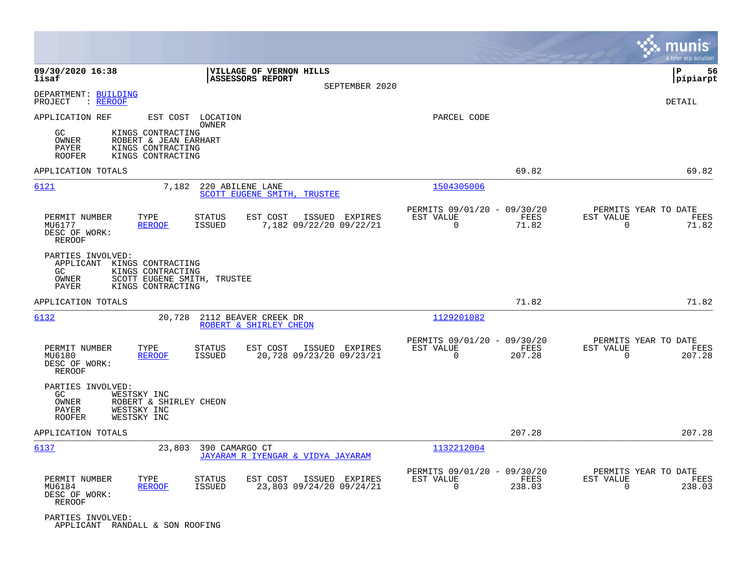|                                                                                                                                                   |                                                                                             |                                                                           | munis<br>a tyler erp solution                                         |
|---------------------------------------------------------------------------------------------------------------------------------------------------|---------------------------------------------------------------------------------------------|---------------------------------------------------------------------------|-----------------------------------------------------------------------|
| 09/30/2020 16:38<br>lisaf                                                                                                                         | VILLAGE OF VERNON HILLS<br>ASSESSORS REPORT<br>SEPTEMBER 2020                               |                                                                           | lР<br>56<br> pipiarpt                                                 |
| DEPARTMENT: BUILDING<br>: REROOF<br>PROJECT                                                                                                       |                                                                                             |                                                                           | DETAIL                                                                |
| APPLICATION REF<br>GC<br>KINGS CONTRACTING<br>OWNER<br>ROBERT & JEAN EARHART<br>KINGS CONTRACTING<br>PAYER<br>KINGS CONTRACTING<br><b>ROOFER</b>  | EST COST LOCATION<br><b>OWNER</b>                                                           | PARCEL CODE                                                               |                                                                       |
| APPLICATION TOTALS                                                                                                                                |                                                                                             | 69.82                                                                     | 69.82                                                                 |
| 6121<br>7,182                                                                                                                                     | 220 ABILENE LANE<br>SCOTT EUGENE SMITH, TRUSTEE                                             | 1504305006                                                                |                                                                       |
| PERMIT NUMBER<br>TYPE<br>MU6177<br><b>REROOF</b><br>DESC OF WORK:<br><b>REROOF</b>                                                                | <b>STATUS</b><br>EST COST<br>ISSUED EXPIRES<br><b>ISSUED</b><br>7,182 09/22/20 09/22/21     | PERMITS 09/01/20 - 09/30/20<br>EST VALUE<br>FEES<br>0<br>71.82            | PERMITS YEAR TO DATE<br>EST VALUE<br>FEES<br>$\mathbf 0$<br>71.82     |
| PARTIES INVOLVED:<br>APPLICANT KINGS CONTRACTING<br>GC<br>KINGS CONTRACTING<br>OWNER<br>SCOTT EUGENE SMITH, TRUSTEE<br>PAYER<br>KINGS CONTRACTING |                                                                                             |                                                                           |                                                                       |
| APPLICATION TOTALS                                                                                                                                |                                                                                             | 71.82                                                                     | 71.82                                                                 |
| 6132<br>20,728                                                                                                                                    | 2112 BEAVER CREEK DR<br>ROBERT & SHIRLEY CHEON                                              | 1129201082                                                                |                                                                       |
| PERMIT NUMBER<br>TYPE<br>MU6180<br><b>REROOF</b><br>DESC OF WORK:<br><b>REROOF</b>                                                                | <b>STATUS</b><br>EST COST<br>ISSUED<br>EXPIRES<br><b>ISSUED</b><br>20,728 09/23/20 09/23/21 | PERMITS 09/01/20 - 09/30/20<br>EST VALUE<br>FEES<br>$\Omega$<br>207.28    | PERMITS YEAR TO DATE<br>EST VALUE<br>FEES<br>$\Omega$<br>207.28       |
| PARTIES INVOLVED:<br>GC<br>WESTSKY INC<br>OWNER<br>ROBERT & SHIRLEY CHEON<br>PAYER<br>WESTSKY INC<br><b>ROOFER</b><br>WESTSKY INC                 |                                                                                             |                                                                           |                                                                       |
| APPLICATION TOTALS                                                                                                                                |                                                                                             | 207.28                                                                    | 207.28                                                                |
| 6137<br>23,803                                                                                                                                    | 390 CAMARGO CT<br>JAYARAM R IYENGAR & VIDYA JAYARAM                                         | 1132212004                                                                |                                                                       |
| PERMIT NUMBER<br>TYPE<br><b>REROOF</b><br>MU6184<br>DESC OF WORK:<br>REROOF                                                                       | EST COST<br>ISSUED EXPIRES<br>STATUS<br>ISSUED<br>23,803 09/24/20 09/24/21                  | PERMITS 09/01/20 - 09/30/20<br>FEES<br>EST VALUE<br>$\mathbf 0$<br>238.03 | PERMITS YEAR TO DATE<br>EST VALUE<br>FEES<br>$\overline{0}$<br>238.03 |
| PARTIES INVOLVED:<br>APPLICANT RANDALL & SON ROOFING                                                                                              |                                                                                             |                                                                           |                                                                       |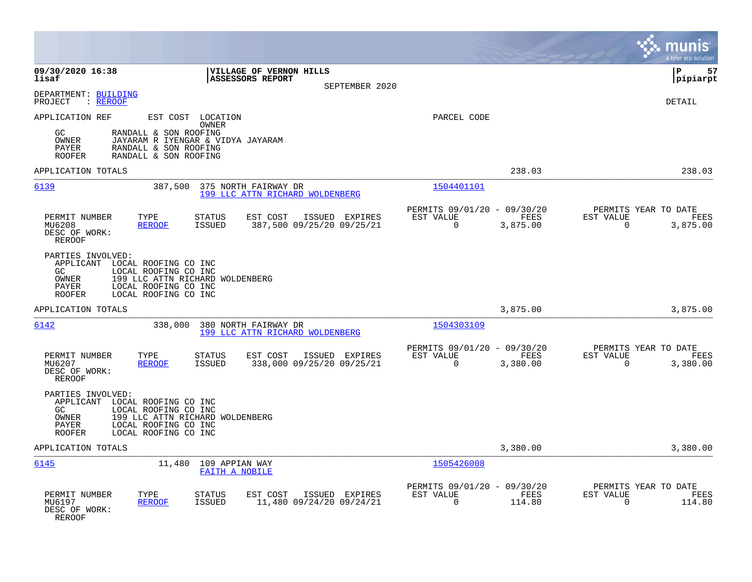|                                                                                                                                                                                                                |                                                                             | munis<br>a tyler erp solution                                        |
|----------------------------------------------------------------------------------------------------------------------------------------------------------------------------------------------------------------|-----------------------------------------------------------------------------|----------------------------------------------------------------------|
| 09/30/2020 16:38<br>VILLAGE OF VERNON HILLS<br>ASSESSORS REPORT<br>lisaf<br>SEPTEMBER 2020                                                                                                                     |                                                                             | 57<br>l P<br> pipiarpt                                               |
| DEPARTMENT: BUILDING<br>: REROOF<br>PROJECT                                                                                                                                                                    |                                                                             | <b>DETAIL</b>                                                        |
| APPLICATION REF<br>EST COST LOCATION<br>OWNER<br>GC<br>RANDALL & SON ROOFING<br>OWNER<br>JAYARAM R IYENGAR & VIDYA JAYARAM<br>RANDALL & SON ROOFING<br>PAYER<br>RANDALL & SON ROOFING<br><b>ROOFER</b>         | PARCEL CODE                                                                 |                                                                      |
| APPLICATION TOTALS                                                                                                                                                                                             | 238.03                                                                      | 238.03                                                               |
| 6139<br>387,500<br>375 NORTH FAIRWAY DR<br>199 LLC ATTN RICHARD WOLDENBERG                                                                                                                                     | 1504401101                                                                  |                                                                      |
| PERMIT NUMBER<br>TYPE<br><b>STATUS</b><br>EST COST<br>ISSUED EXPIRES<br>387,500 09/25/20 09/25/21<br>MU6208<br><b>REROOF</b><br>ISSUED<br>DESC OF WORK:<br><b>REROOF</b>                                       | PERMITS 09/01/20 - 09/30/20<br>EST VALUE<br>FEES<br>$\Omega$<br>3,875.00    | PERMITS YEAR TO DATE<br>EST VALUE<br>FEES<br>$\mathbf 0$<br>3,875.00 |
| PARTIES INVOLVED:<br>APPLICANT LOCAL ROOFING CO INC<br>GC<br>LOCAL ROOFING CO INC<br>199 LLC ATTN RICHARD WOLDENBERG<br><b>OWNER</b><br>LOCAL ROOFING CO INC<br>PAYER<br>LOCAL ROOFING CO INC<br><b>ROOFER</b> |                                                                             |                                                                      |
| APPLICATION TOTALS                                                                                                                                                                                             | 3,875.00                                                                    | 3,875.00                                                             |
| 6142<br>338,000<br>380 NORTH FAIRWAY DR<br>199 LLC ATTN RICHARD WOLDENBERG                                                                                                                                     | 1504303109                                                                  |                                                                      |
| PERMIT NUMBER<br>TYPE<br><b>STATUS</b><br>EST COST<br>ISSUED EXPIRES<br><b>REROOF</b><br><b>ISSUED</b><br>338,000 09/25/20 09/25/21<br>MU6207<br>DESC OF WORK:<br><b>REROOF</b>                                | PERMITS 09/01/20 - 09/30/20<br>EST VALUE<br>FEES<br>$\mathbf 0$<br>3,380.00 | PERMITS YEAR TO DATE<br>EST VALUE<br>FEES<br>$\mathbf 0$<br>3,380.00 |
| PARTIES INVOLVED:<br>APPLICANT LOCAL ROOFING CO INC<br>GC<br>LOCAL ROOFING CO INC<br>OWNER<br>199 LLC ATTN RICHARD WOLDENBERG<br>PAYER<br>LOCAL ROOFING CO INC<br><b>ROOFER</b><br>LOCAL ROOFING CO INC        |                                                                             |                                                                      |
| APPLICATION TOTALS                                                                                                                                                                                             | 3,380.00                                                                    | 3,380.00                                                             |
| 6145<br>11,480<br>109 APPIAN WAY<br><b>FAITH A NOBILE</b>                                                                                                                                                      | 1505426008                                                                  |                                                                      |
| PERMIT NUMBER<br>TYPE<br><b>STATUS</b><br>EST COST<br>ISSUED EXPIRES<br>11,480 09/24/20 09/24/21<br>MU6197<br><b>REROOF</b><br><b>ISSUED</b><br>DESC OF WORK:<br>REROOF                                        | PERMITS 09/01/20 - 09/30/20<br>EST VALUE<br>FEES<br>$\Omega$<br>114.80      | PERMITS YEAR TO DATE<br>EST VALUE<br>FEES<br>114.80<br>$\Omega$      |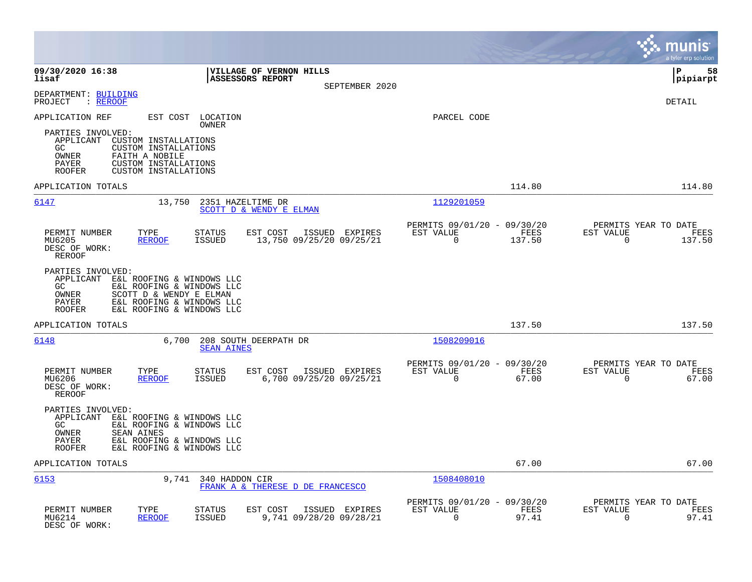|                                                                                                                                                                                                                        |                                                                                         |                                                                           | munis<br>a tyler erp solution                                      |
|------------------------------------------------------------------------------------------------------------------------------------------------------------------------------------------------------------------------|-----------------------------------------------------------------------------------------|---------------------------------------------------------------------------|--------------------------------------------------------------------|
| 09/30/2020 16:38<br>lisaf                                                                                                                                                                                              | VILLAGE OF VERNON HILLS<br>ASSESSORS REPORT<br>SEPTEMBER 2020                           |                                                                           | l P<br>58<br> pipiarpt                                             |
| DEPARTMENT: BUILDING<br>PROJECT<br>: REROOF                                                                                                                                                                            |                                                                                         |                                                                           | <b>DETAIL</b>                                                      |
| APPLICATION REF<br>PARTIES INVOLVED:<br>APPLICANT CUSTOM INSTALLATIONS<br>CUSTOM INSTALLATIONS<br>GC.<br>FAITH A NOBILE<br>OWNER<br>CUSTOM INSTALLATIONS<br>PAYER<br>CUSTOM INSTALLATIONS<br><b>ROOFER</b>             | EST COST LOCATION<br>OWNER                                                              | PARCEL CODE                                                               |                                                                    |
| APPLICATION TOTALS                                                                                                                                                                                                     |                                                                                         | 114.80                                                                    | 114.80                                                             |
| 6147<br>13,750                                                                                                                                                                                                         | 2351 HAZELTIME DR<br>SCOTT D & WENDY E ELMAN                                            | 1129201059                                                                |                                                                    |
| PERMIT NUMBER<br>TYPE<br><b>REROOF</b><br>MU6205<br>DESC OF WORK:<br><b>REROOF</b>                                                                                                                                     | <b>STATUS</b><br>EST COST<br>ISSUED EXPIRES<br>13,750 09/25/20 09/25/21<br>ISSUED       | PERMITS 09/01/20 - 09/30/20<br>EST VALUE<br>FEES<br>$\mathbf 0$<br>137.50 | PERMITS YEAR TO DATE<br>EST VALUE<br>FEES<br>$\mathbf 0$<br>137.50 |
| PARTIES INVOLVED:<br>APPLICANT<br>E&L ROOFING & WINDOWS LLC<br>GC<br>E&L ROOFING & WINDOWS LLC<br>SCOTT D & WENDY E ELMAN<br>OWNER<br>PAYER<br>E&L ROOFING & WINDOWS LLC<br><b>ROOFER</b><br>E&L ROOFING & WINDOWS LLC |                                                                                         |                                                                           |                                                                    |
| APPLICATION TOTALS                                                                                                                                                                                                     |                                                                                         | 137.50                                                                    | 137.50                                                             |
| 6148<br>6,700                                                                                                                                                                                                          | 208 SOUTH DEERPATH DR<br><b>SEAN AINES</b>                                              | 1508209016                                                                |                                                                    |
| PERMIT NUMBER<br>TYPE<br>MU6206<br><b>REROOF</b><br>DESC OF WORK:<br><b>REROOF</b>                                                                                                                                     | EST COST<br><b>STATUS</b><br>ISSUED EXPIRES<br>6,700 09/25/20 09/25/21<br><b>ISSUED</b> | PERMITS 09/01/20 - 09/30/20<br>EST VALUE<br>FEES<br>$\mathbf 0$<br>67.00  | PERMITS YEAR TO DATE<br>EST VALUE<br>FEES<br>$\mathbf 0$<br>67.00  |
| PARTIES INVOLVED:<br>APPLICANT E&L ROOFING & WINDOWS LLC<br>GC<br>E&L ROOFING & WINDOWS LLC<br>OWNER<br><b>SEAN AINES</b><br>E&L ROOFING & WINDOWS LLC<br>PAYER<br>E&L ROOFING & WINDOWS LLC<br><b>ROOFER</b>          |                                                                                         |                                                                           |                                                                    |
| APPLICATION TOTALS                                                                                                                                                                                                     |                                                                                         | 67.00                                                                     | 67.00                                                              |
| 6153<br>9,741                                                                                                                                                                                                          | 340 HADDON CIR<br>FRANK A & THERESE D DE FRANCESCO                                      | 1508408010                                                                |                                                                    |
| PERMIT NUMBER<br>TYPE<br>MU6214<br><b>REROOF</b><br>DESC OF WORK:                                                                                                                                                      | EST COST<br>ISSUED EXPIRES<br>STATUS<br>9,741 09/28/20 09/28/21<br><b>ISSUED</b>        | PERMITS 09/01/20 - 09/30/20<br>EST VALUE<br>FEES<br>$\mathbf 0$<br>97.41  | PERMITS YEAR TO DATE<br>EST VALUE<br>FEES<br>$\mathbf 0$<br>97.41  |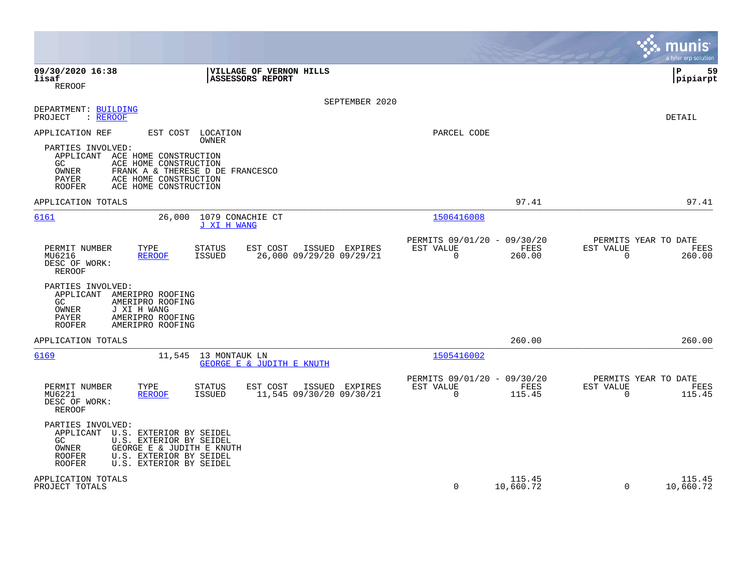|                                                                                                                                                                                                                        |                                                                           | munis<br>a tyler erp solution                                      |
|------------------------------------------------------------------------------------------------------------------------------------------------------------------------------------------------------------------------|---------------------------------------------------------------------------|--------------------------------------------------------------------|
| 09/30/2020 16:38<br>VILLAGE OF VERNON HILLS<br><b>ASSESSORS REPORT</b><br>lisaf<br><b>REROOF</b>                                                                                                                       |                                                                           | l P<br>59<br> pipiarpt                                             |
| SEPTEMBER 2020                                                                                                                                                                                                         |                                                                           |                                                                    |
| DEPARTMENT: BUILDING<br>PROJECT<br>: REROOF                                                                                                                                                                            |                                                                           | DETAIL                                                             |
| APPLICATION REF<br>EST COST LOCATION<br><b>OWNER</b>                                                                                                                                                                   | PARCEL CODE                                                               |                                                                    |
| PARTIES INVOLVED:<br>APPLICANT<br>ACE HOME CONSTRUCTION<br>GC<br>ACE HOME CONSTRUCTION<br>OWNER<br>FRANK A & THERESE D DE FRANCESCO<br>PAYER<br>ACE HOME CONSTRUCTION<br>ACE HOME CONSTRUCTION<br><b>ROOFER</b>        |                                                                           |                                                                    |
| APPLICATION TOTALS                                                                                                                                                                                                     | 97.41                                                                     | 97.41                                                              |
| 6161<br>26,000<br>1079 CONACHIE CT<br>J XI H WANG                                                                                                                                                                      | 1506416008                                                                |                                                                    |
| TYPE<br>EST COST<br>PERMIT NUMBER<br><b>STATUS</b><br>ISSUED EXPIRES<br>26,000 09/29/20 09/29/21<br>MU6216<br><b>REROOF</b><br>ISSUED<br>DESC OF WORK:<br>REROOF                                                       | PERMITS 09/01/20 - 09/30/20<br>FEES<br>EST VALUE<br>$\mathbf 0$<br>260.00 | PERMITS YEAR TO DATE<br>EST VALUE<br>FEES<br>$\mathbf 0$<br>260.00 |
| PARTIES INVOLVED:<br>APPLICANT<br>AMERIPRO ROOFING<br>GC<br>AMERIPRO ROOFING<br>OWNER<br>J XI H WANG<br>PAYER<br>AMERIPRO ROOFING<br>AMERIPRO ROOFING<br><b>ROOFER</b>                                                 |                                                                           |                                                                    |
| APPLICATION TOTALS                                                                                                                                                                                                     | 260.00                                                                    | 260.00                                                             |
| 6169<br>11,545<br>13 MONTAUK LN<br>GEORGE E & JUDITH E KNUTH                                                                                                                                                           | 1505416002                                                                |                                                                    |
| PERMIT NUMBER<br>TYPE<br><b>STATUS</b><br>EST COST<br>ISSUED EXPIRES<br>11,545 09/30/20 09/30/21<br>MU6221<br><b>REROOF</b><br><b>ISSUED</b><br>DESC OF WORK:<br>REROOF                                                | PERMITS 09/01/20 - 09/30/20<br>EST VALUE<br>FEES<br>$\mathbf 0$<br>115.45 | PERMITS YEAR TO DATE<br>EST VALUE<br>FEES<br>$\mathbf 0$<br>115.45 |
| PARTIES INVOLVED:<br>APPLICANT U.S. EXTERIOR BY SEIDEL<br>GC.<br>U.S. EXTERIOR BY SEIDEL<br>OWNER<br>GEORGE E & JUDITH E KNUTH<br><b>ROOFER</b><br>U.S. EXTERIOR BY SEIDEL<br><b>ROOFER</b><br>U.S. EXTERIOR BY SEIDEL |                                                                           |                                                                    |
| APPLICATION TOTALS<br>PROJECT TOTALS                                                                                                                                                                                   | 115.45<br>$\mathbf 0$<br>10,660.72                                        | 115.45<br>0<br>10,660.72                                           |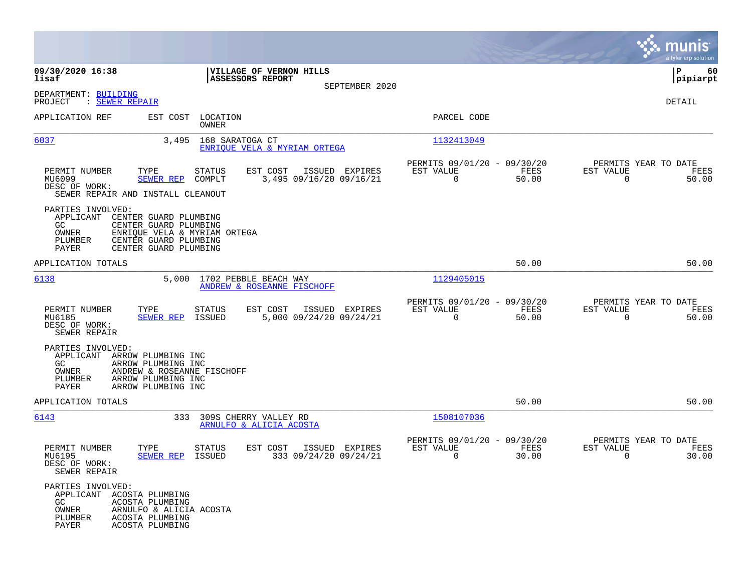|                                                                                                                                                           |                                                                                  |                                                                          | munis<br>a tyler erp solution                                        |
|-----------------------------------------------------------------------------------------------------------------------------------------------------------|----------------------------------------------------------------------------------|--------------------------------------------------------------------------|----------------------------------------------------------------------|
| 09/30/2020 16:38<br>lisaf                                                                                                                                 | <b>VILLAGE OF VERNON HILLS</b><br>ASSESSORS REPORT                               |                                                                          | ΙP<br>60<br> pipiarpt                                                |
| DEPARTMENT: BUILDING<br>: SEWER REPAIR<br>PROJECT                                                                                                         | SEPTEMBER 2020                                                                   |                                                                          | DETAIL                                                               |
| APPLICATION REF                                                                                                                                           | EST COST LOCATION<br>OWNER                                                       | PARCEL CODE                                                              |                                                                      |
| 6037                                                                                                                                                      | 3,495 168 SARATOGA CT<br>ENRIQUE VELA & MYRIAM ORTEGA                            | 1132413049                                                               |                                                                      |
| PERMIT NUMBER<br>TYPE<br>MU6099<br><b>SEWER REP</b><br>DESC OF WORK:<br>SEWER REPAIR AND INSTALL CLEANOUT                                                 | <b>STATUS</b><br>EST COST<br>ISSUED EXPIRES<br>COMPLT<br>3,495 09/16/20 09/16/21 | PERMITS 09/01/20 - 09/30/20<br>EST VALUE<br>FEES<br>$\Omega$<br>50.00    | PERMITS YEAR TO DATE<br>EST VALUE<br>FEES<br>$\Omega$<br>50.00       |
| PARTIES INVOLVED:<br>APPLICANT<br>CENTER GUARD PLUMBING<br>GC<br>OWNER<br>PLUMBER<br>PAYER<br>CENTER GUARD PLUMBING                                       | CENTER GUARD PLUMBING<br>ENRIQUE VELA & MYRIAM ORTEGA<br>CENTER GUARD PLUMBING   |                                                                          |                                                                      |
| APPLICATION TOTALS                                                                                                                                        |                                                                                  | 50.00                                                                    | 50.00                                                                |
| 6138                                                                                                                                                      | 5,000<br>1702 PEBBLE BEACH WAY<br>ANDREW & ROSEANNE FISCHOFF                     | 1129405015                                                               |                                                                      |
| PERMIT NUMBER<br>TYPE<br>MU6185<br><b>SEWER REP</b><br>DESC OF WORK:<br>SEWER REPAIR                                                                      | STATUS<br>EST COST<br>ISSUED EXPIRES<br>5,000 09/24/20 09/24/21<br>ISSUED        | PERMITS 09/01/20 - 09/30/20<br>EST VALUE<br>FEES<br>$\mathbf 0$<br>50.00 | PERMITS YEAR TO DATE<br>EST VALUE<br>FEES<br>$\overline{0}$<br>50.00 |
| PARTIES INVOLVED:<br>APPLICANT<br>ARROW PLUMBING INC<br>GC<br>ARROW PLUMBING INC<br>OWNER<br>PLUMBER<br>ARROW PLUMBING INC<br>PAYER<br>ARROW PLUMBING INC | ANDREW & ROSEANNE FISCHOFF                                                       |                                                                          |                                                                      |
| APPLICATION TOTALS                                                                                                                                        |                                                                                  | 50.00                                                                    | 50.00                                                                |
| 6143                                                                                                                                                      | 333 309S CHERRY VALLEY RD<br>ARNULFO & ALICIA ACOSTA                             | 1508107036                                                               |                                                                      |
| PERMIT NUMBER<br>TYPE<br>MU6195<br>SEWER REP<br>DESC OF WORK:<br>SEWER REPAIR                                                                             | STATUS<br>EST COST<br>ISSUED EXPIRES<br>ISSUED<br>333 09/24/20 09/24/21          | PERMITS 09/01/20 - 09/30/20<br>EST VALUE<br>FEES<br>0<br>30.00           | PERMITS YEAR TO DATE<br>EST VALUE<br>FEES<br>0<br>30.00              |
| PARTIES INVOLVED:<br>APPLICANT ACOSTA PLUMBING<br>GC<br>ACOSTA PLUMBING<br>OWNER<br>PLUMBER<br>ACOSTA PLUMBING<br>PAYER<br>ACOSTA PLUMBING                | ARNULFO & ALICIA ACOSTA                                                          |                                                                          |                                                                      |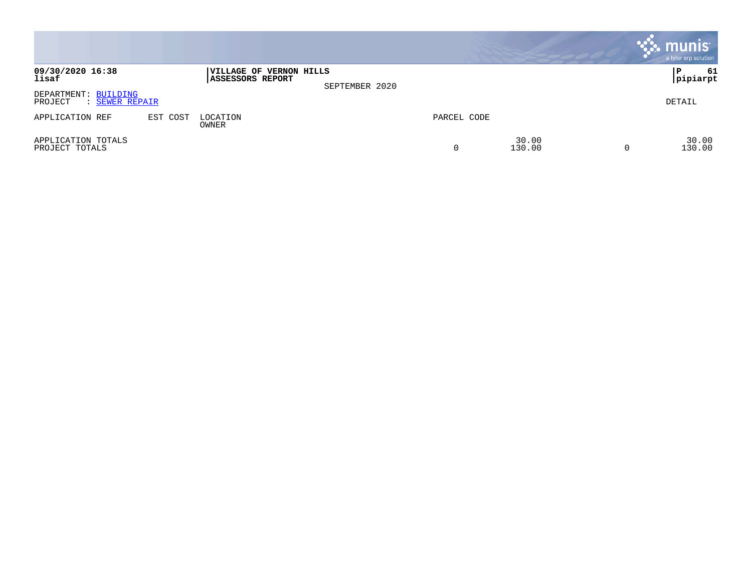|                                                   |          |                                                           |                |             |                 | <b>munis</b><br>a tyler erp solution |
|---------------------------------------------------|----------|-----------------------------------------------------------|----------------|-------------|-----------------|--------------------------------------|
| 09/30/2020 16:38<br>lisaf                         |          | <b>VILLAGE OF VERNON HILLS</b><br><b>ASSESSORS REPORT</b> | SEPTEMBER 2020 |             |                 | 61<br>P<br> pipiarpt                 |
| DEPARTMENT: BUILDING<br>PROJECT<br>: SEWER REPAIR |          |                                                           |                |             |                 | DETAIL                               |
| APPLICATION REF                                   | EST COST | LOCATION<br>OWNER                                         |                | PARCEL CODE |                 |                                      |
| APPLICATION TOTALS<br>PROJECT TOTALS              |          |                                                           |                | 0           | 30.00<br>130.00 | 30.00<br>130.00                      |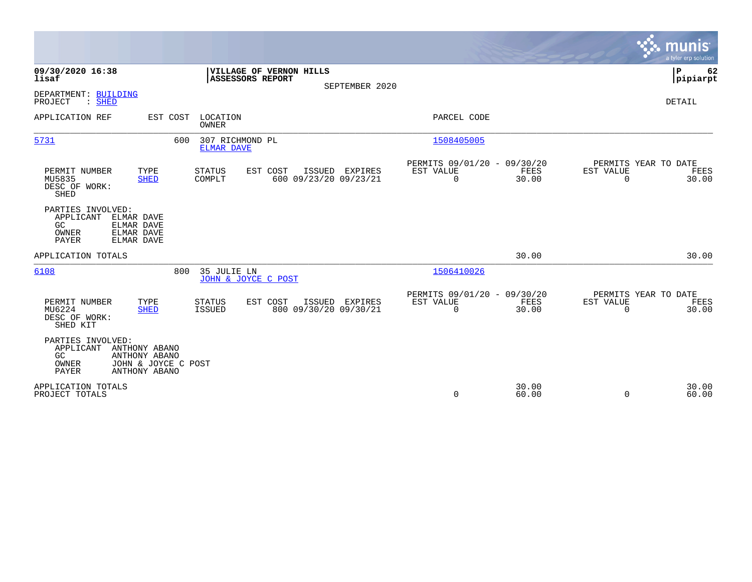|                                                                                                                                                                  |                                                                       | munis<br>a tyler erp solution                                  |
|------------------------------------------------------------------------------------------------------------------------------------------------------------------|-----------------------------------------------------------------------|----------------------------------------------------------------|
| 09/30/2020 16:38<br>VILLAGE OF VERNON HILLS<br><b>ASSESSORS REPORT</b><br>lisaf                                                                                  |                                                                       | P<br>62<br> pipiarpt                                           |
| SEPTEMBER 2020<br>DEPARTMENT: BUILDING<br>PROJECT<br>: SHED                                                                                                      |                                                                       | DETAIL                                                         |
| APPLICATION REF<br>EST COST LOCATION<br><b>OWNER</b>                                                                                                             | PARCEL CODE                                                           |                                                                |
| 5731<br>600<br>307 RICHMOND PL<br><b>ELMAR DAVE</b>                                                                                                              | 1508405005                                                            |                                                                |
| TYPE<br>ISSUED EXPIRES<br>PERMIT NUMBER<br><b>STATUS</b><br>EST COST<br>600 09/23/20 09/23/21<br>MU5835<br><b>SHED</b><br>COMPLT<br>DESC OF WORK:<br>SHED        | PERMITS 09/01/20 - 09/30/20<br>EST VALUE<br>FEES<br>$\Omega$<br>30.00 | PERMITS YEAR TO DATE<br>EST VALUE<br>FEES<br>$\Omega$<br>30.00 |
| PARTIES INVOLVED:<br>APPLICANT<br>ELMAR DAVE<br>GC<br>ELMAR DAVE<br>ELMAR DAVE<br>OWNER<br>PAYER<br>ELMAR DAVE                                                   |                                                                       |                                                                |
| APPLICATION TOTALS                                                                                                                                               | 30.00                                                                 | 30.00                                                          |
| 6108<br>35 JULIE LN<br>800<br>JOHN & JOYCE C POST                                                                                                                | 1506410026                                                            |                                                                |
| PERMIT NUMBER<br>TYPE<br><b>STATUS</b><br>EST COST<br>ISSUED<br>EXPIRES<br>800 09/30/20 09/30/21<br>MU6224<br><b>SHED</b><br>ISSUED<br>DESC OF WORK:<br>SHED KIT | PERMITS 09/01/20 - 09/30/20<br>FEES<br>EST VALUE<br>0<br>30.00        | PERMITS YEAR TO DATE<br>EST VALUE<br>FEES<br>$\Omega$<br>30.00 |
| PARTIES INVOLVED:<br>ANTHONY ABANO<br>APPLICANT<br>GC<br>ANTHONY ABANO<br>JOHN & JOYCE C POST<br>OWNER<br>PAYER<br>ANTHONY ABANO                                 |                                                                       |                                                                |
| APPLICATION TOTALS<br>PROJECT TOTALS                                                                                                                             | 30.00<br>0<br>60.00                                                   | 30.00<br>60.00<br>$\Omega$                                     |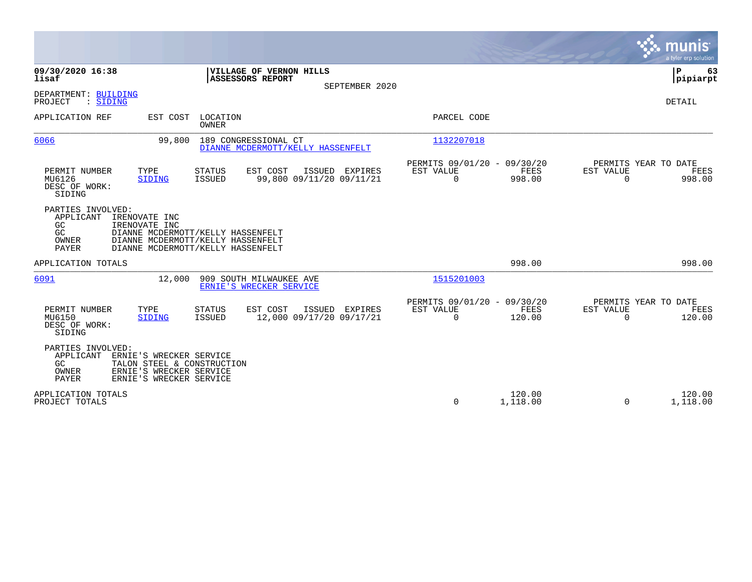|                                                                                                                                                                                                               |                                                                                                                             | munis<br>a tyler erp solution                                   |
|---------------------------------------------------------------------------------------------------------------------------------------------------------------------------------------------------------------|-----------------------------------------------------------------------------------------------------------------------------|-----------------------------------------------------------------|
| 09/30/2020 16:38<br>VILLAGE OF VERNON HILLS<br>lisaf<br><b>ASSESSORS REPORT</b>                                                                                                                               | SEPTEMBER 2020                                                                                                              | P<br>63<br> pipiarpt                                            |
| DEPARTMENT: BUILDING<br>: SIDING<br>PROJECT                                                                                                                                                                   |                                                                                                                             | DETAIL                                                          |
| APPLICATION REF<br>EST COST<br>LOCATION<br><b>OWNER</b>                                                                                                                                                       | PARCEL CODE                                                                                                                 |                                                                 |
| 6066<br>99,800<br>189 CONGRESSIONAL CT                                                                                                                                                                        | 1132207018<br>DIANNE MCDERMOTT/KELLY HASSENFELT                                                                             |                                                                 |
| TYPE<br>EST COST<br>PERMIT NUMBER<br><b>STATUS</b><br>MU6126<br>ISSUED<br><b>SIDING</b><br>DESC OF WORK:<br>SIDING                                                                                            | PERMITS 09/01/20 - 09/30/20<br>ISSUED<br>EXPIRES<br>EST VALUE<br>FEES<br>$\Omega$<br>998.00<br>99,800 09/11/20 09/11/21     | PERMITS YEAR TO DATE<br>EST VALUE<br>FEES<br>$\Omega$<br>998.00 |
| PARTIES INVOLVED:<br>APPLICANT<br>IRENOVATE INC<br>GC<br>IRENOVATE INC<br>GC<br>DIANNE MCDERMOTT/KELLY HASSENFELT<br>DIANNE MCDERMOTT/KELLY HASSENFELT<br>OWNER<br>PAYER<br>DIANNE MCDERMOTT/KELLY HASSENFELT |                                                                                                                             |                                                                 |
| APPLICATION TOTALS                                                                                                                                                                                            | 998.00                                                                                                                      | 998.00                                                          |
| 6091<br>909 SOUTH MILWAUKEE AVE<br>12,000<br>ERNIE'S WRECKER SERVICE                                                                                                                                          | 1515201003                                                                                                                  |                                                                 |
| EST COST<br>PERMIT NUMBER<br>TYPE<br><b>STATUS</b><br>MU6150<br><b>ISSUED</b><br>SIDING<br>DESC OF WORK:<br>SIDING                                                                                            | PERMITS 09/01/20 - 09/30/20<br><b>FEES</b><br>ISSUED EXPIRES<br>EST VALUE<br>$\Omega$<br>120.00<br>12,000 09/17/20 09/17/21 | PERMITS YEAR TO DATE<br>EST VALUE<br>FEES<br>$\Omega$<br>120.00 |
| PARTIES INVOLVED:<br>APPLICANT<br>ERNIE'S WRECKER SERVICE<br>GC<br>TALON STEEL & CONSTRUCTION<br>OWNER<br>ERNIE'S WRECKER SERVICE<br>ERNIE'S WRECKER SERVICE<br><b>PAYER</b>                                  |                                                                                                                             |                                                                 |
| APPLICATION TOTALS<br>PROJECT TOTALS                                                                                                                                                                          | 120.00<br>0<br>1,118.00                                                                                                     | 120.00<br>$\Omega$<br>1,118.00                                  |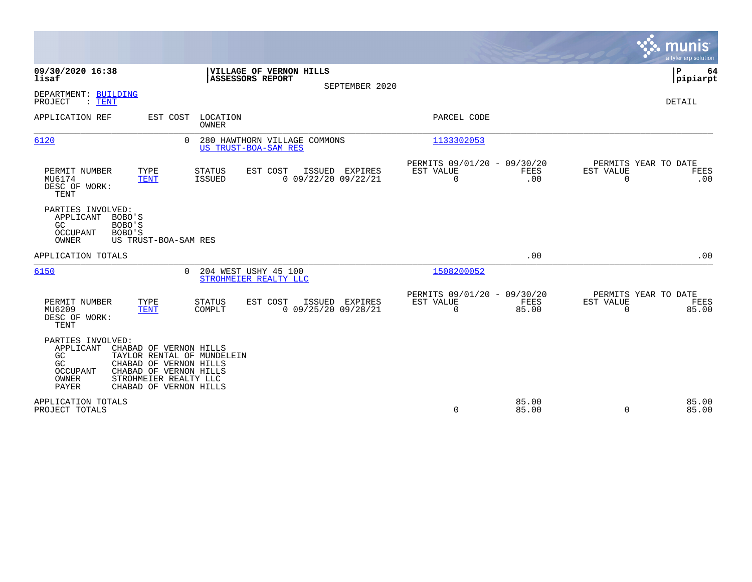|                                                                                                                                                                                                                                                 |                                                                            | a tyler erp solution                                           |
|-------------------------------------------------------------------------------------------------------------------------------------------------------------------------------------------------------------------------------------------------|----------------------------------------------------------------------------|----------------------------------------------------------------|
| VILLAGE OF VERNON HILLS<br>09/30/2020 16:38<br>ASSESSORS REPORT<br>lisaf<br>SEPTEMBER 2020                                                                                                                                                      |                                                                            | P<br>64<br> pipiarpt                                           |
| DEPARTMENT: BUILDING<br>PROJECT<br>$\blacksquare$ $\blacksquare$ $\blacksquare$                                                                                                                                                                 |                                                                            | <b>DETAIL</b>                                                  |
| APPLICATION REF<br>EST COST LOCATION<br><b>OWNER</b>                                                                                                                                                                                            | PARCEL CODE                                                                |                                                                |
| 6120<br>280 HAWTHORN VILLAGE COMMONS<br>$\Omega$<br><b>US TRUST-BOA-SAM RES</b>                                                                                                                                                                 | 1133302053                                                                 |                                                                |
| TYPE<br>EST COST<br>ISSUED EXPIRES<br>PERMIT NUMBER<br><b>STATUS</b><br><b>TENT</b><br>$0$ 09/22/20 09/22/21<br>MU6174<br>ISSUED<br>DESC OF WORK:<br><b>TENT</b>                                                                                | PERMITS 09/01/20 - 09/30/20<br><b>FEES</b><br>EST VALUE<br>$\Omega$<br>.00 | PERMITS YEAR TO DATE<br>EST VALUE<br>FEES<br>$\Omega$<br>.00   |
| PARTIES INVOLVED:<br>APPLICANT<br>BOBO'S<br>GC<br>BOBO'S<br>OCCUPANT<br>BOBO'S<br>OWNER<br>US TRUST-BOA-SAM RES                                                                                                                                 |                                                                            |                                                                |
| APPLICATION TOTALS                                                                                                                                                                                                                              | .00                                                                        | .00                                                            |
| 6150<br>0 204 WEST USHY 45 100<br>STROHMEIER REALTY LLC                                                                                                                                                                                         | 1508200052                                                                 |                                                                |
| PERMIT NUMBER<br>TYPE<br><b>STATUS</b><br>EST COST<br>ISSUED EXPIRES<br>$0$ 09/25/20 09/28/21<br>MU6209<br><b>TENT</b><br>COMPLT<br>DESC OF WORK:<br>TENT                                                                                       | PERMITS 09/01/20 - 09/30/20<br>EST VALUE<br>FEES<br>$\mathbf 0$<br>85.00   | PERMITS YEAR TO DATE<br>EST VALUE<br>FEES<br>$\Omega$<br>85.00 |
| PARTIES INVOLVED:<br>APPLICANT<br>CHABAD OF VERNON HILLS<br>GC<br>TAYLOR RENTAL OF MUNDELEIN<br>CHABAD OF VERNON HILLS<br>GC.<br>OCCUPANT<br>CHABAD OF VERNON HILLS<br>OWNER<br>STROHMEIER REALTY LLC<br><b>PAYER</b><br>CHABAD OF VERNON HILLS |                                                                            |                                                                |
| APPLICATION TOTALS<br>PROJECT TOTALS                                                                                                                                                                                                            | 85.00<br>$\Omega$<br>85.00                                                 | 85.00<br>$\Omega$<br>85.00                                     |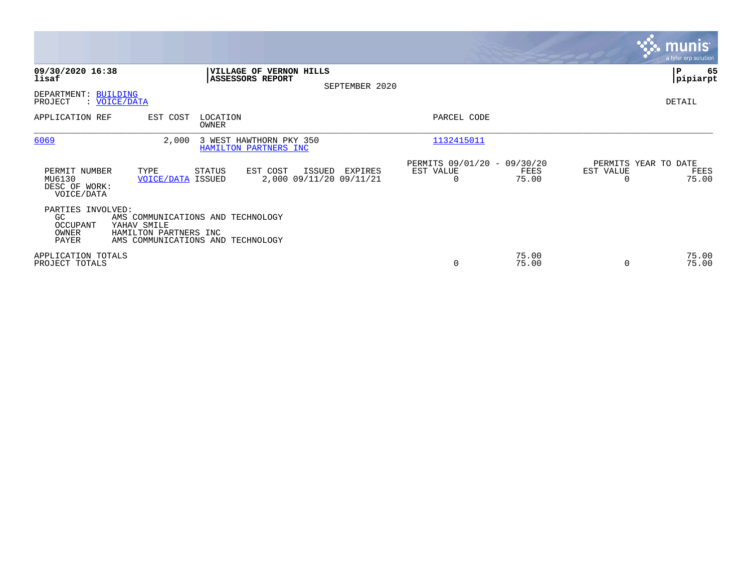|                                                        |                                      |                                                                        |                                              |                                                      |                |           | <b>munis</b><br>a tyler erp solution  |
|--------------------------------------------------------|--------------------------------------|------------------------------------------------------------------------|----------------------------------------------|------------------------------------------------------|----------------|-----------|---------------------------------------|
| 09/30/2020 16:38<br>lisaf                              |                                      | VILLAGE OF VERNON HILLS<br>ASSESSORS REPORT                            | SEPTEMBER 2020                               |                                                      |                |           | IP.<br>65<br> pipiarpt                |
| DEPARTMENT: BUILDING<br>PROJECT                        | : VOICE/DATA                         |                                                                        |                                              |                                                      |                |           | DETAIL                                |
| APPLICATION REF                                        | EST COST                             | LOCATION<br>OWNER                                                      |                                              | PARCEL CODE                                          |                |           |                                       |
| 6069                                                   | 2,000                                | 3 WEST HAWTHORN PKY 350<br>HAMILTON PARTNERS INC                       |                                              | 1132415011                                           |                |           |                                       |
| PERMIT NUMBER<br>MU6130<br>DESC OF WORK:<br>VOICE/DATA | TYPE<br><b>VOICE/DATA ISSUED</b>     | STATUS<br>EST COST                                                     | ISSUED<br>EXPIRES<br>2,000 09/11/20 09/11/21 | PERMITS 09/01/20 - 09/30/20<br>EST VALUE<br>$\Omega$ | FEES<br>75.00  | EST VALUE | PERMITS YEAR TO DATE<br>FEES<br>75.00 |
| PARTIES INVOLVED:<br>GC<br>OCCUPANT<br>OWNER<br>PAYER  | YAHAV SMILE<br>HAMILTON PARTNERS INC | AMS COMMUNICATIONS AND TECHNOLOGY<br>AMS COMMUNICATIONS AND TECHNOLOGY |                                              |                                                      |                |           |                                       |
| APPLICATION TOTALS<br>PROJECT TOTALS                   |                                      |                                                                        |                                              | 0                                                    | 75.00<br>75.00 | $\Omega$  | 75.00<br>75.00                        |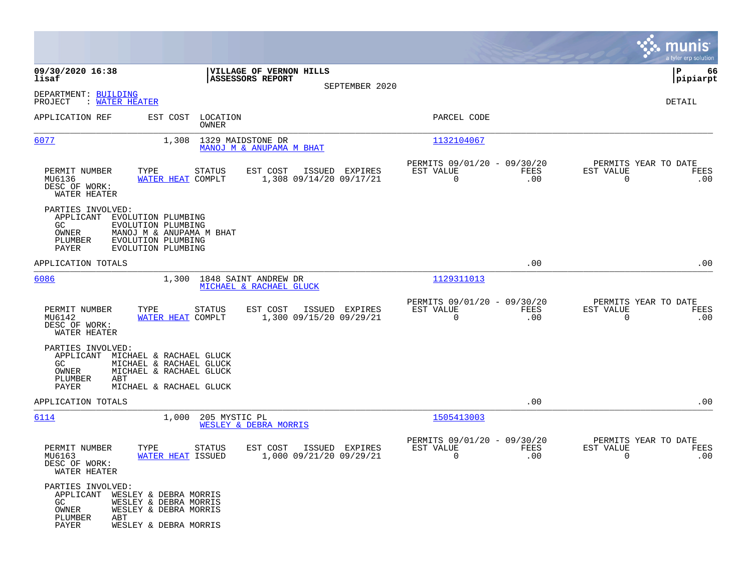|                                                                                                                                                                                        |                                                                      |                                                                        | munis<br>a tyler erp solution                                      |
|----------------------------------------------------------------------------------------------------------------------------------------------------------------------------------------|----------------------------------------------------------------------|------------------------------------------------------------------------|--------------------------------------------------------------------|
| 09/30/2020 16:38<br>lisaf                                                                                                                                                              | VILLAGE OF VERNON HILLS<br><b>ASSESSORS REPORT</b><br>SEPTEMBER 2020 |                                                                        | 66<br>ΙP<br> pipiarpt                                              |
| DEPARTMENT: BUILDING<br>PROJECT<br>: WATER HEATER                                                                                                                                      |                                                                      |                                                                        | DETAIL                                                             |
| APPLICATION REF                                                                                                                                                                        | EST COST LOCATION<br>OWNER                                           | PARCEL CODE                                                            |                                                                    |
| 6077                                                                                                                                                                                   | 1,308 1329 MAIDSTONE DR<br>MANOJ M & ANUPAMA M BHAT                  | 1132104067                                                             |                                                                    |
| PERMIT NUMBER<br>TYPE<br>WATER HEAT COMPLT<br>MU6136<br>DESC OF WORK:<br>WATER HEATER                                                                                                  | STATUS<br>ISSUED EXPIRES<br>EST COST<br>1,308 09/14/20 09/17/21      | PERMITS 09/01/20 - 09/30/20<br>EST VALUE<br>FEES<br>$\mathbf 0$<br>.00 | PERMITS YEAR TO DATE<br>EST VALUE<br>FEES<br>$\overline{0}$<br>.00 |
| PARTIES INVOLVED:<br>APPLICANT<br>EVOLUTION PLUMBING<br>EVOLUTION PLUMBING<br>GC.<br>OWNER<br>MANOJ M & ANUPAMA M BHAT<br>PLUMBER<br>EVOLUTION PLUMBING<br>PAYER<br>EVOLUTION PLUMBING |                                                                      |                                                                        |                                                                    |
| APPLICATION TOTALS                                                                                                                                                                     |                                                                      | .00                                                                    | .00                                                                |
| 6086                                                                                                                                                                                   | 1,300 1848 SAINT ANDREW DR<br>MICHAEL & RACHAEL GLUCK                | 1129311013                                                             |                                                                    |
| PERMIT NUMBER<br>TYPE<br>MU6142<br>WATER HEAT COMPLT<br>DESC OF WORK:<br>WATER HEATER                                                                                                  | STATUS<br>EST COST<br>ISSUED EXPIRES<br>1,300 09/15/20 09/29/21      | PERMITS 09/01/20 - 09/30/20<br>EST VALUE<br>FEES<br>$\mathbf 0$<br>.00 | PERMITS YEAR TO DATE<br>EST VALUE<br>FEES<br>$\overline{0}$<br>.00 |
| PARTIES INVOLVED:<br>APPLICANT<br>MICHAEL & RACHAEL GLUCK<br>GC<br>MICHAEL & RACHAEL GLUCK<br>OWNER<br>MICHAEL & RACHAEL GLUCK<br>PLUMBER<br>ABT<br>PAYER<br>MICHAEL & RACHAEL GLUCK   |                                                                      |                                                                        |                                                                    |
| APPLICATION TOTALS                                                                                                                                                                     |                                                                      | .00                                                                    | .00                                                                |
| 6114                                                                                                                                                                                   | 1,000 205 MYSTIC PL<br>WESLEY & DEBRA MORRIS                         | 1505413003                                                             |                                                                    |
| PERMIT NUMBER<br>TYPE<br>MU6163<br>WATER HEAT ISSUED<br>DESC OF WORK:<br>WATER HEATER                                                                                                  | EST COST<br>ISSUED EXPIRES<br>STATUS<br>1,000 09/21/20 09/29/21      | PERMITS 09/01/20 - 09/30/20<br>EST VALUE<br><b>FEES</b><br>0<br>.00    | PERMITS YEAR TO DATE<br>EST VALUE<br>FEES<br>0<br>.00              |
| PARTIES INVOLVED:<br>APPLICANT<br>WESLEY & DEBRA MORRIS<br>GC<br>WESLEY & DEBRA MORRIS<br>OWNER<br>WESLEY & DEBRA MORRIS<br>PLUMBER<br>ABT<br>PAYER<br>WESLEY & DEBRA MORRIS           |                                                                      |                                                                        |                                                                    |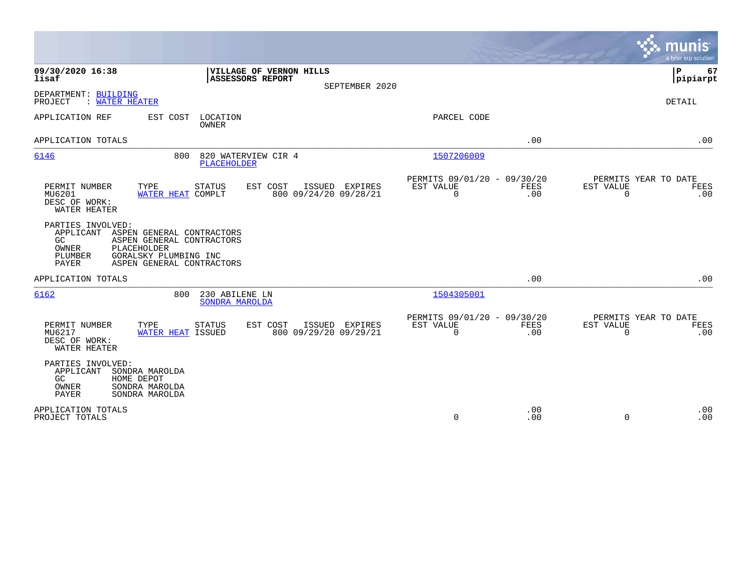|                                                                                                                                                                                                         |                                                                        | munis<br>a tyler erp solution                                          |
|---------------------------------------------------------------------------------------------------------------------------------------------------------------------------------------------------------|------------------------------------------------------------------------|------------------------------------------------------------------------|
| 09/30/2020 16:38<br>VILLAGE OF VERNON HILLS<br>ASSESSORS REPORT<br>lisaf<br>SEPTEMBER 2020                                                                                                              |                                                                        | ΙP<br>67<br> pipiarpt                                                  |
| DEPARTMENT: BUILDING<br>: WATER HEATER<br>PROJECT                                                                                                                                                       |                                                                        | DETAIL                                                                 |
| LOCATION<br>APPLICATION REF<br>EST COST<br><b>OWNER</b>                                                                                                                                                 | PARCEL CODE                                                            |                                                                        |
| APPLICATION TOTALS                                                                                                                                                                                      | .00                                                                    | .00                                                                    |
| 820 WATERVIEW CIR 4<br>6146<br>800<br><b>PLACEHOLDER</b>                                                                                                                                                | 1507206009                                                             |                                                                        |
| EST COST<br>PERMIT NUMBER<br>TYPE<br><b>STATUS</b><br>ISSUED EXPIRES<br>800 09/24/20 09/28/21<br>MU6201<br>WATER HEAT COMPLT<br>DESC OF WORK:<br>WATER HEATER                                           | PERMITS 09/01/20 - 09/30/20<br>EST VALUE<br>FEES<br>$\Omega$<br>.00    | PERMITS YEAR TO DATE<br>EST VALUE<br>FEES<br>$\mathbf 0$<br>.00        |
| PARTIES INVOLVED:<br>APPLICANT<br>ASPEN GENERAL CONTRACTORS<br>GC<br>ASPEN GENERAL CONTRACTORS<br>OWNER<br>PLACEHOLDER<br>GORALSKY PLUMBING INC<br>PLUMBER<br><b>PAYER</b><br>ASPEN GENERAL CONTRACTORS |                                                                        |                                                                        |
| APPLICATION TOTALS                                                                                                                                                                                      | .00                                                                    | .00                                                                    |
| 6162<br>800<br>230 ABILENE LN<br>SONDRA MAROLDA                                                                                                                                                         | 1504305001                                                             |                                                                        |
| PERMIT NUMBER<br>TYPE<br><b>STATUS</b><br>EST COST<br>ISSUED EXPIRES<br>800 09/29/20 09/29/21<br>MU6217<br>WATER HEAT ISSUED<br>DESC OF WORK:<br>WATER HEATER                                           | PERMITS 09/01/20 - 09/30/20<br>EST VALUE<br>FEES<br>$\mathbf 0$<br>.00 | PERMITS YEAR TO DATE<br><b>EST VALUE</b><br>FEES<br>$\mathbf 0$<br>.00 |
| PARTIES INVOLVED:<br>APPLICANT<br>SONDRA MAROLDA<br>GC.<br>HOME DEPOT<br>OWNER<br>SONDRA MAROLDA<br><b>PAYER</b><br>SONDRA MAROLDA                                                                      |                                                                        |                                                                        |
| APPLICATION TOTALS<br>PROJECT TOTALS                                                                                                                                                                    | .00<br>$\Omega$<br>.00                                                 | .00<br>$\Omega$<br>.00                                                 |